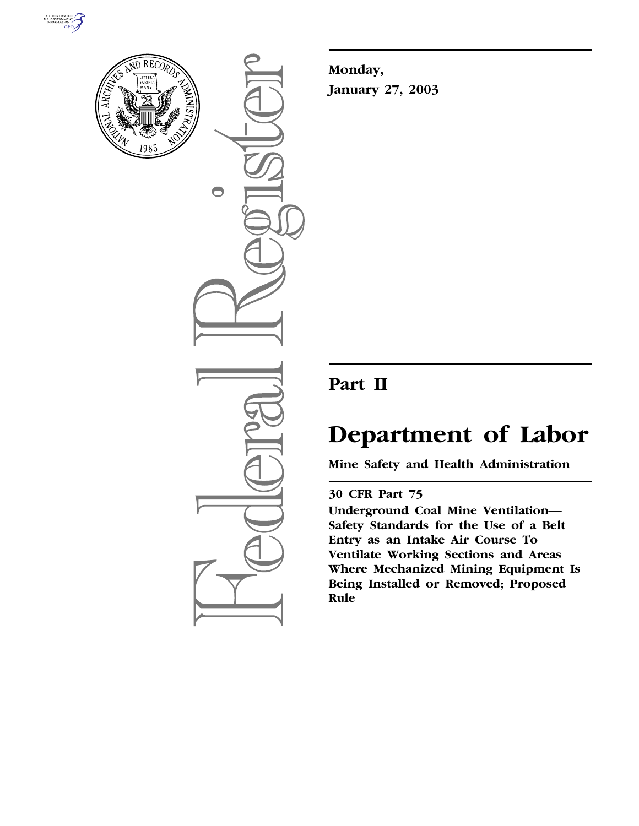



 $\bigcirc$ 

**Monday, January 27, 2003**

## **Part II**

# **Department of Labor**

**Mine Safety and Health Administration** 

## **30 CFR Part 75**

**Underground Coal Mine Ventilation— Safety Standards for the Use of a Belt Entry as an Intake Air Course To Ventilate Working Sections and Areas Where Mechanized Mining Equipment Is Being Installed or Removed; Proposed Rule**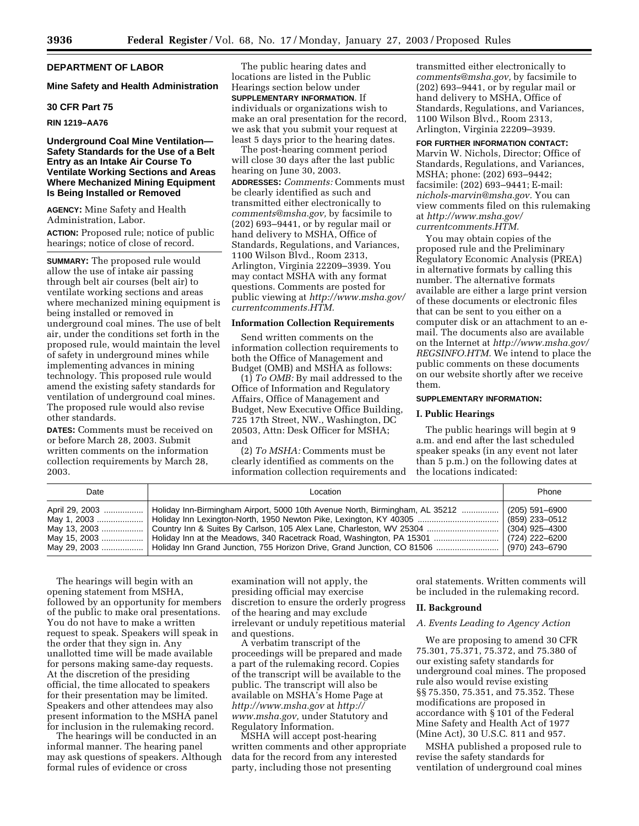#### **DEPARTMENT OF LABOR**

#### **Mine Safety and Health Administration**

#### **30 CFR Part 75**

#### **RIN 1219–AA76**

#### **Underground Coal Mine Ventilation— Safety Standards for the Use of a Belt Entry as an Intake Air Course To Ventilate Working Sections and Areas Where Mechanized Mining Equipment Is Being Installed or Removed**

**AGENCY:** Mine Safety and Health Administration, Labor.

**ACTION:** Proposed rule; notice of public hearings; notice of close of record.

**SUMMARY:** The proposed rule would allow the use of intake air passing through belt air courses (belt air) to ventilate working sections and areas where mechanized mining equipment is being installed or removed in underground coal mines. The use of belt air, under the conditions set forth in the proposed rule, would maintain the level of safety in underground mines while implementing advances in mining technology. This proposed rule would amend the existing safety standards for ventilation of underground coal mines. The proposed rule would also revise other standards.

**DATES:** Comments must be received on or before March 28, 2003. Submit written comments on the information collection requirements by March 28, 2003.

The public hearing dates and locations are listed in the Public Hearings section below under **SUPPLEMENTARY INFORMATION**. If individuals or organizations wish to make an oral presentation for the record, we ask that you submit your request at least 5 days prior to the hearing dates.

The post-hearing comment period will close 30 days after the last public hearing on June 30, 2003.

**ADDRESSES:** *Comments:* Comments must be clearly identified as such and transmitted either electronically to *comments@msha.gov,* by facsimile to (202) 693–9441, or by regular mail or hand delivery to MSHA, Office of Standards, Regulations, and Variances, 1100 Wilson Blvd., Room 2313, Arlington, Virginia 22209–3939. You may contact MSHA with any format questions. Comments are posted for public viewing at *http://www.msha.gov/ currentcomments.HTM.*

#### **Information Collection Requirements**

Send written comments on the information collection requirements to both the Office of Management and Budget (OMB) and MSHA as follows:

(1) *To OMB:* By mail addressed to the Office of Information and Regulatory Affairs, Office of Management and Budget, New Executive Office Building, 725 17th Street, NW., Washington, DC 20503, Attn: Desk Officer for MSHA; and

(2) *To MSHA:* Comments must be clearly identified as comments on the information collection requirements and

transmitted either electronically to *comments@msha.gov,* by facsimile to (202) 693–9441, or by regular mail or hand delivery to MSHA, Office of Standards, Regulations, and Variances, 1100 Wilson Blvd., Room 2313, Arlington, Virginia 22209–3939.

**FOR FURTHER INFORMATION CONTACT:** Marvin W. Nichols, Director; Office of Standards, Regulations, and Variances, MSHA; phone: (202) 693–9442; facsimile: (202) 693–9441; E-mail: *nichols-marvin@msha.gov.* You can view comments filed on this rulemaking at *http://www.msha.gov/ currentcomments.HTM.*

You may obtain copies of the proposed rule and the Preliminary Regulatory Economic Analysis (PREA) in alternative formats by calling this number. The alternative formats available are either a large print version of these documents or electronic files that can be sent to you either on a computer disk or an attachment to an email. The documents also are available on the Internet at *http://www.msha.gov/ REGSINFO.HTM.* We intend to place the public comments on these documents on our website shortly after we receive them.

#### **SUPPLEMENTARY INFORMATION:**

#### **I. Public Hearings**

The public hearings will begin at 9 a.m. and end after the last scheduled speaker speaks (in any event not later than 5 p.m.) on the following dates at the locations indicated:

| Date                                          | Location                                                                                                                                                                                                                                                                                                                                                | Phone                                                                |
|-----------------------------------------------|---------------------------------------------------------------------------------------------------------------------------------------------------------------------------------------------------------------------------------------------------------------------------------------------------------------------------------------------------------|----------------------------------------------------------------------|
| April 29, 2003<br>May 1, 2003<br>May 15, 2003 | Holiday Inn-Birmingham Airport, 5000 10th Avenue North, Birmingham, AL 35212<br>May 13, 2003  Country Inn & Suites By Carlson, 105 Alex Lane, Charleston, WV 25304<br>Holiday Inn at the Meadows, 340 Racetrack Road, Washington, PA 15301<br>May 29, 2003    Holiday Inn Grand Junction, 755 Horizon Drive, Grand Junction, CO 81506    (970) 243–6790 | (205) 591-6900<br>(859) 233-0512<br>(304) 925-4300<br>(724) 222-6200 |

The hearings will begin with an opening statement from MSHA, followed by an opportunity for members of the public to make oral presentations. You do not have to make a written request to speak. Speakers will speak in the order that they sign in. Any unallotted time will be made available for persons making same-day requests. At the discretion of the presiding official, the time allocated to speakers for their presentation may be limited. Speakers and other attendees may also present information to the MSHA panel for inclusion in the rulemaking record.

The hearings will be conducted in an informal manner. The hearing panel may ask questions of speakers. Although formal rules of evidence or cross

examination will not apply, the presiding official may exercise discretion to ensure the orderly progress of the hearing and may exclude irrelevant or unduly repetitious material and questions.

A verbatim transcript of the proceedings will be prepared and made a part of the rulemaking record. Copies of the transcript will be available to the public. The transcript will also be available on MSHA's Home Page at *http://www.msha.gov* at *http:// www.msha.gov,* under Statutory and Regulatory Information.

MSHA will accept post-hearing written comments and other appropriate data for the record from any interested party, including those not presenting

oral statements. Written comments will be included in the rulemaking record.

#### **II. Background**

#### *A. Events Leading to Agency Action*

We are proposing to amend 30 CFR 75.301, 75.371, 75.372, and 75.380 of our existing safety standards for underground coal mines. The proposed rule also would revise existing §§ 75.350, 75.351, and 75.352. These modifications are proposed in accordance with § 101 of the Federal Mine Safety and Health Act of 1977 (Mine Act), 30 U.S.C. 811 and 957.

MSHA published a proposed rule to revise the safety standards for ventilation of underground coal mines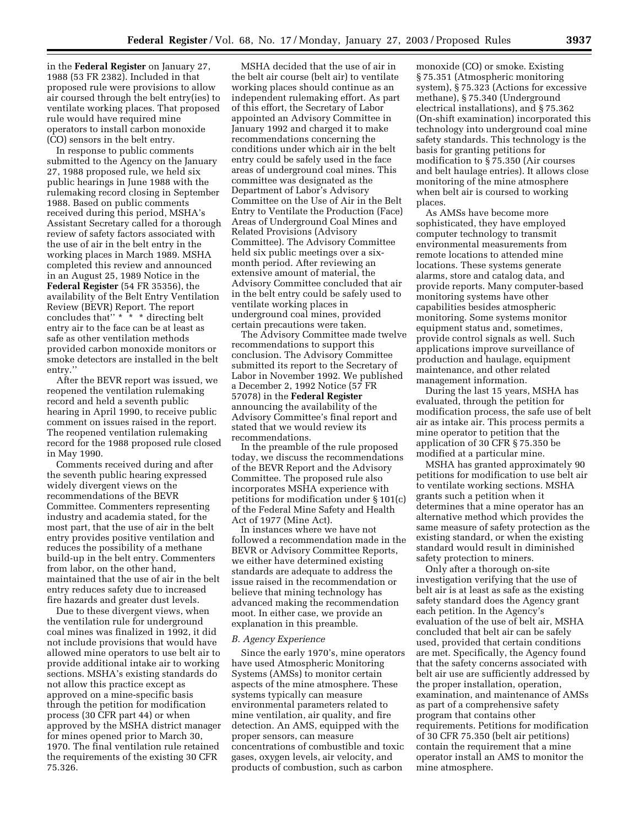in the **Federal Register** on January 27, 1988 (53 FR 2382). Included in that proposed rule were provisions to allow air coursed through the belt entry(ies) to ventilate working places. That proposed rule would have required mine operators to install carbon monoxide (CO) sensors in the belt entry.

In response to public comments submitted to the Agency on the January 27, 1988 proposed rule, we held six public hearings in June 1988 with the rulemaking record closing in September 1988. Based on public comments received during this period, MSHA's Assistant Secretary called for a thorough review of safety factors associated with the use of air in the belt entry in the working places in March 1989. MSHA completed this review and announced in an August 25, 1989 Notice in the **Federal Register** (54 FR 35356), the availability of the Belt Entry Ventilation Review (BEVR) Report. The report concludes that'' \* \* \* directing belt entry air to the face can be at least as safe as other ventilation methods provided carbon monoxide monitors or smoke detectors are installed in the belt entry.''

After the BEVR report was issued, we reopened the ventilation rulemaking record and held a seventh public hearing in April 1990, to receive public comment on issues raised in the report. The reopened ventilation rulemaking record for the 1988 proposed rule closed in May 1990.

Comments received during and after the seventh public hearing expressed widely divergent views on the recommendations of the BEVR Committee. Commenters representing industry and academia stated, for the most part, that the use of air in the belt entry provides positive ventilation and reduces the possibility of a methane build-up in the belt entry. Commenters from labor, on the other hand, maintained that the use of air in the belt entry reduces safety due to increased fire hazards and greater dust levels.

Due to these divergent views, when the ventilation rule for underground coal mines was finalized in 1992, it did not include provisions that would have allowed mine operators to use belt air to provide additional intake air to working sections. MSHA's existing standards do not allow this practice except as approved on a mine-specific basis through the petition for modification process (30 CFR part 44) or when approved by the MSHA district manager for mines opened prior to March 30, 1970. The final ventilation rule retained the requirements of the existing 30 CFR 75.326.

MSHA decided that the use of air in the belt air course (belt air) to ventilate working places should continue as an independent rulemaking effort. As part of this effort, the Secretary of Labor appointed an Advisory Committee in January 1992 and charged it to make recommendations concerning the conditions under which air in the belt entry could be safely used in the face areas of underground coal mines. This committee was designated as the Department of Labor's Advisory Committee on the Use of Air in the Belt Entry to Ventilate the Production (Face) Areas of Underground Coal Mines and Related Provisions (Advisory Committee). The Advisory Committee held six public meetings over a sixmonth period. After reviewing an extensive amount of material, the Advisory Committee concluded that air in the belt entry could be safely used to ventilate working places in underground coal mines, provided certain precautions were taken.

The Advisory Committee made twelve recommendations to support this conclusion. The Advisory Committee submitted its report to the Secretary of Labor in November 1992. We published a December 2, 1992 Notice (57 FR 57078) in the **Federal Register** announcing the availability of the Advisory Committee's final report and stated that we would review its recommendations.

In the preamble of the rule proposed today, we discuss the recommendations of the BEVR Report and the Advisory Committee. The proposed rule also incorporates MSHA experience with petitions for modification under § 101(c) of the Federal Mine Safety and Health Act of 1977 (Mine Act).

In instances where we have not followed a recommendation made in the BEVR or Advisory Committee Reports, we either have determined existing standards are adequate to address the issue raised in the recommendation or believe that mining technology has advanced making the recommendation moot. In either case, we provide an explanation in this preamble.

#### *B. Agency Experience*

Since the early 1970's, mine operators have used Atmospheric Monitoring Systems (AMSs) to monitor certain aspects of the mine atmosphere. These systems typically can measure environmental parameters related to mine ventilation, air quality, and fire detection. An AMS, equipped with the proper sensors, can measure concentrations of combustible and toxic gases, oxygen levels, air velocity, and products of combustion, such as carbon

monoxide (CO) or smoke. Existing § 75.351 (Atmospheric monitoring system), § 75.323 (Actions for excessive methane), § 75.340 (Underground electrical installations), and § 75.362 (On-shift examination) incorporated this technology into underground coal mine safety standards. This technology is the basis for granting petitions for modification to § 75.350 (Air courses and belt haulage entries). It allows close monitoring of the mine atmosphere when belt air is coursed to working places.

As AMSs have become more sophisticated, they have employed computer technology to transmit environmental measurements from remote locations to attended mine locations. These systems generate alarms, store and catalog data, and provide reports. Many computer-based monitoring systems have other capabilities besides atmospheric monitoring. Some systems monitor equipment status and, sometimes, provide control signals as well. Such applications improve surveillance of production and haulage, equipment maintenance, and other related management information.

During the last 15 years, MSHA has evaluated, through the petition for modification process, the safe use of belt air as intake air. This process permits a mine operator to petition that the application of 30 CFR § 75.350 be modified at a particular mine.

MSHA has granted approximately 90 petitions for modification to use belt air to ventilate working sections. MSHA grants such a petition when it determines that a mine operator has an alternative method which provides the same measure of safety protection as the existing standard, or when the existing standard would result in diminished safety protection to miners.

Only after a thorough on-site investigation verifying that the use of belt air is at least as safe as the existing safety standard does the Agency grant each petition. In the Agency's evaluation of the use of belt air, MSHA concluded that belt air can be safely used, provided that certain conditions are met. Specifically, the Agency found that the safety concerns associated with belt air use are sufficiently addressed by the proper installation, operation, examination, and maintenance of AMSs as part of a comprehensive safety program that contains other requirements. Petitions for modification of 30 CFR 75.350 (belt air petitions) contain the requirement that a mine operator install an AMS to monitor the mine atmosphere.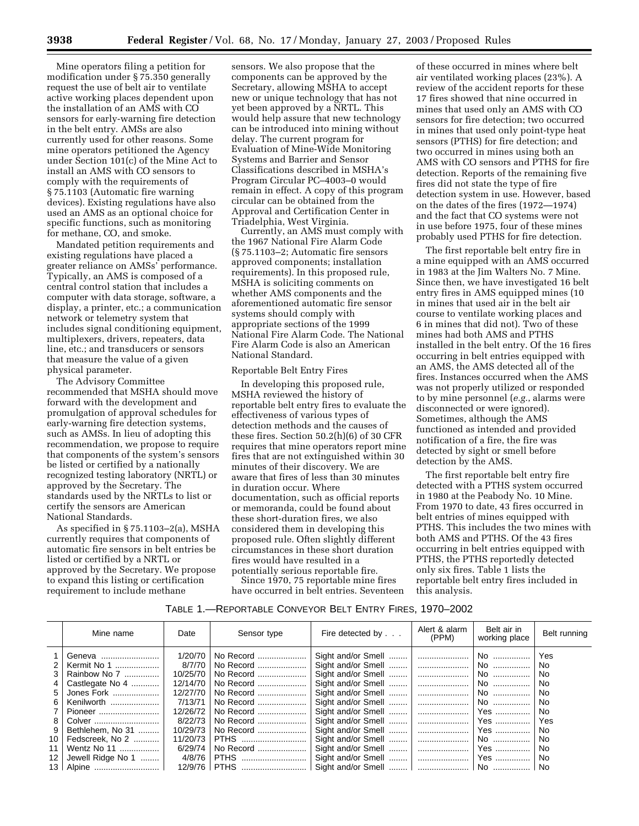Mine operators filing a petition for modification under § 75.350 generally request the use of belt air to ventilate active working places dependent upon the installation of an AMS with CO sensors for early-warning fire detection in the belt entry. AMSs are also currently used for other reasons. Some mine operators petitioned the Agency under Section 101(c) of the Mine Act to install an AMS with CO sensors to comply with the requirements of § 75.1103 (Automatic fire warning devices). Existing regulations have also used an AMS as an optional choice for specific functions, such as monitoring for methane, CO, and smoke.

Mandated petition requirements and existing regulations have placed a greater reliance on AMSs' performance. Typically, an AMS is composed of a central control station that includes a computer with data storage, software, a display, a printer, etc.; a communication network or telemetry system that includes signal conditioning equipment, multiplexers, drivers, repeaters, data line, etc.; and transducers or sensors that measure the value of a given physical parameter.

The Advisory Committee recommended that MSHA should move forward with the development and promulgation of approval schedules for early-warning fire detection systems, such as AMSs. In lieu of adopting this recommendation, we propose to require that components of the system's sensors be listed or certified by a nationally recognized testing laboratory (NRTL) or approved by the Secretary. The standards used by the NRTLs to list or certify the sensors are American National Standards.

As specified in § 75.1103–2(a), MSHA currently requires that components of automatic fire sensors in belt entries be listed or certified by a NRTL or approved by the Secretary. We propose to expand this listing or certification requirement to include methane

sensors. We also propose that the components can be approved by the Secretary, allowing MSHA to accept new or unique technology that has not yet been approved by a NRTL. This would help assure that new technology can be introduced into mining without delay. The current program for Evaluation of Mine-Wide Monitoring Systems and Barrier and Sensor Classifications described in MSHA's Program Circular PC–4003–0 would remain in effect. A copy of this program circular can be obtained from the Approval and Certification Center in Triadelphia, West Virginia.

Currently, an AMS must comply with the 1967 National Fire Alarm Code (§ 75.1103–2; Automatic fire sensors approved components; installation requirements). In this proposed rule, MSHA is soliciting comments on whether AMS components and the aforementioned automatic fire sensor systems should comply with appropriate sections of the 1999 National Fire Alarm Code. The National Fire Alarm Code is also an American National Standard.

#### Reportable Belt Entry Fires

In developing this proposed rule, MSHA reviewed the history of reportable belt entry fires to evaluate the effectiveness of various types of detection methods and the causes of these fires. Section 50.2(h)(6) of 30 CFR requires that mine operators report mine fires that are not extinguished within 30 minutes of their discovery. We are aware that fires of less than 30 minutes in duration occur. Where documentation, such as official reports or memoranda, could be found about these short-duration fires, we also considered them in developing this proposed rule. Often slightly different circumstances in these short duration fires would have resulted in a potentially serious reportable fire.

Since 1970, 75 reportable mine fires have occurred in belt entries. Seventeen

of these occurred in mines where belt air ventilated working places (23%). A review of the accident reports for these 17 fires showed that nine occurred in mines that used only an AMS with CO sensors for fire detection; two occurred in mines that used only point-type heat sensors (PTHS) for fire detection; and two occurred in mines using both an AMS with CO sensors and PTHS for fire detection. Reports of the remaining five fires did not state the type of fire detection system in use. However, based on the dates of the fires (1972—1974) and the fact that CO systems were not in use before 1975, four of these mines probably used PTHS for fire detection.

The first reportable belt entry fire in a mine equipped with an AMS occurred in 1983 at the Jim Walters No. 7 Mine. Since then, we have investigated 16 belt entry fires in AMS equipped mines (10 in mines that used air in the belt air course to ventilate working places and 6 in mines that did not). Two of these mines had both AMS and PTHS installed in the belt entry. Of the 16 fires occurring in belt entries equipped with an AMS, the AMS detected all of the fires. Instances occurred when the AMS was not properly utilized or responded to by mine personnel (*e.g.*, alarms were disconnected or were ignored). Sometimes, although the AMS functioned as intended and provided notification of a fire, the fire was detected by sight or smell before detection by the AMS.

The first reportable belt entry fire detected with a PTHS system occurred in 1980 at the Peabody No. 10 Mine. From 1970 to date, 43 fires occurred in belt entries of mines equipped with PTHS. This includes the two mines with both AMS and PTHS. Of the 43 fires occurring in belt entries equipped with PTHS, the PTHS reportedly detected only six fires. Table 1 lists the reportable belt entry fires included in this analysis.

#### TABLE 1.—REPORTABLE CONVEYOR BELT ENTRY FIRES, 1970–2002

|                 | Mine name         | Date     | Sensor type  | Fire detected by   | Alert & alarm<br>(PPM) | Belt air in<br>working place | Belt running |
|-----------------|-------------------|----------|--------------|--------------------|------------------------|------------------------------|--------------|
|                 | Geneva            | 1/20/70  | No Record    |                    |                        | . No                         | Yes          |
| 2               | Kermit No 1       | 8/7/70   | No Record    |                    |                        | No                           | No.          |
| 3               | Rainbow No 7      | 10/25/70 | No Record    |                    |                        | No                           | No           |
|                 | Castlegate No 4   | 12/14/70 | No Record    | Sight and/or Smell |                        | No                           | No           |
| 5               | Jones Fork        | 12/27/70 | No Record    |                    |                        | . No                         | No.          |
| 6               | Kenilworth        | 7/13/71  | No Record    |                    |                        | No                           | No           |
|                 | Pioneer           | 12/26/72 | No Record    | Sight and/or Smell |                        | ⊢Yes                         | No.          |
| 8               | Colver            | 8/22/73  | No Record    |                    |                        | ⊢Yes ……………                   | Yes          |
|                 | Bethlehem. No 31  | 10/29/73 | No Record    |                    |                        | l Yes                        | No           |
| 10 <sup>1</sup> | Fedscreek. No 2   | 11/20/73 | <b>PTHS</b>  | Sight and/or Smell |                        | No                           | No           |
| 11              | Wentz No 11       | 6/29/74  | No Record    |                    |                        | ⊢Yes                         | No.          |
| 12 <sup>°</sup> | Jewell Ridge No 1 | 4/8/76   | <b>PTHS</b>  |                    |                        | ⊢Yes …………… '                 | No.          |
|                 |                   |          | 12/9/76 PTHS |                    |                        |                              | No           |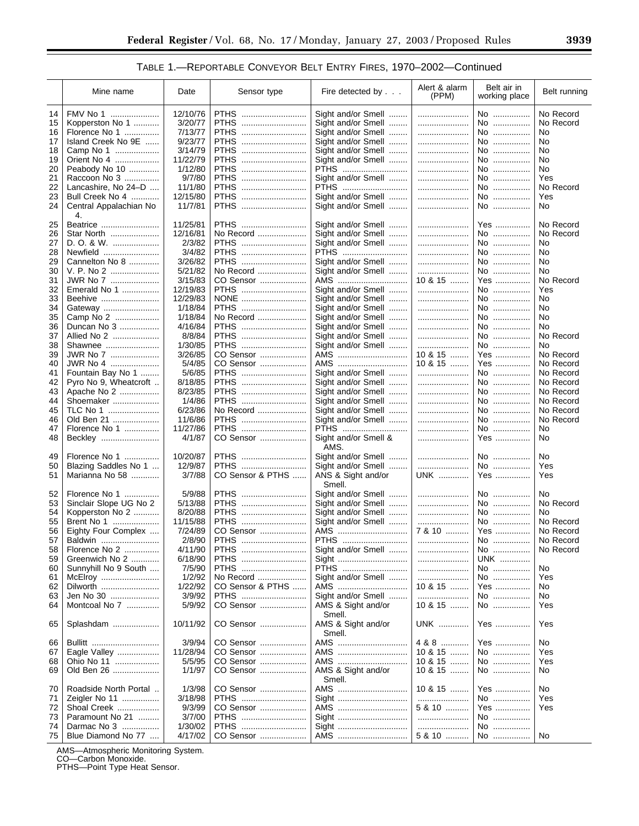#### TABLE 1.—REPORTABLE CONVEYOR BELT ENTRY FIRES, 1970–2002—Continued

|    | Mine name              | Date     | Sensor type      | Fire detected by     | Alert & alarm<br>(PPM) | Belt air in<br>working place | Belt running |
|----|------------------------|----------|------------------|----------------------|------------------------|------------------------------|--------------|
| 14 | FMV No 1               | 12/10/76 | <b>PTHS</b>      | Sight and/or Smell   |                        | No                           | No Record    |
| 15 | Kopperston No 1        | 3/20/77  | <b>PTHS</b>      | Sight and/or Smell   |                        | No                           | No Record    |
| 16 | Florence No 1          | 7/13/77  | <b>PTHS</b><br>  | Sight and/or Smell   |                        | No                           | No           |
| 17 | Island Creek No 9E     | 9/23/77  | <b>PTHS</b><br>  | Sight and/or Smell   |                        | No                           | No           |
| 18 | Camp No 1              | 3/14/79  | <b>PTHS</b>      | Sight and/or Smell   |                        | No                           | No           |
| 19 | Orient No 4            | 11/22/79 | <b>PTHS</b><br>  | Sight and/or Smell   |                        | No                           | No           |
| 20 | Peabody No 10          | 1/12/80  | <b>PTHS</b><br>  | PTHS                 |                        | No                           | No           |
| 21 | Raccoon No 3           | 9/7/80   | <b>PTHS</b>      | Sight and/or Smell   |                        | No                           | Yes          |
| 22 | Lancashire, No 24-D    | 11/1/80  | <b>PTHS</b>      | PTHS                 |                        | No                           | No Record    |
| 23 | Bull Creek No 4        | 12/15/80 | <b>PTHS</b>      | Sight and/or Smell   |                        | No                           | Yes          |
| 24 | Central Appalachian No | 11/7/81  | <b>PTHS</b>      | Sight and/or Smell   |                        | No                           | No           |
|    | 4.                     |          |                  |                      |                        |                              |              |
| 25 |                        | 11/25/81 | <b>PTHS</b>      | Sight and/or Smell   |                        | Yes                          | No Record    |
| 26 | Beatrice<br>Star North | 12/16/81 | No Record        | Sight and/or Smell   |                        | No                           | No Record    |
|    |                        |          | <b>PTHS</b>      |                      |                        |                              | No           |
| 27 | D. O. & W.             | 2/3/82   |                  | Sight and/or Smell   |                        | No                           |              |
| 28 | Newfield               | 3/4/82   | <b>PTHS</b>      | PTHS                 |                        | No                           | No           |
| 29 | Cannelton No 8         | 3/26/82  | <b>PTHS</b>      | Sight and/or Smell   |                        | No                           | No           |
| 30 | V. P. No 2             | 5/21/82  | No Record        | Sight and/or Smell   |                        | No                           | No           |
| 31 | JWR No 7               | 3/15/83  | CO Sensor        | AMS                  | 10 & 15                | Yes                          | No Record    |
| 32 | Emerald No 1           | 12/19/83 | PTHS             | Sight and/or Smell   |                        | No                           | Yes          |
| 33 | Beehive                | 12/29/83 | NONE             | Sight and/or Smell   |                        | No                           | No           |
| 34 | Gateway                | 1/18/84  | PTHS             | Sight and/or Smell   |                        | No                           | No           |
| 35 | Camp No 2              | 1/18/84  | No Record        | Sight and/or Smell   |                        | No                           | No           |
| 36 | Duncan No 3            | 4/16/84  | <b>PTHS</b>      | Sight and/or Smell   |                        | No                           | No           |
| 37 | Allied No 2            | 8/8/84   | PTHS             | Sight and/or Smell   |                        | No                           | No Record    |
| 38 | Shawnee                | 1/30/85  | PTHS             | Sight and/or Smell   |                        | No                           | No           |
| 39 | JWR No 7               | 3/26/85  | CO Sensor        | AMS                  | 10 & 15                | Yes                          | No Record    |
| 40 | JWR No 4               | 5/4/85   | CO Sensor        | AMS                  | 10 & 15                | Yes                          | No Record    |
| 41 | Fountain Bay No 1      | 5/6/85   | PTHS             | Sight and/or Smell   |                        | No                           | No Record    |
| 42 | Pyro No 9, Wheatcroft  | 8/18/85  | <b>PTHS</b>      | Sight and/or Smell   |                        | No                           | No Record    |
| 43 |                        | 8/23/85  | <b>PTHS</b>      |                      |                        | No                           | No Record    |
|    | Apache No 2            |          |                  | Sight and/or Smell   |                        |                              |              |
| 44 | Shoemaker              | 1/4/86   | PTHS             | Sight and/or Smell   |                        | No                           | No Record    |
| 45 | TLC No 1               | 6/23/86  | No Record        | Sight and/or Smell   |                        | No                           | No Record    |
| 46 | Old Ben 21             | 11/6/86  | PTHS             | Sight and/or Smell   |                        | No                           | No Record    |
| 47 | Florence No 1          | 11/27/86 | PTHS             | PTHS                 |                        | No                           | No           |
| 48 | Beckley                | 4/1/87   | CO Sensor        | Sight and/or Smell & |                        | Yes                          | No           |
|    |                        |          |                  | AMS.                 |                        |                              |              |
| 49 | Florence No 1          | 10/20/87 | <b>PTHS</b>      | Sight and/or Smell   |                        | No                           | No           |
| 50 | Blazing Saddles No 1   | 12/9/87  | <b>PTHS</b><br>  | Sight and/or Smell   |                        | No                           | Yes          |
| 51 | Marianna No 58         | 3/7/88   | CO Sensor & PTHS | ANS & Sight and/or   | <b>UNK</b>             | Yes                          | Yes          |
|    |                        |          |                  | Smell.               |                        |                              |              |
| 52 | Florence No 1          | 5/9/88   | <b>PTHS</b>      | Sight and/or Smell   |                        | No                           | No           |
| 53 | Sinclair Slope UG No 2 | 5/13/88  | <b>PTHS</b><br>  | Sight and/or Smell   |                        | No                           | No Record    |
| 54 | Kopperston No 2        | 8/20/88  | <b>PTHS</b>      | Sight and/or Smell   |                        | No                           | No           |
| 55 | Brent No 1<br>         | 11/15/88 | <b>PTHS</b>      | Sight and/or Smell   |                        | No                           | No Record    |
| 56 | Eighty Four Complex    | 7/24/89  | CO Sensor        | AMS                  | 7 & 10                 | Yes                          | No Record    |
| 57 | Baldwin                | 2/8/90   | PTHS             | PTHS                 |                        | No                           | No Record    |
| 58 | Florence No 2          | 4/11/90  | <b>PTHS</b>      | Sight and/or Smell   |                        | No                           | No Record    |
| 59 | Greenwich No 2         | 6/18/90  | <b>PTHS</b><br>  | Sight                |                        | <b>UNK</b>                   |              |
| 60 | Sunnyhill No 9 South   | 7/5/90   | <b>PTHS</b>      | PTHS                 |                        | No                           | No           |
| 61 | McElroy                | 1/2/92   | No Record        | Sight and/or Smell   |                        | No                           | Yes          |
| 62 | Dilworth               | 1/22/92  | CO Sensor & PTHS | AMS                  | 10 & 15                | Yes                          | No           |
| 63 | Jen No 30              | 3/9/92   | PTHS             | Sight and/or Smell   |                        | No                           | No           |
| 64 | Montcoal No 7          | 5/9/92   | CO Sensor        | AMS & Sight and/or   | 10 & 15                | No                           | Yes          |
|    |                        |          |                  | Smell.               |                        |                              |              |
|    | Splashdam              | 10/11/92 | CO Sensor        | AMS & Sight and/or   | <b>UNK</b>             | Yes                          | Yes          |
| 65 |                        |          |                  |                      |                        |                              |              |
|    |                        |          |                  | Smell.               |                        |                              |              |
| 66 | Bullitt                | 3/9/94   | CO Sensor        | AMS                  | 4 & 8                  | Yes                          | No           |
| 67 | Eagle Valley           | 11/28/94 | CO Sensor        | AMS                  | 10 & 15                | No                           | Yes          |
| 68 | Ohio No 11             | 5/5/95   | CO Sensor        | AMS                  | 10 & 15                | No                           | Yes          |
| 69 | Old Ben 26             | 1/1/97   | CO Sensor        | AMS & Sight and/or   | 10 & 15                | No                           | No           |
|    |                        |          |                  | Smell.               |                        |                              |              |
| 70 | Roadside North Portal  | 1/3/98   | CO Sensor        | AMS                  | 10 & 15                | Yes                          | No           |
| 71 | Zeigler No 11          | 3/18/98  | <b>PTHS</b>      | Sight                |                        | No                           | Yes          |
| 72 | Shoal Creek            | 9/3/99   | CO Sensor        | AMS                  | 5 & 10                 | Yes                          | Yes          |
| 73 | Paramount No 21        | 3/7/00   | <b>PTHS</b>      | Sight                |                        | No                           |              |
| 74 | Darmac No 3            | 1/30/02  | PTHS             | Sight                |                        | No                           |              |
| 75 | Blue Diamond No 77     | 4/17/02  | CO Sensor        | AMS                  | 5 & 10                 | No                           | No           |

AMS—Atmospheric Monitoring System. CO—Carbon Monoxide. PTHS—Point Type Heat Sensor.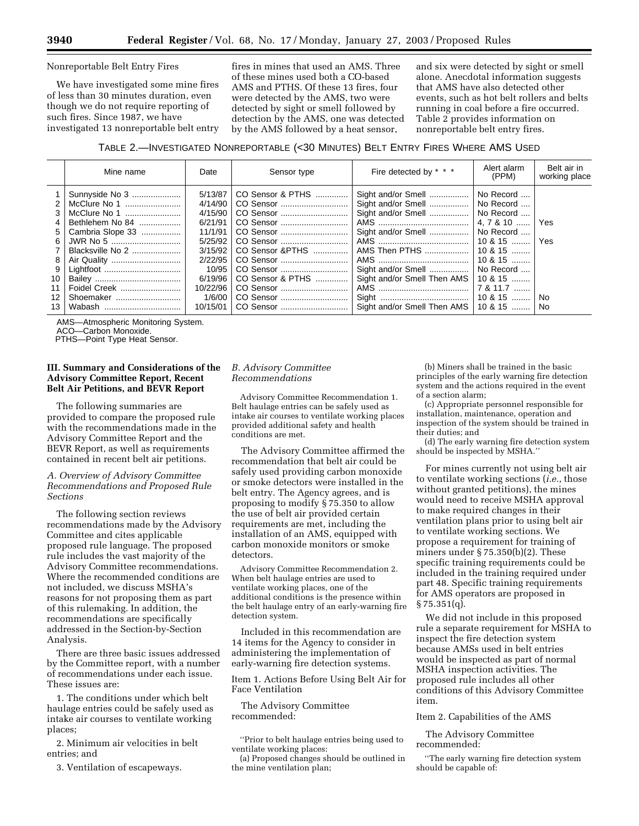Nonreportable Belt Entry Fires

We have investigated some mine fires of less than 30 minutes duration, even though we do not require reporting of such fires. Since 1987, we have investigated 13 nonreportable belt entry fires in mines that used an AMS. Three of these mines used both a CO-based AMS and PTHS. Of these 13 fires, four were detected by the AMS, two were detected by sight or smell followed by detection by the AMS, one was detected by the AMS followed by a heat sensor,

and six were detected by sight or smell alone. Anecdotal information suggests that AMS have also detected other events, such as hot belt rollers and belts running in coal before a fire occurred. Table 2 provides information on nonreportable belt entry fires.

TABLE 2.—INVESTIGATED NONREPORTABLE (<30 MINUTES) BELT ENTRY FIRES WHERE AMS USED

|                                    | Mine name                                                                                                                                                    | Date                                                                                                                                       | Sensor type                                                                                                                                                      | Fire detected by * * *                                                                                                                                                                    | Alert alarm<br>(PPM)                                                                                                                                                           | Belt air in<br>working place |
|------------------------------------|--------------------------------------------------------------------------------------------------------------------------------------------------------------|--------------------------------------------------------------------------------------------------------------------------------------------|------------------------------------------------------------------------------------------------------------------------------------------------------------------|-------------------------------------------------------------------------------------------------------------------------------------------------------------------------------------------|--------------------------------------------------------------------------------------------------------------------------------------------------------------------------------|------------------------------|
| 3<br>5<br>6<br>8<br>10<br>12<br>13 | Sunnyside No 3<br>McClure No 1<br>McClure No 1<br>Bethlehem No 84<br>Cambria Slope 33<br>JWR No 5<br>Blacksville No 2<br>Foidel Creek<br>Shoemaker<br>Wabash | 5/13/87<br>4/14/90<br>4/15/90<br>6/21/91<br>11/1/91<br>5/25/92<br>3/15/92<br>2/22/95<br>10/95<br>6/19/96<br>10/22/96<br>1/6/00<br>10/15/01 | CO Sensor & PTHS<br>CO Sensor<br>CO Sensor<br>CO Sensor<br>CO Sensor<br>CO Sensor & PTHS<br>CO Sensor<br>CO Sensor & PTHS<br>CO Sensor<br>CO Sensor<br>CO Sensor | Sight and/or Smell<br>Sight and/or Smell<br>Sight and/or Smell<br>Sight and/or Smell<br>AMS Then PTHS<br>Sight and/or Smell<br>Sight and/or Smell Then AMS<br>Sight and/or Smell Then AMS | No Record<br>No Record<br>No Record<br>$4.7810$<br>No Record<br>$10 & 15$<br>$10.8, 15, \ldots$<br>$10 & 15$<br>No Record<br>$10 & 15$<br>7 & 11.7<br>$10\,8\,15$<br>$10 & 15$ | Yes<br>Yes<br>No<br>No       |

AMS—Atmospheric Monitoring System.

ACO—Carbon Monoxide.

PTHS—Point Type Heat Sensor.

#### **III. Summary and Considerations of the Advisory Committee Report, Recent Belt Air Petitions, and BEVR Report**

The following summaries are provided to compare the proposed rule with the recommendations made in the Advisory Committee Report and the BEVR Report, as well as requirements contained in recent belt air petitions.

#### *A. Overview of Advisory Committee Recommendations and Proposed Rule Sections*

The following section reviews recommendations made by the Advisory Committee and cites applicable proposed rule language. The proposed rule includes the vast majority of the Advisory Committee recommendations. Where the recommended conditions are not included, we discuss MSHA's reasons for not proposing them as part of this rulemaking. In addition, the recommendations are specifically addressed in the Section-by-Section Analysis.

There are three basic issues addressed by the Committee report, with a number of recommendations under each issue. These issues are:

1. The conditions under which belt haulage entries could be safely used as intake air courses to ventilate working places;

2. Minimum air velocities in belt entries; and

3. Ventilation of escapeways.

#### *B. Advisory Committee Recommendations*

Advisory Committee Recommendation 1. Belt haulage entries can be safely used as intake air courses to ventilate working places provided additional safety and health conditions are met.

The Advisory Committee affirmed the recommendation that belt air could be safely used providing carbon monoxide or smoke detectors were installed in the belt entry. The Agency agrees, and is proposing to modify § 75.350 to allow the use of belt air provided certain requirements are met, including the installation of an AMS, equipped with carbon monoxide monitors or smoke detectors.

Advisory Committee Recommendation 2. When belt haulage entries are used to ventilate working places, one of the additional conditions is the presence within the belt haulage entry of an early-warning fire detection system.

Included in this recommendation are 14 items for the Agency to consider in administering the implementation of early-warning fire detection systems.

Item 1. Actions Before Using Belt Air for Face Ventilation

The Advisory Committee recommended:

''Prior to belt haulage entries being used to ventilate working places:

(a) Proposed changes should be outlined in the mine ventilation plan;

(b) Miners shall be trained in the basic principles of the early warning fire detection system and the actions required in the event of a section alarm;

(c) Appropriate personnel responsible for installation, maintenance, operation and inspection of the system should be trained in their duties; and

(d) The early warning fire detection system should be inspected by MSHA.''

For mines currently not using belt air to ventilate working sections (*i.e.*, those without granted petitions), the mines would need to receive MSHA approval to make required changes in their ventilation plans prior to using belt air to ventilate working sections. We propose a requirement for training of miners under § 75.350(b)(2). These specific training requirements could be included in the training required under part 48. Specific training requirements for AMS operators are proposed in  $\S 75.351(q)$ .

We did not include in this proposed rule a separate requirement for MSHA to inspect the fire detection system because AMSs used in belt entries would be inspected as part of normal MSHA inspection activities. The proposed rule includes all other conditions of this Advisory Committee item.

Item 2. Capabilities of the AMS

The Advisory Committee recommended:

''The early warning fire detection system should be capable of: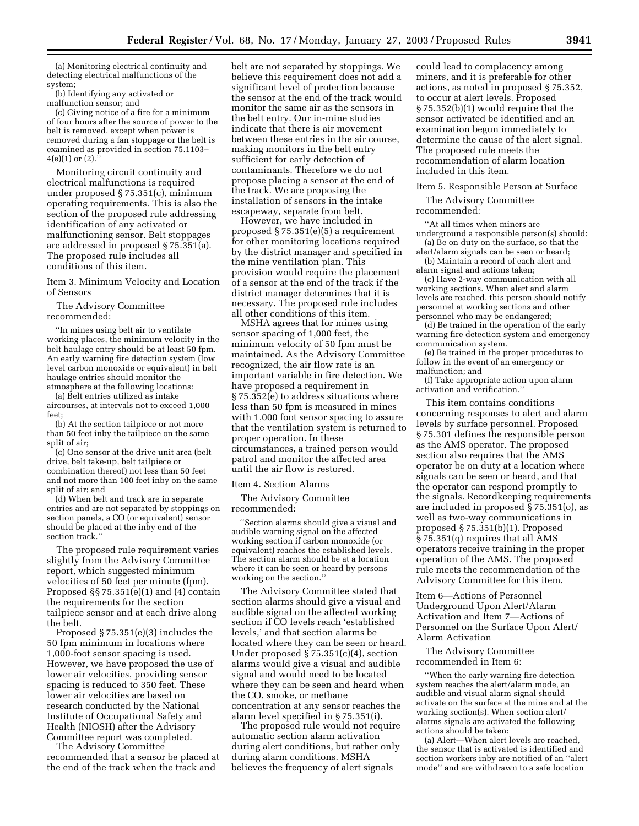(a) Monitoring electrical continuity and detecting electrical malfunctions of the system; (b) Identifying any activated or

malfunction sensor; and

(c) Giving notice of a fire for a minimum of four hours after the source of power to the belt is removed, except when power is removed during a fan stoppage or the belt is examined as provided in section 75.1103–  $4(e)(1)$  or  $(2)$ .

Monitoring circuit continuity and electrical malfunctions is required under proposed § 75.351(c), minimum operating requirements. This is also the section of the proposed rule addressing identification of any activated or malfunctioning sensor. Belt stoppages are addressed in proposed § 75.351(a). The proposed rule includes all conditions of this item.

Item 3. Minimum Velocity and Location of Sensors

The Advisory Committee recommended:

''In mines using belt air to ventilate working places, the minimum velocity in the belt haulage entry should be at least 50 fpm. An early warning fire detection system (low level carbon monoxide or equivalent) in belt haulage entries should monitor the atmosphere at the following locations:

(a) Belt entries utilized as intake aircourses, at intervals not to exceed 1,000 feet;

(b) At the section tailpiece or not more than 50 feet inby the tailpiece on the same split of air;

(c) One sensor at the drive unit area (belt drive, belt take-up, belt tailpiece or combination thereof) not less than 50 feet and not more than 100 feet inby on the same split of air; and

(d) When belt and track are in separate entries and are not separated by stoppings on section panels, a CO (or equivalent) sensor should be placed at the inby end of the section track.''

The proposed rule requirement varies slightly from the Advisory Committee report, which suggested minimum velocities of 50 feet per minute (fpm). Proposed  $\S$  75.351(e)(1) and (4) contain the requirements for the section tailpiece sensor and at each drive along the belt.

Proposed § 75.351(e)(3) includes the 50 fpm minimum in locations where 1,000-foot sensor spacing is used. However, we have proposed the use of lower air velocities, providing sensor spacing is reduced to 350 feet. These lower air velocities are based on research conducted by the National Institute of Occupational Safety and Health (NIOSH) after the Advisory Committee report was completed.

The Advisory Committee recommended that a sensor be placed at the end of the track when the track and

belt are not separated by stoppings. We believe this requirement does not add a significant level of protection because the sensor at the end of the track would monitor the same air as the sensors in the belt entry. Our in-mine studies indicate that there is air movement between these entries in the air course, making monitors in the belt entry sufficient for early detection of contaminants. Therefore we do not propose placing a sensor at the end of the track. We are proposing the installation of sensors in the intake escapeway, separate from belt.

However, we have included in proposed § 75.351(e)(5) a requirement for other monitoring locations required by the district manager and specified in the mine ventilation plan. This provision would require the placement of a sensor at the end of the track if the district manager determines that it is necessary. The proposed rule includes all other conditions of this item.

MSHA agrees that for mines using sensor spacing of 1,000 feet, the minimum velocity of 50 fpm must be maintained. As the Advisory Committee recognized, the air flow rate is an important variable in fire detection. We have proposed a requirement in § 75.352(e) to address situations where less than 50 fpm is measured in mines with 1,000 foot sensor spacing to assure that the ventilation system is returned to proper operation. In these circumstances, a trained person would patrol and monitor the affected area until the air flow is restored.

Item 4. Section Alarms

The Advisory Committee recommended:

''Section alarms should give a visual and audible warning signal on the affected working section if carbon monoxide (or equivalent) reaches the established levels. The section alarm should be at a location where it can be seen or heard by persons working on the section.''

The Advisory Committee stated that section alarms should give a visual and audible signal on the affected working section if CO levels reach 'established levels,' and that section alarms be located where they can be seen or heard. Under proposed § 75.351(c)(4), section alarms would give a visual and audible signal and would need to be located where they can be seen and heard when the CO, smoke, or methane concentration at any sensor reaches the alarm level specified in § 75.351(i).

The proposed rule would not require automatic section alarm activation during alert conditions, but rather only during alarm conditions. MSHA believes the frequency of alert signals

could lead to complacency among miners, and it is preferable for other actions, as noted in proposed § 75.352, to occur at alert levels. Proposed § 75.352(b)(1) would require that the sensor activated be identified and an examination begun immediately to determine the cause of the alert signal. The proposed rule meets the recommendation of alarm location included in this item.

Item 5. Responsible Person at Surface

The Advisory Committee recommended:

''At all times when miners are underground a responsible person(s) should: (a) Be on duty on the surface, so that the

alert/alarm signals can be seen or heard; (b) Maintain a record of each alert and alarm signal and actions taken;

(c) Have 2-way communication with all working sections. When alert and alarm levels are reached, this person should notify personnel at working sections and other personnel who may be endangered;

(d) Be trained in the operation of the early warning fire detection system and emergency communication system.

(e) Be trained in the proper procedures to follow in the event of an emergency or malfunction; and

(f) Take appropriate action upon alarm activation and verification.''

This item contains conditions concerning responses to alert and alarm levels by surface personnel. Proposed § 75.301 defines the responsible person as the AMS operator. The proposed section also requires that the AMS operator be on duty at a location where signals can be seen or heard, and that the operator can respond promptly to the signals. Recordkeeping requirements are included in proposed § 75.351(o), as well as two-way communications in proposed § 75.351(b)(1). Proposed § 75.351(q) requires that all AMS operators receive training in the proper operation of the AMS. The proposed rule meets the recommendation of the Advisory Committee for this item.

Item 6—Actions of Personnel Underground Upon Alert/Alarm Activation and Item 7—Actions of Personnel on the Surface Upon Alert/ Alarm Activation

The Advisory Committee recommended in Item 6:

''When the early warning fire detection system reaches the alert/alarm mode, an audible and visual alarm signal should activate on the surface at the mine and at the working section(s). When section alert/ alarms signals are activated the following actions should be taken:

(a) Alert—When alert levels are reached, the sensor that is activated is identified and section workers inby are notified of an ''alert mode'' and are withdrawn to a safe location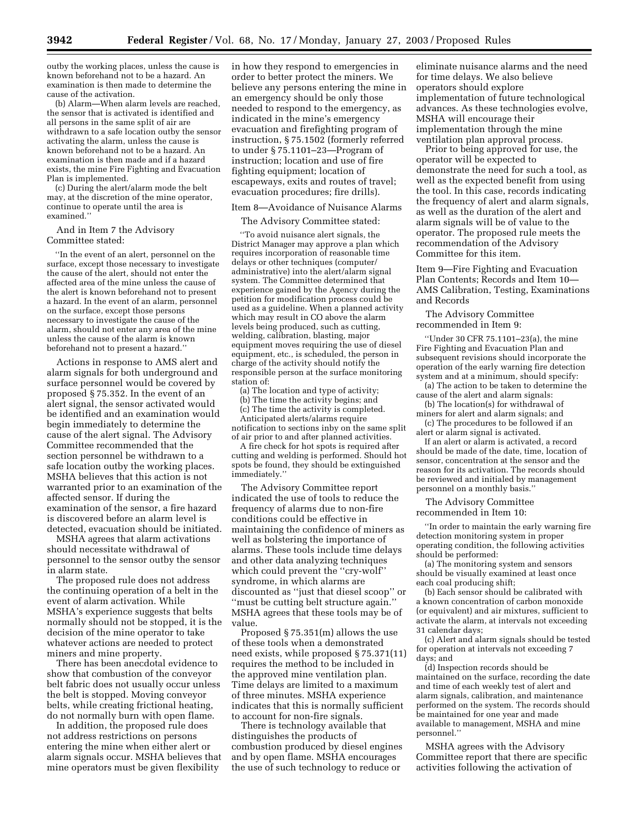outby the working places, unless the cause is known beforehand not to be a hazard. An examination is then made to determine the cause of the activation.

(b) Alarm—When alarm levels are reached, the sensor that is activated is identified and all persons in the same split of air are withdrawn to a safe location outby the sensor activating the alarm, unless the cause is known beforehand not to be a hazard. An examination is then made and if a hazard exists, the mine Fire Fighting and Evacuation Plan is implemented.

(c) During the alert/alarm mode the belt may, at the discretion of the mine operator, continue to operate until the area is examined.''

#### And in Item 7 the Advisory Committee stated:

''In the event of an alert, personnel on the surface, except those necessary to investigate the cause of the alert, should not enter the affected area of the mine unless the cause of the alert is known beforehand not to present a hazard. In the event of an alarm, personnel on the surface, except those persons necessary to investigate the cause of the alarm, should not enter any area of the mine unless the cause of the alarm is known beforehand not to present a hazard.''

Actions in response to AMS alert and alarm signals for both underground and surface personnel would be covered by proposed § 75.352. In the event of an alert signal, the sensor activated would be identified and an examination would begin immediately to determine the cause of the alert signal. The Advisory Committee recommended that the section personnel be withdrawn to a safe location outby the working places. MSHA believes that this action is not warranted prior to an examination of the affected sensor. If during the examination of the sensor, a fire hazard is discovered before an alarm level is detected, evacuation should be initiated.

MSHA agrees that alarm activations should necessitate withdrawal of personnel to the sensor outby the sensor in alarm state.

The proposed rule does not address the continuing operation of a belt in the event of alarm activation. While MSHA's experience suggests that belts normally should not be stopped, it is the decision of the mine operator to take whatever actions are needed to protect miners and mine property.

There has been anecdotal evidence to show that combustion of the conveyor belt fabric does not usually occur unless the belt is stopped. Moving conveyor belts, while creating frictional heating, do not normally burn with open flame.

In addition, the proposed rule does not address restrictions on persons entering the mine when either alert or alarm signals occur. MSHA believes that mine operators must be given flexibility

in how they respond to emergencies in order to better protect the miners. We believe any persons entering the mine in an emergency should be only those needed to respond to the emergency, as indicated in the mine's emergency evacuation and firefighting program of instruction, § 75.1502 (formerly referred to under § 75.1101–23—Program of instruction; location and use of fire fighting equipment; location of escapeways, exits and routes of travel; evacuation procedures; fire drills).

#### Item 8—Avoidance of Nuisance Alarms

#### The Advisory Committee stated:

''To avoid nuisance alert signals, the District Manager may approve a plan which requires incorporation of reasonable time delays or other techniques (computer/ administrative) into the alert/alarm signal system. The Committee determined that experience gained by the Agency during the petition for modification process could be used as a guideline. When a planned activity which may result in CO above the alarm levels being produced, such as cutting, welding, calibration, blasting, major equipment moves requiring the use of diesel equipment, etc., is scheduled, the person in charge of the activity should notify the responsible person at the surface monitoring station of:

(a) The location and type of activity;

(b) The time the activity begins; and

(c) The time the activity is completed.

Anticipated alerts/alarms require notification to sections inby on the same split of air prior to and after planned activities.

A fire check for hot spots is required after cutting and welding is performed. Should hot spots be found, they should be extinguished immediately.''

The Advisory Committee report indicated the use of tools to reduce the frequency of alarms due to non-fire conditions could be effective in maintaining the confidence of miners as well as bolstering the importance of alarms. These tools include time delays and other data analyzing techniques which could prevent the "cry-wolf" syndrome, in which alarms are discounted as ''just that diesel scoop'' or ''must be cutting belt structure again.'' MSHA agrees that these tools may be of value.

Proposed § 75.351(m) allows the use of these tools when a demonstrated need exists, while proposed § 75.371(11) requires the method to be included in the approved mine ventilation plan. Time delays are limited to a maximum of three minutes. MSHA experience indicates that this is normally sufficient to account for non-fire signals.

There is technology available that distinguishes the products of combustion produced by diesel engines and by open flame. MSHA encourages the use of such technology to reduce or

eliminate nuisance alarms and the need for time delays. We also believe operators should explore implementation of future technological advances. As these technologies evolve, MSHA will encourage their implementation through the mine ventilation plan approval process.

Prior to being approved for use, the operator will be expected to demonstrate the need for such a tool, as well as the expected benefit from using the tool. In this case, records indicating the frequency of alert and alarm signals, as well as the duration of the alert and alarm signals will be of value to the operator. The proposed rule meets the recommendation of the Advisory Committee for this item.

Item 9—Fire Fighting and Evacuation Plan Contents; Records and Item 10— AMS Calibration, Testing, Examinations and Records

The Advisory Committee recommended in Item 9:

''Under 30 CFR 75.1101–23(a), the mine Fire Fighting and Evacuation Plan and subsequent revisions should incorporate the operation of the early warning fire detection system and at a minimum, should specify:

(a) The action to be taken to determine the cause of the alert and alarm signals:

(b) The location(s) for withdrawal of miners for alert and alarm signals; and

(c) The procedures to be followed if an alert or alarm signal is activated.

If an alert or alarm is activated, a record should be made of the date, time, location of sensor, concentration at the sensor and the reason for its activation. The records should be reviewed and initialed by management personnel on a monthly basis.''

The Advisory Committee recommended in Item 10:

''In order to maintain the early warning fire detection monitoring system in proper operating condition, the following activities should be performed:

(a) The monitoring system and sensors should be visually examined at least once each coal producing shift;

(b) Each sensor should be calibrated with a known concentration of carbon monoxide (or equivalent) and air mixtures, sufficient to activate the alarm, at intervals not exceeding 31 calendar days;

(c) Alert and alarm signals should be tested for operation at intervals not exceeding 7 days; and

(d) Inspection records should be maintained on the surface, recording the date and time of each weekly test of alert and alarm signals, calibration, and maintenance performed on the system. The records should be maintained for one year and made available to management, MSHA and mine personnel.''

MSHA agrees with the Advisory Committee report that there are specific activities following the activation of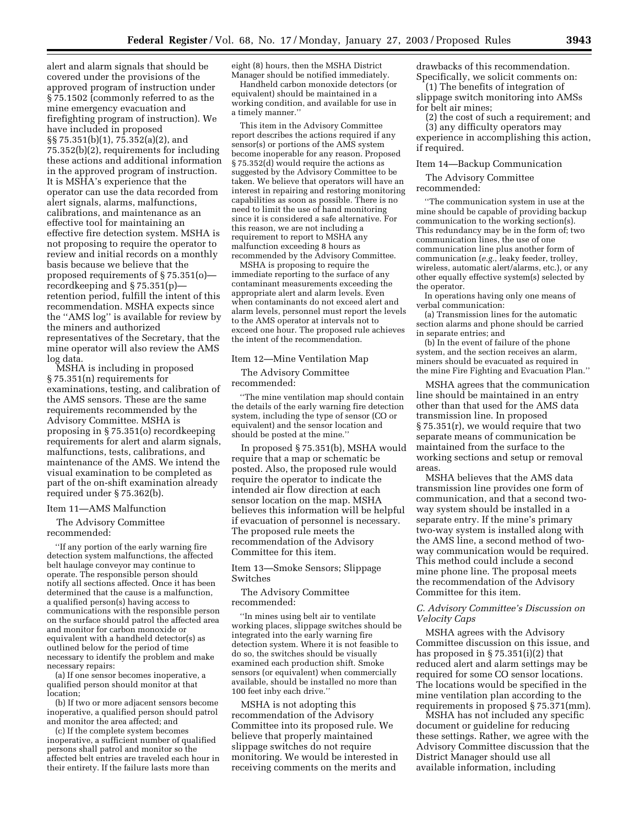alert and alarm signals that should be covered under the provisions of the approved program of instruction under § 75.1502 (commonly referred to as the mine emergency evacuation and firefighting program of instruction). We have included in proposed §§ 75.351(b)(1), 75.352(a)(2), and 75.352(b)(2), requirements for including these actions and additional information in the approved program of instruction. It is MSHA's experience that the operator can use the data recorded from alert signals, alarms, malfunctions, calibrations, and maintenance as an effective tool for maintaining an effective fire detection system. MSHA is not proposing to require the operator to review and initial records on a monthly basis because we believe that the proposed requirements of § 75.351(o) recordkeeping and § 75.351(p) retention period, fulfill the intent of this recommendation. MSHA expects since the ''AMS log'' is available for review by the miners and authorized representatives of the Secretary, that the mine operator will also review the AMS log data.

MSHA is including in proposed § 75.351(n) requirements for examinations, testing, and calibration of the AMS sensors. These are the same requirements recommended by the Advisory Committee. MSHA is proposing in § 75.351(o) recordkeeping requirements for alert and alarm signals, malfunctions, tests, calibrations, and maintenance of the AMS. We intend the visual examination to be completed as part of the on-shift examination already required under § 75.362(b).

#### Item 11—AMS Malfunction

The Advisory Committee recommended:

''If any portion of the early warning fire detection system malfunctions, the affected belt haulage conveyor may continue to operate. The responsible person should notify all sections affected. Once it has been determined that the cause is a malfunction, a qualified person(s) having access to communications with the responsible person on the surface should patrol the affected area and monitor for carbon monoxide or equivalent with a handheld detector(s) as outlined below for the period of time necessary to identify the problem and make necessary repairs:

(a) If one sensor becomes inoperative, a qualified person should monitor at that location;

(b) If two or more adjacent sensors become inoperative, a qualified person should patrol and monitor the area affected; and

(c) If the complete system becomes inoperative, a sufficient number of qualified persons shall patrol and monitor so the affected belt entries are traveled each hour in their entirety. If the failure lasts more than

eight (8) hours, then the MSHA District Manager should be notified immediately.

Handheld carbon monoxide detectors (or equivalent) should be maintained in a working condition, and available for use in a timely manner.''

This item in the Advisory Committee report describes the actions required if any sensor(s) or portions of the AMS system become inoperable for any reason. Proposed § 75.352(d) would require the actions as suggested by the Advisory Committee to be taken. We believe that operators will have an interest in repairing and restoring monitoring capabilities as soon as possible. There is no need to limit the use of hand monitoring since it is considered a safe alternative. For this reason, we are not including a requirement to report to MSHA any malfunction exceeding 8 hours as recommended by the Advisory Committee.

MSHA is proposing to require the immediate reporting to the surface of any contaminant measurements exceeding the appropriate alert and alarm levels. Even when contaminants do not exceed alert and alarm levels, personnel must report the levels to the AMS operator at intervals not to exceed one hour. The proposed rule achieves the intent of the recommendation.

#### Item 12—Mine Ventilation Map

The Advisory Committee recommended:

The mine ventilation map should contain the details of the early warning fire detection system, including the type of sensor (CO or equivalent) and the sensor location and should be posted at the mine.''

In proposed § 75.351(b), MSHA would require that a map or schematic be posted. Also, the proposed rule would require the operator to indicate the intended air flow direction at each sensor location on the map. MSHA believes this information will be helpful if evacuation of personnel is necessary. The proposed rule meets the recommendation of the Advisory Committee for this item.

Item 13—Smoke Sensors; Slippage Switches

The Advisory Committee recommended:

''In mines using belt air to ventilate working places, slippage switches should be integrated into the early warning fire detection system. Where it is not feasible to do so, the switches should be visually examined each production shift. Smoke sensors (or equivalent) when commercially available, should be installed no more than 100 feet inby each drive.''

MSHA is not adopting this recommendation of the Advisory Committee into its proposed rule. We believe that properly maintained slippage switches do not require monitoring. We would be interested in receiving comments on the merits and

drawbacks of this recommendation. Specifically, we solicit comments on:

(1) The benefits of integration of slippage switch monitoring into AMSs for belt air mines;

(2) the cost of such a requirement; and (3) any difficulty operators may

experience in accomplishing this action, if required.

#### Item 14—Backup Communication

The Advisory Committee recommended:

''The communication system in use at the mine should be capable of providing backup communication to the working section(s). This redundancy may be in the form of; two communication lines, the use of one communication line plus another form of communication (*e.g.*, leaky feeder, trolley, wireless, automatic alert/alarms, etc.), or any other equally effective system(s) selected by the operator.

In operations having only one means of verbal communication:

(a) Transmission lines for the automatic section alarms and phone should be carried in separate entries; and

(b) In the event of failure of the phone system, and the section receives an alarm, miners should be evacuated as required in the mine Fire Fighting and Evacuation Plan.''

MSHA agrees that the communication line should be maintained in an entry other than that used for the AMS data transmission line. In proposed § 75.351(r), we would require that two separate means of communication be maintained from the surface to the working sections and setup or removal areas.

MSHA believes that the AMS data transmission line provides one form of communication, and that a second twoway system should be installed in a separate entry. If the mine's primary two-way system is installed along with the AMS line, a second method of twoway communication would be required. This method could include a second mine phone line. The proposal meets the recommendation of the Advisory Committee for this item.

#### *C. Advisory Committee's Discussion on Velocity Caps*

MSHA agrees with the Advisory Committee discussion on this issue, and has proposed in § 75.351(i)(2) that reduced alert and alarm settings may be required for some CO sensor locations. The locations would be specified in the mine ventilation plan according to the requirements in proposed § 75.371(mm).

MSHA has not included any specific document or guideline for reducing these settings. Rather, we agree with the Advisory Committee discussion that the District Manager should use all available information, including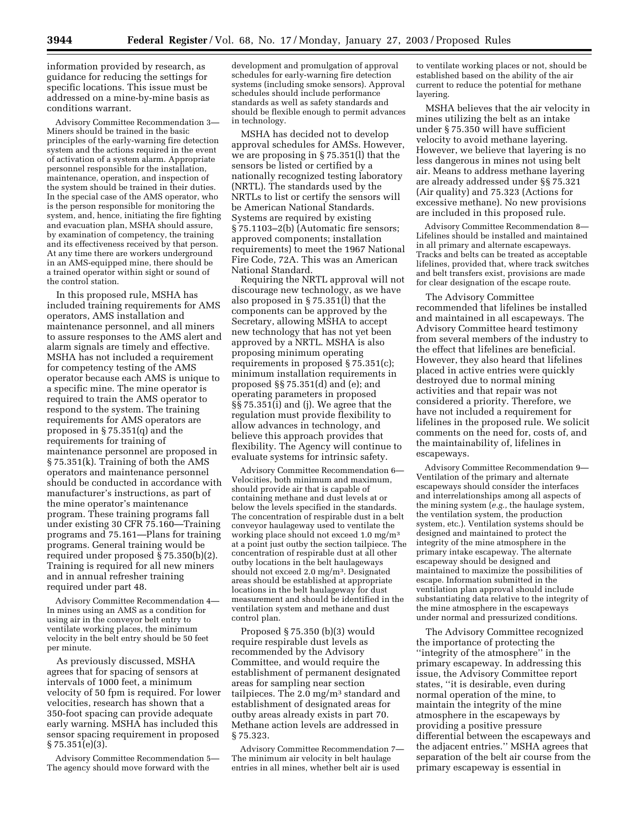information provided by research, as guidance for reducing the settings for specific locations. This issue must be addressed on a mine-by-mine basis as conditions warrant.

Advisory Committee Recommendation 3— Miners should be trained in the basic principles of the early-warning fire detection system and the actions required in the event of activation of a system alarm. Appropriate personnel responsible for the installation, maintenance, operation, and inspection of the system should be trained in their duties. In the special case of the AMS operator, who is the person responsible for monitoring the system, and, hence, initiating the fire fighting and evacuation plan, MSHA should assure, by examination of competency, the training and its effectiveness received by that person. At any time there are workers underground in an AMS-equipped mine, there should be a trained operator within sight or sound of the control station.

In this proposed rule, MSHA has included training requirements for AMS operators, AMS installation and maintenance personnel, and all miners to assure responses to the AMS alert and alarm signals are timely and effective. MSHA has not included a requirement for competency testing of the AMS operator because each AMS is unique to a specific mine. The mine operator is required to train the AMS operator to respond to the system. The training requirements for AMS operators are proposed in § 75.351(q) and the requirements for training of maintenance personnel are proposed in § 75.351(k). Training of both the AMS operators and maintenance personnel should be conducted in accordance with manufacturer's instructions, as part of the mine operator's maintenance program. These training programs fall under existing 30 CFR 75.160—Training programs and 75.161—Plans for training programs. General training would be required under proposed § 75.350(b)(2). Training is required for all new miners and in annual refresher training required under part 48.

Advisory Committee Recommendation 4— In mines using an AMS as a condition for using air in the conveyor belt entry to ventilate working places, the minimum velocity in the belt entry should be 50 feet per minute.

As previously discussed, MSHA agrees that for spacing of sensors at intervals of 1000 feet, a minimum velocity of 50 fpm is required. For lower velocities, research has shown that a 350-foot spacing can provide adequate early warning. MSHA has included this sensor spacing requirement in proposed § 75.351(e)(3).

Advisory Committee Recommendation 5— The agency should move forward with the

development and promulgation of approval schedules for early-warning fire detection systems (including smoke sensors). Approval schedules should include performance standards as well as safety standards and should be flexible enough to permit advances in technology.

MSHA has decided not to develop approval schedules for AMSs. However, we are proposing in § 75.351(l) that the sensors be listed or certified by a nationally recognized testing laboratory (NRTL). The standards used by the NRTLs to list or certify the sensors will be American National Standards. Systems are required by existing § 75.1103–2(b) (Automatic fire sensors; approved components; installation requirements) to meet the 1967 National Fire Code, 72A. This was an American National Standard.

Requiring the NRTL approval will not discourage new technology, as we have also proposed in § 75.351(l) that the components can be approved by the Secretary, allowing MSHA to accept new technology that has not yet been approved by a NRTL. MSHA is also proposing minimum operating requirements in proposed § 75.351(c); minimum installation requirements in proposed §§ 75.351(d) and (e); and operating parameters in proposed §§ 75.351(i) and (j). We agree that the regulation must provide flexibility to allow advances in technology, and believe this approach provides that flexibility. The Agency will continue to evaluate systems for intrinsic safety.

Advisory Committee Recommendation 6— Velocities, both minimum and maximum, should provide air that is capable of containing methane and dust levels at or below the levels specified in the standards. The concentration of respirable dust in a belt conveyor haulageway used to ventilate the working place should not exceed 1.0 mg/m3 at a point just outby the section tailpiece. The concentration of respirable dust at all other outby locations in the belt haulageways should not exceed 2.0 mg/m3. Designated areas should be established at appropriate locations in the belt haulageway for dust measurement and should be identified in the ventilation system and methane and dust control plan.

Proposed § 75.350 (b)(3) would require respirable dust levels as recommended by the Advisory Committee, and would require the establishment of permanent designated areas for sampling near section tailpieces. The 2.0 mg/m3 standard and establishment of designated areas for outby areas already exists in part 70. Methane action levels are addressed in § 75.323.

Advisory Committee Recommendation 7— The minimum air velocity in belt haulage entries in all mines, whether belt air is used

to ventilate working places or not, should be established based on the ability of the air current to reduce the potential for methane layering.

MSHA believes that the air velocity in mines utilizing the belt as an intake under § 75.350 will have sufficient velocity to avoid methane layering. However, we believe that layering is no less dangerous in mines not using belt air. Means to address methane layering are already addressed under §§ 75.321 (Air quality) and 75.323 (Actions for excessive methane). No new provisions are included in this proposed rule.

Advisory Committee Recommendation 8— Lifelines should be installed and maintained in all primary and alternate escapeways. Tracks and belts can be treated as acceptable lifelines, provided that, where track switches and belt transfers exist, provisions are made for clear designation of the escape route.

The Advisory Committee recommended that lifelines be installed and maintained in all escapeways. The Advisory Committee heard testimony from several members of the industry to the effect that lifelines are beneficial. However, they also heard that lifelines placed in active entries were quickly destroyed due to normal mining activities and that repair was not considered a priority. Therefore, we have not included a requirement for lifelines in the proposed rule. We solicit comments on the need for, costs of, and the maintainability of, lifelines in escapeways.

Advisory Committee Recommendation 9— Ventilation of the primary and alternate escapeways should consider the interfaces and interrelationships among all aspects of the mining system (*e.g.*, the haulage system, the ventilation system, the production system, etc.). Ventilation systems should be designed and maintained to protect the integrity of the mine atmosphere in the primary intake escapeway. The alternate escapeway should be designed and maintained to maximize the possibilities of escape. Information submitted in the ventilation plan approval should include substantiating data relative to the integrity of the mine atmosphere in the escapeways under normal and pressurized conditions.

The Advisory Committee recognized the importance of protecting the ''integrity of the atmosphere'' in the primary escapeway. In addressing this issue, the Advisory Committee report states, ''it is desirable, even during normal operation of the mine, to maintain the integrity of the mine atmosphere in the escapeways by providing a positive pressure differential between the escapeways and the adjacent entries.'' MSHA agrees that separation of the belt air course from the primary escapeway is essential in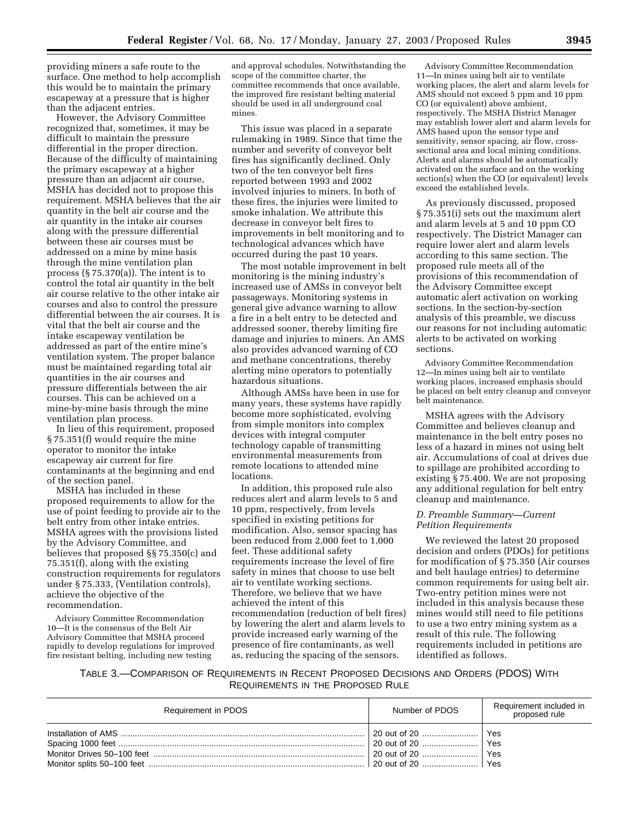providing miners a safe route to the surface. One method to help accomplish this would be to maintain the primary escapeway at a pressure that is higher than the adjacent entries.

However, the Advisory Committee recognized that, sometimes, it may be difficult to maintain the pressure differential in the proper direction. Because of the difficulty of maintaining the primary escapeway at a higher pressure than an adjacent air course, MSHA has decided not to propose this requirement. MSHA believes that the air quantity in the belt air course and the air quantity in the intake air courses along with the pressure differential between these air courses must be addressed on a mine by mine basis through the mine ventilation plan process (§ 75.370(a)). The intent is to control the total air quantity in the belt air course relative to the other intake air courses and also to control the pressure differential between the air courses. It is vital that the belt air course and the intake escapeway ventilation be addressed as part of the entire mine's ventilation system. The proper balance must be maintained regarding total air quantities in the air courses and pressure differentials between the air courses. This can be achieved on a mine-by-mine basis through the mine ventilation plan process.

In lieu of this requirement, proposed § 75.351(f) would require the mine operator to monitor the intake escapeway air current for fire contaminants at the beginning and end of the section panel.

MSHA has included in these proposed requirements to allow for the use of point feeding to provide air to the belt entry from other intake entries. MSHA agrees with the provisions listed by the Advisory Committee, and believes that proposed §§ 75.350(c) and 75.351(f), along with the existing construction requirements for regulators under § 75.333, (Ventilation controls), achieve the objective of the recommendation.

Advisory Committee Recommendation 10—It is the consensus of the Belt Air Advisory Committee that MSHA proceed rapidly to develop regulations for improved fire resistant belting, including new testing

and approval schedules. Notwithstanding the scope of the committee charter, the committee recommends that once available, the improved fire resistant belting material should be used in all underground coal mines.

This issue was placed in a separate rulemaking in 1989. Since that time the number and severity of conveyor belt fires has significantly declined. Only two of the ten conveyor belt fires reported between 1993 and 2002 involved injuries to miners. In both of these fires, the injuries were limited to smoke inhalation. We attribute this decrease in conveyor belt fires to improvements in belt monitoring and to technological advances which have occurred during the past 10 years.

The most notable improvement in belt monitoring is the mining industry's increased use of AMSs in conveyor belt passageways. Monitoring systems in general give advance warning to allow a fire in a belt entry to be detected and addressed sooner, thereby limiting fire damage and injuries to miners. An AMS also provides advanced warning of CO and methane concentrations, thereby alerting mine operators to potentially hazardous situations.

Although AMSs have been in use for many years, these systems have rapidly become more sophisticated, evolving from simple monitors into complex devices with integral computer technology capable of transmitting environmental measurements from remote locations to attended mine locations.

In addition, this proposed rule also reduces alert and alarm levels to 5 and 10 ppm, respectively, from levels specified in existing petitions for modification. Also, sensor spacing has been reduced from 2,000 feet to 1,000 feet. These additional safety requirements increase the level of fire safety in mines that choose to use belt air to ventilate working sections. Therefore, we believe that we have achieved the intent of this recommendation (reduction of belt fires) by lowering the alert and alarm levels to provide increased early warning of the presence of fire contaminants, as well as, reducing the spacing of the sensors.

Advisory Committee Recommendation 11—In mines using belt air to ventilate working places, the alert and alarm levels for AMS should not exceed 5 ppm and 10 ppm CO (or equivalent) above ambient, respectively. The MSHA District Manager may establish lower alert and alarm levels for AMS based upon the sensor type and sensitivity, sensor spacing, air flow, crosssectional area and local mining conditions. Alerts and alarms should be automatically activated on the surface and on the working section(s) when the CO (or equivalent) levels exceed the established levels.

As previously discussed, proposed § 75.351(i) sets out the maximum alert and alarm levels at 5 and 10 ppm CO respectively. The District Manager can require lower alert and alarm levels according to this same section. The proposed rule meets all of the provisions of this recommendation of the Advisory Committee except automatic alert activation on working sections. In the section-by-section analysis of this preamble, we discuss our reasons for not including automatic alerts to be activated on working sections.

Advisory Committee Recommendation 12—In mines using belt air to ventilate working places, increased emphasis should be placed on belt entry cleanup and conveyor belt maintenance.

MSHA agrees with the Advisory Committee and believes cleanup and maintenance in the belt entry poses no less of a hazard in mines not using belt air. Accumulations of coal at drives due to spillage are prohibited according to existing § 75.400. We are not proposing any additional regulation for belt entry cleanup and maintenance.

#### *D. Preamble Summary—Current Petition Requirements*

We reviewed the latest 20 proposed decision and orders (PDOs) for petitions for modification of § 75.350 (Air courses and belt haulage entries) to determine common requirements for using belt air. Two-entry petition mines were not included in this analysis because these mines would still need to file petitions to use a two entry mining system as a result of this rule. The following requirements included in petitions are identified as follows.

#### TABLE 3.—COMPARISON OF REQUIREMENTS IN RECENT PROPOSED DECISIONS AND ORDERS (PDOS) WITH REQUIREMENTS IN THE PROPOSED RULE

| Requirement in PDOS | Number of PDOS      | Requirement included in<br>proposed rule |
|---------------------|---------------------|------------------------------------------|
|                     | 20 out of 20    Yes | Yes                                      |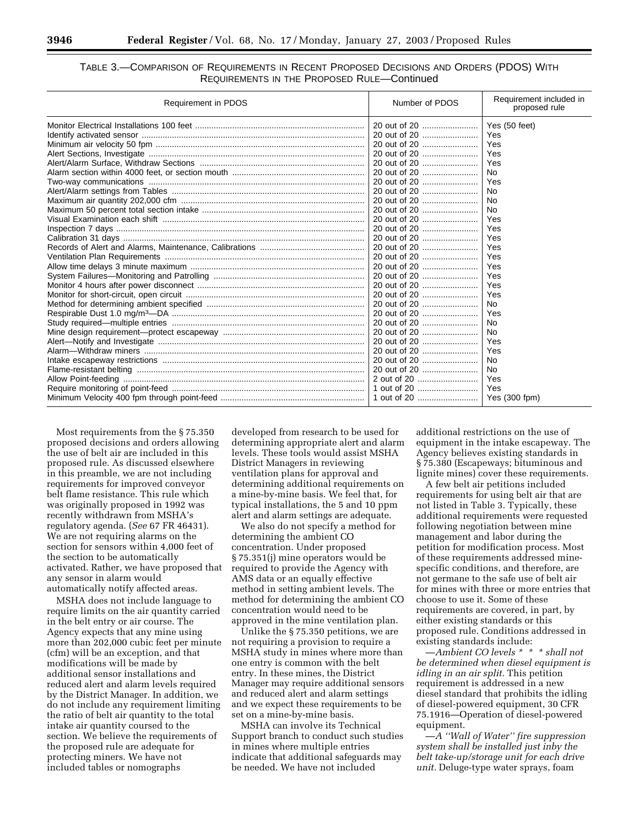#### TABLE 3.—COMPARISON OF REQUIREMENTS IN RECENT PROPOSED DECISIONS AND ORDERS (PDOS) WITH REQUIREMENTS IN THE PROPOSED RULE—Continued

| Requirement in PDOS | Number of PDOS | Requirement included in<br>proposed rule |  |
|---------------------|----------------|------------------------------------------|--|
|                     | 20 out of 20   | Yes (50 feet)                            |  |
|                     |                | Yes                                      |  |
|                     |                | Yes                                      |  |
|                     |                | Yes                                      |  |
|                     | 20 out of 20   | Yes                                      |  |
|                     | 20 out of 20   | <b>No</b>                                |  |
|                     | 20 out of 20   | Yes                                      |  |
|                     | 20 out of 20   | No.                                      |  |
|                     | 20 out of 20   | No.                                      |  |
|                     | 20 out of 20   | <b>No</b>                                |  |
|                     |                | Yes                                      |  |
|                     |                | Yes                                      |  |
|                     | 20 out of 20   | Yes                                      |  |
|                     |                | Yes                                      |  |
|                     | 20 out of 20   | Yes                                      |  |
|                     |                | Yes                                      |  |
|                     |                | Yes                                      |  |
|                     | 20 out of 20   | Yes                                      |  |
|                     | 20 out of 20   | Yes                                      |  |
|                     |                | <b>No</b>                                |  |
|                     |                | Yes                                      |  |
|                     |                | <b>No</b>                                |  |
|                     | 20 out of 20   | <b>No</b>                                |  |
|                     | 20 out of 20   | Yes                                      |  |
|                     |                | Yes                                      |  |
|                     |                | <b>No</b>                                |  |
|                     | 20 out of 20   | <b>No</b>                                |  |
|                     | 2 out of 20    | Yes                                      |  |
|                     |                | Yes                                      |  |
|                     |                | Yes (300 fpm)                            |  |

Most requirements from the § 75.350 proposed decisions and orders allowing the use of belt air are included in this proposed rule. As discussed elsewhere in this preamble, we are not including requirements for improved conveyor belt flame resistance. This rule which was originally proposed in 1992 was recently withdrawn from MSHA's regulatory agenda. (*See* 67 FR 46431). We are not requiring alarms on the section for sensors within 4,000 feet of the section to be automatically activated. Rather, we have proposed that any sensor in alarm would automatically notify affected areas.

MSHA does not include language to require limits on the air quantity carried in the belt entry or air course. The Agency expects that any mine using more than 202,000 cubic feet per minute (cfm) will be an exception, and that modifications will be made by additional sensor installations and reduced alert and alarm levels required by the District Manager. In addition, we do not include any requirement limiting the ratio of belt air quantity to the total intake air quantity coursed to the section. We believe the requirements of the proposed rule are adequate for protecting miners. We have not included tables or nomographs

developed from research to be used for determining appropriate alert and alarm levels. These tools would assist MSHA District Managers in reviewing ventilation plans for approval and determining additional requirements on a mine-by-mine basis. We feel that, for typical installations, the 5 and 10 ppm alert and alarm settings are adequate.

We also do not specify a method for determining the ambient CO concentration. Under proposed § 75.351(j) mine operators would be required to provide the Agency with AMS data or an equally effective method in setting ambient levels. The method for determining the ambient CO concentration would need to be approved in the mine ventilation plan.

Unlike the § 75.350 petitions, we are not requiring a provision to require a MSHA study in mines where more than one entry is common with the belt entry. In these mines, the District Manager may require additional sensors and reduced alert and alarm settings and we expect these requirements to be set on a mine-by-mine basis.

MSHA can involve its Technical Support branch to conduct such studies in mines where multiple entries indicate that additional safeguards may be needed. We have not included

additional restrictions on the use of equipment in the intake escapeway. The Agency believes existing standards in § 75.380 (Escapeways; bituminous and lignite mines) cover these requirements.

A few belt air petitions included requirements for using belt air that are not listed in Table 3. Typically, these additional requirements were requested following negotiation between mine management and labor during the petition for modification process. Most of these requirements addressed minespecific conditions, and therefore, are not germane to the safe use of belt air for mines with three or more entries that choose to use it. Some of these requirements are covered, in part, by either existing standards or this proposed rule. Conditions addressed in existing standards include:

—*Ambient CO levels \* \* \* shall not be determined when diesel equipment is idling in an air split.* This petition requirement is addressed in a new diesel standard that prohibits the idling of diesel-powered equipment, 30 CFR 75.1916—Operation of diesel-powered equipment.

—*A ''Wall of Water'' fire suppression system shall be installed just inby the belt take-up/storage unit for each drive unit.* Deluge-type water sprays, foam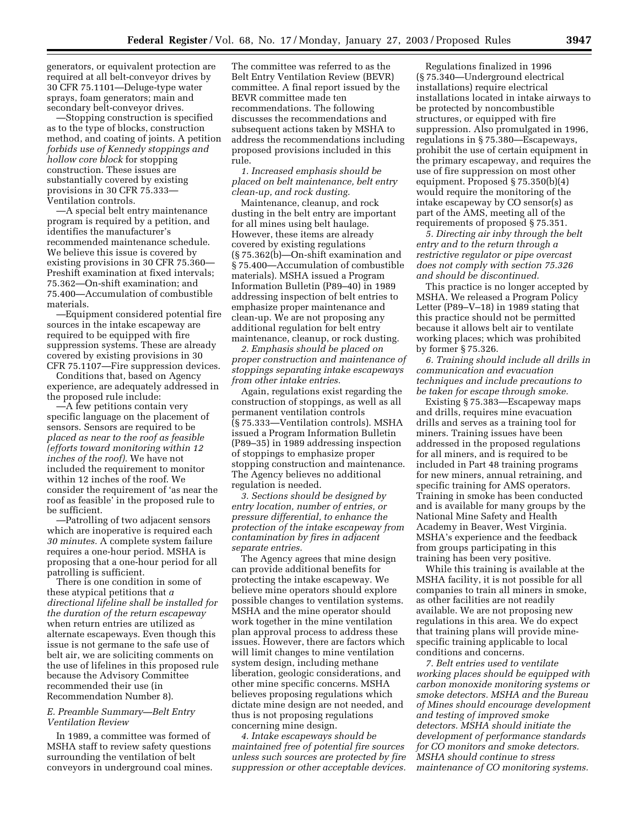generators, or equivalent protection are required at all belt-conveyor drives by 30 CFR 75.1101—Deluge-type water sprays, foam generators; main and secondary belt-conveyor drives.

—Stopping construction is specified as to the type of blocks, construction method, and coating of joints. A petition *forbids use of Kennedy stoppings and hollow core block* for stopping construction. These issues are substantially covered by existing provisions in 30 CFR 75.333— Ventilation controls.

—A special belt entry maintenance program is required by a petition, and identifies the manufacturer's recommended maintenance schedule. We believe this issue is covered by existing provisions in 30 CFR 75.360— Preshift examination at fixed intervals; 75.362—On-shift examination; and 75.400—Accumulation of combustible materials.

—Equipment considered potential fire sources in the intake escapeway are required to be equipped with fire suppression systems. These are already covered by existing provisions in 30 CFR 75.1107—Fire suppression devices.

Conditions that, based on Agency experience, are adequately addressed in the proposed rule include:

—A few petitions contain very specific language on the placement of sensors. Sensors are required to be *placed as near to the roof as feasible (efforts toward monitoring within 12 inches of the roof).* We have not included the requirement to monitor within 12 inches of the roof. We consider the requirement of 'as near the roof as feasible' in the proposed rule to be sufficient.

—Patrolling of two adjacent sensors which are inoperative is required each *30 minutes.* A complete system failure requires a one-hour period. MSHA is proposing that a one-hour period for all patrolling is sufficient.

There is one condition in some of these atypical petitions that *a directional lifeline shall be installed for the duration of the return escapeway* when return entries are utilized as alternate escapeways. Even though this issue is not germane to the safe use of belt air, we are soliciting comments on the use of lifelines in this proposed rule because the Advisory Committee recommended their use (in Recommendation Number 8).

#### *E. Preamble Summary—Belt Entry Ventilation Review*

In 1989, a committee was formed of MSHA staff to review safety questions surrounding the ventilation of belt conveyors in underground coal mines.

The committee was referred to as the Belt Entry Ventilation Review (BEVR) committee. A final report issued by the BEVR committee made ten recommendations. The following discusses the recommendations and subsequent actions taken by MSHA to address the recommendations including proposed provisions included in this rule.

*1. Increased emphasis should be placed on belt maintenance, belt entry clean-up, and rock dusting.*

Maintenance, cleanup, and rock dusting in the belt entry are important for all mines using belt haulage. However, these items are already covered by existing regulations (§ 75.362(b)—On-shift examination and § 75.400—Accumulation of combustible materials). MSHA issued a Program Information Bulletin (P89–40) in 1989 addressing inspection of belt entries to emphasize proper maintenance and clean-up. We are not proposing any additional regulation for belt entry maintenance, cleanup, or rock dusting.

*2. Emphasis should be placed on proper construction and maintenance of stoppings separating intake escapeways from other intake entries.*

Again, regulations exist regarding the construction of stoppings, as well as all permanent ventilation controls (§ 75.333—Ventilation controls). MSHA issued a Program Information Bulletin (P89–35) in 1989 addressing inspection of stoppings to emphasize proper stopping construction and maintenance. The Agency believes no additional regulation is needed.

*3. Sections should be designed by entry location, number of entries, or pressure differential, to enhance the protection of the intake escapeway from contamination by fires in adjacent separate entries.*

The Agency agrees that mine design can provide additional benefits for protecting the intake escapeway. We believe mine operators should explore possible changes to ventilation systems. MSHA and the mine operator should work together in the mine ventilation plan approval process to address these issues. However, there are factors which will limit changes to mine ventilation system design, including methane liberation, geologic considerations, and other mine specific concerns. MSHA believes proposing regulations which dictate mine design are not needed, and thus is not proposing regulations concerning mine design.

*4. Intake escapeways should be maintained free of potential fire sources unless such sources are protected by fire suppression or other acceptable devices.*

Regulations finalized in 1996 (§ 75.340—Underground electrical installations) require electrical installations located in intake airways to be protected by noncombustible structures, or equipped with fire suppression. Also promulgated in 1996, regulations in § 75.380—Escapeways, prohibit the use of certain equipment in the primary escapeway, and requires the use of fire suppression on most other equipment. Proposed § 75.350(b)(4) would require the monitoring of the intake escapeway by CO sensor(s) as part of the AMS, meeting all of the requirements of proposed § 75.351.

*5. Directing air inby through the belt entry and to the return through a restrictive regulator or pipe overcast does not comply with section 75.326 and should be discontinued.*

This practice is no longer accepted by MSHA. We released a Program Policy Letter (P89–V–18) in 1989 stating that this practice should not be permitted because it allows belt air to ventilate working places; which was prohibited by former § 75.326.

*6. Training should include all drills in communication and evacuation techniques and include precautions to be taken for escape through smoke.*

Existing § 75.383—Escapeway maps and drills, requires mine evacuation drills and serves as a training tool for miners. Training issues have been addressed in the proposed regulations for all miners, and is required to be included in Part 48 training programs for new miners, annual retraining, and specific training for AMS operators. Training in smoke has been conducted and is available for many groups by the National Mine Safety and Health Academy in Beaver, West Virginia. MSHA's experience and the feedback from groups participating in this training has been very positive.

While this training is available at the MSHA facility, it is not possible for all companies to train all miners in smoke, as other facilities are not readily available. We are not proposing new regulations in this area. We do expect that training plans will provide minespecific training applicable to local conditions and concerns.

*7. Belt entries used to ventilate working places should be equipped with carbon monoxide monitoring systems or smoke detectors. MSHA and the Bureau of Mines should encourage development and testing of improved smoke detectors. MSHA should initiate the development of performance standards for CO monitors and smoke detectors. MSHA should continue to stress maintenance of CO monitoring systems.*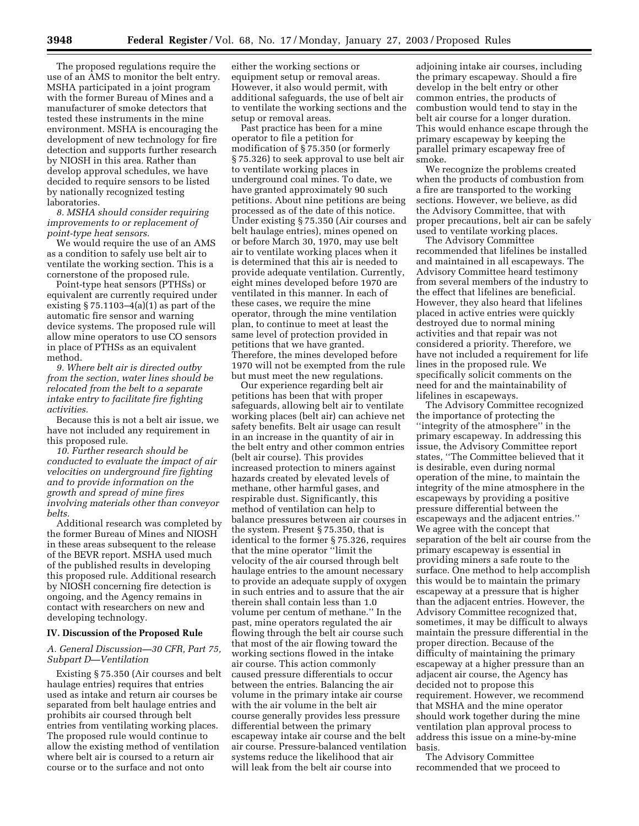The proposed regulations require the use of an AMS to monitor the belt entry. MSHA participated in a joint program with the former Bureau of Mines and a manufacturer of smoke detectors that tested these instruments in the mine environment. MSHA is encouraging the development of new technology for fire detection and supports further research by NIOSH in this area. Rather than develop approval schedules, we have decided to require sensors to be listed by nationally recognized testing laboratories.

*8. MSHA should consider requiring improvements to or replacement of point-type heat sensors.*

We would require the use of an AMS as a condition to safely use belt air to ventilate the working section. This is a cornerstone of the proposed rule.

Point-type heat sensors (PTHSs) or equivalent are currently required under existing  $\S 75.1103-4(a)(1)$  as part of the automatic fire sensor and warning device systems. The proposed rule will allow mine operators to use CO sensors in place of PTHSs as an equivalent method.

*9. Where belt air is directed outby from the section, water lines should be relocated from the belt to a separate intake entry to facilitate fire fighting activities.*

Because this is not a belt air issue, we have not included any requirement in this proposed rule.

*10. Further research should be conducted to evaluate the impact of air velocities on underground fire fighting and to provide information on the growth and spread of mine fires involving materials other than conveyor belts.*

Additional research was completed by the former Bureau of Mines and NIOSH in these areas subsequent to the release of the BEVR report. MSHA used much of the published results in developing this proposed rule. Additional research by NIOSH concerning fire detection is ongoing, and the Agency remains in contact with researchers on new and developing technology.

#### **IV. Discussion of the Proposed Rule**

#### *A. General Discussion—30 CFR, Part 75, Subpart D—Ventilation*

Existing § 75.350 (Air courses and belt haulage entries) requires that entries used as intake and return air courses be separated from belt haulage entries and prohibits air coursed through belt entries from ventilating working places. The proposed rule would continue to allow the existing method of ventilation where belt air is coursed to a return air course or to the surface and not onto

either the working sections or equipment setup or removal areas. However, it also would permit, with additional safeguards, the use of belt air to ventilate the working sections and the setup or removal areas.

Past practice has been for a mine operator to file a petition for modification of § 75.350 (or formerly § 75.326) to seek approval to use belt air to ventilate working places in underground coal mines. To date, we have granted approximately 90 such petitions. About nine petitions are being processed as of the date of this notice. Under existing § 75.350 (Air courses and belt haulage entries), mines opened on or before March 30, 1970, may use belt air to ventilate working places when it is determined that this air is needed to provide adequate ventilation. Currently, eight mines developed before 1970 are ventilated in this manner. In each of these cases, we require the mine operator, through the mine ventilation plan, to continue to meet at least the same level of protection provided in petitions that we have granted. Therefore, the mines developed before 1970 will not be exempted from the rule but must meet the new regulations.

Our experience regarding belt air petitions has been that with proper safeguards, allowing belt air to ventilate working places (belt air) can achieve net safety benefits. Belt air usage can result in an increase in the quantity of air in the belt entry and other common entries (belt air course). This provides increased protection to miners against hazards created by elevated levels of methane, other harmful gases, and respirable dust. Significantly, this method of ventilation can help to balance pressures between air courses in the system. Present § 75.350, that is identical to the former § 75.326, requires that the mine operator ''limit the velocity of the air coursed through belt haulage entries to the amount necessary to provide an adequate supply of oxygen in such entries and to assure that the air therein shall contain less than 1.0 volume per centum of methane.'' In the past, mine operators regulated the air flowing through the belt air course such that most of the air flowing toward the working sections flowed in the intake air course. This action commonly caused pressure differentials to occur between the entries. Balancing the air volume in the primary intake air course with the air volume in the belt air course generally provides less pressure differential between the primary escapeway intake air course and the belt air course. Pressure-balanced ventilation systems reduce the likelihood that air will leak from the belt air course into

adjoining intake air courses, including the primary escapeway. Should a fire develop in the belt entry or other common entries, the products of combustion would tend to stay in the belt air course for a longer duration. This would enhance escape through the primary escapeway by keeping the parallel primary escapeway free of smoke.

We recognize the problems created when the products of combustion from a fire are transported to the working sections. However, we believe, as did the Advisory Committee, that with proper precautions, belt air can be safely used to ventilate working places.

The Advisory Committee recommended that lifelines be installed and maintained in all escapeways. The Advisory Committee heard testimony from several members of the industry to the effect that lifelines are beneficial. However, they also heard that lifelines placed in active entries were quickly destroyed due to normal mining activities and that repair was not considered a priority. Therefore, we have not included a requirement for life lines in the proposed rule. We specifically solicit comments on the need for and the maintainability of lifelines in escapeways.

The Advisory Committee recognized the importance of protecting the ''integrity of the atmosphere'' in the primary escapeway. In addressing this issue, the Advisory Committee report states, ''The Committee believed that it is desirable, even during normal operation of the mine, to maintain the integrity of the mine atmosphere in the escapeways by providing a positive pressure differential between the escapeways and the adjacent entries.'' We agree with the concept that separation of the belt air course from the primary escapeway is essential in providing miners a safe route to the surface. One method to help accomplish this would be to maintain the primary escapeway at a pressure that is higher than the adjacent entries. However, the Advisory Committee recognized that, sometimes, it may be difficult to always maintain the pressure differential in the proper direction. Because of the difficulty of maintaining the primary escapeway at a higher pressure than an adjacent air course, the Agency has decided not to propose this requirement. However, we recommend that MSHA and the mine operator should work together during the mine ventilation plan approval process to address this issue on a mine-by-mine basis.

The Advisory Committee recommended that we proceed to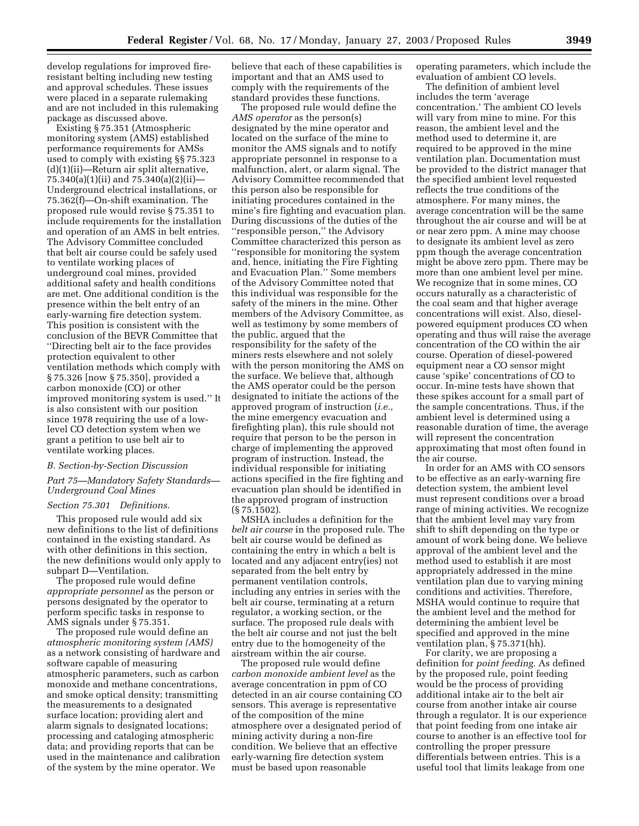develop regulations for improved fireresistant belting including new testing and approval schedules. These issues were placed in a separate rulemaking and are not included in this rulemaking package as discussed above.

Existing § 75.351 (Atmospheric monitoring system (AMS) established performance requirements for AMSs used to comply with existing §§ 75.323 (d)(1)(ii)—Return air split alternative, 75.340(a)(1)(ii) and 75.340(a)(2)(ii)— Underground electrical installations, or 75.362(f)—On-shift examination. The proposed rule would revise § 75.351 to include requirements for the installation and operation of an AMS in belt entries. The Advisory Committee concluded that belt air course could be safely used to ventilate working places of underground coal mines, provided additional safety and health conditions are met. One additional condition is the presence within the belt entry of an early-warning fire detection system. This position is consistent with the conclusion of the BEVR Committee that ''Directing belt air to the face provides protection equivalent to other ventilation methods which comply with § 75.326 [now § 75.350], provided a carbon monoxide (CO) or other improved monitoring system is used.'' It is also consistent with our position since 1978 requiring the use of a lowlevel CO detection system when we grant a petition to use belt air to ventilate working places.

#### *B. Section-by-Section Discussion*

#### *Part 75—Mandatory Safety Standards— Underground Coal Mines*

#### *Section 75.301 Definitions.*

This proposed rule would add six new definitions to the list of definitions contained in the existing standard. As with other definitions in this section, the new definitions would only apply to subpart D—Ventilation.

The proposed rule would define *appropriate personnel* as the person or persons designated by the operator to perform specific tasks in response to AMS signals under § 75.351.

The proposed rule would define an *atmospheric monitoring system (AMS)* as a network consisting of hardware and software capable of measuring atmospheric parameters, such as carbon monoxide and methane concentrations, and smoke optical density; transmitting the measurements to a designated surface location; providing alert and alarm signals to designated locations; processing and cataloging atmospheric data; and providing reports that can be used in the maintenance and calibration of the system by the mine operator. We

believe that each of these capabilities is important and that an AMS used to comply with the requirements of the standard provides these functions.

The proposed rule would define the *AMS operator* as the person(s) designated by the mine operator and located on the surface of the mine to monitor the AMS signals and to notify appropriate personnel in response to a malfunction, alert, or alarm signal. The Advisory Committee recommended that this person also be responsible for initiating procedures contained in the mine's fire fighting and evacuation plan. During discussions of the duties of the ''responsible person,'' the Advisory Committee characterized this person as ''responsible for monitoring the system and, hence, initiating the Fire Fighting and Evacuation Plan.'' Some members of the Advisory Committee noted that this individual was responsible for the safety of the miners in the mine. Other members of the Advisory Committee, as well as testimony by some members of the public, argued that the responsibility for the safety of the miners rests elsewhere and not solely with the person monitoring the AMS on the surface. We believe that, although the AMS operator could be the person designated to initiate the actions of the approved program of instruction (*i.e.*, the mine emergency evacuation and firefighting plan), this rule should not require that person to be the person in charge of implementing the approved program of instruction. Instead, the individual responsible for initiating actions specified in the fire fighting and evacuation plan should be identified in the approved program of instruction (§ 75.1502).

MSHA includes a definition for the *belt air course* in the proposed rule. The belt air course would be defined as containing the entry in which a belt is located and any adjacent entry(ies) not separated from the belt entry by permanent ventilation controls, including any entries in series with the belt air course, terminating at a return regulator, a working section, or the surface. The proposed rule deals with the belt air course and not just the belt entry due to the homogeneity of the airstream within the air course.

The proposed rule would define *carbon monoxide ambient level* as the average concentration in ppm of CO detected in an air course containing CO sensors. This average is representative of the composition of the mine atmosphere over a designated period of mining activity during a non-fire condition. We believe that an effective early-warning fire detection system must be based upon reasonable

operating parameters, which include the evaluation of ambient CO levels.

The definition of ambient level includes the term 'average concentration.' The ambient CO levels will vary from mine to mine. For this reason, the ambient level and the method used to determine it, are required to be approved in the mine ventilation plan. Documentation must be provided to the district manager that the specified ambient level requested reflects the true conditions of the atmosphere. For many mines, the average concentration will be the same throughout the air course and will be at or near zero ppm. A mine may choose to designate its ambient level as zero ppm though the average concentration might be above zero ppm. There may be more than one ambient level per mine. We recognize that in some mines, CO occurs naturally as a characteristic of the coal seam and that higher average concentrations will exist. Also, dieselpowered equipment produces CO when operating and thus will raise the average concentration of the CO within the air course. Operation of diesel-powered equipment near a CO sensor might cause 'spike' concentrations of CO to occur. In-mine tests have shown that these spikes account for a small part of the sample concentrations. Thus, if the ambient level is determined using a reasonable duration of time, the average will represent the concentration approximating that most often found in the air course.

In order for an AMS with CO sensors to be effective as an early-warning fire detection system, the ambient level must represent conditions over a broad range of mining activities. We recognize that the ambient level may vary from shift to shift depending on the type or amount of work being done. We believe approval of the ambient level and the method used to establish it are most appropriately addressed in the mine ventilation plan due to varying mining conditions and activities. Therefore, MSHA would continue to require that the ambient level and the method for determining the ambient level be specified and approved in the mine ventilation plan, § 75.371(hh).

For clarity, we are proposing a definition for *point feeding.* As defined by the proposed rule, point feeding would be the process of providing additional intake air to the belt air course from another intake air course through a regulator. It is our experience that point feeding from one intake air course to another is an effective tool for controlling the proper pressure differentials between entries. This is a useful tool that limits leakage from one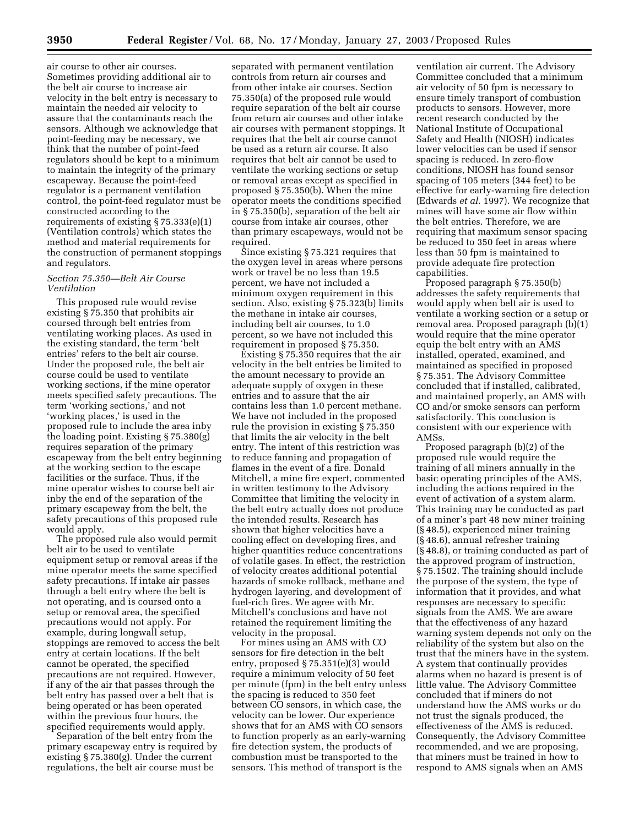air course to other air courses. Sometimes providing additional air to the belt air course to increase air velocity in the belt entry is necessary to maintain the needed air velocity to assure that the contaminants reach the sensors. Although we acknowledge that point-feeding may be necessary, we think that the number of point-feed regulators should be kept to a minimum to maintain the integrity of the primary escapeway. Because the point-feed regulator is a permanent ventilation control, the point-feed regulator must be constructed according to the requirements of existing § 75.333(e)(1) (Ventilation controls) which states the method and material requirements for the construction of permanent stoppings and regulators.

#### *Section 75.350—Belt Air Course Ventilation*

This proposed rule would revise existing § 75.350 that prohibits air coursed through belt entries from ventilating working places. As used in the existing standard, the term 'belt entries' refers to the belt air course. Under the proposed rule, the belt air course could be used to ventilate working sections, if the mine operator meets specified safety precautions. The term 'working sections,' and not 'working places,' is used in the proposed rule to include the area inby the loading point. Existing § 75.380(g) requires separation of the primary escapeway from the belt entry beginning at the working section to the escape facilities or the surface. Thus, if the mine operator wishes to course belt air inby the end of the separation of the primary escapeway from the belt, the safety precautions of this proposed rule would apply.

The proposed rule also would permit belt air to be used to ventilate equipment setup or removal areas if the mine operator meets the same specified safety precautions. If intake air passes through a belt entry where the belt is not operating, and is coursed onto a setup or removal area, the specified precautions would not apply. For example, during longwall setup, stoppings are removed to access the belt entry at certain locations. If the belt cannot be operated, the specified precautions are not required. However, if any of the air that passes through the belt entry has passed over a belt that is being operated or has been operated within the previous four hours, the specified requirements would apply.

Separation of the belt entry from the primary escapeway entry is required by existing § 75.380(g). Under the current regulations, the belt air course must be

separated with permanent ventilation controls from return air courses and from other intake air courses. Section 75.350(a) of the proposed rule would require separation of the belt air course from return air courses and other intake air courses with permanent stoppings. It requires that the belt air course cannot be used as a return air course. It also requires that belt air cannot be used to ventilate the working sections or setup or removal areas except as specified in proposed § 75.350(b). When the mine operator meets the conditions specified in § 75.350(b), separation of the belt air course from intake air courses, other than primary escapeways, would not be required.

Since existing § 75.321 requires that the oxygen level in areas where persons work or travel be no less than 19.5 percent, we have not included a minimum oxygen requirement in this section. Also, existing § 75.323(b) limits the methane in intake air courses, including belt air courses, to 1.0 percent, so we have not included this requirement in proposed § 75.350.

Existing § 75.350 requires that the air velocity in the belt entries be limited to the amount necessary to provide an adequate supply of oxygen in these entries and to assure that the air contains less than 1.0 percent methane. We have not included in the proposed rule the provision in existing § 75.350 that limits the air velocity in the belt entry. The intent of this restriction was to reduce fanning and propagation of flames in the event of a fire. Donald Mitchell, a mine fire expert, commented in written testimony to the Advisory Committee that limiting the velocity in the belt entry actually does not produce the intended results. Research has shown that higher velocities have a cooling effect on developing fires, and higher quantities reduce concentrations of volatile gases. In effect, the restriction of velocity creates additional potential hazards of smoke rollback, methane and hydrogen layering, and development of fuel-rich fires. We agree with Mr. Mitchell's conclusions and have not retained the requirement limiting the velocity in the proposal.

For mines using an AMS with CO sensors for fire detection in the belt entry, proposed § 75.351(e)(3) would require a minimum velocity of 50 feet per minute (fpm) in the belt entry unless the spacing is reduced to 350 feet between CO sensors, in which case, the velocity can be lower. Our experience shows that for an AMS with CO sensors to function properly as an early-warning fire detection system, the products of combustion must be transported to the sensors. This method of transport is the

ventilation air current. The Advisory Committee concluded that a minimum air velocity of 50 fpm is necessary to ensure timely transport of combustion products to sensors. However, more recent research conducted by the National Institute of Occupational Safety and Health (NIOSH) indicates lower velocities can be used if sensor spacing is reduced. In zero-flow conditions, NIOSH has found sensor spacing of 105 meters (344 feet) to be effective for early-warning fire detection (Edwards *et al.* 1997). We recognize that mines will have some air flow within the belt entries. Therefore, we are requiring that maximum sensor spacing be reduced to 350 feet in areas where less than 50 fpm is maintained to provide adequate fire protection capabilities.

Proposed paragraph § 75.350(b) addresses the safety requirements that would apply when belt air is used to ventilate a working section or a setup or removal area. Proposed paragraph (b)(1) would require that the mine operator equip the belt entry with an AMS installed, operated, examined, and maintained as specified in proposed § 75.351. The Advisory Committee concluded that if installed, calibrated, and maintained properly, an AMS with CO and/or smoke sensors can perform satisfactorily. This conclusion is consistent with our experience with AMSs.

Proposed paragraph (b)(2) of the proposed rule would require the training of all miners annually in the basic operating principles of the AMS, including the actions required in the event of activation of a system alarm. This training may be conducted as part of a miner's part 48 new miner training (§ 48.5), experienced miner training (§ 48.6), annual refresher training (§ 48.8), or training conducted as part of the approved program of instruction, § 75.1502. The training should include the purpose of the system, the type of information that it provides, and what responses are necessary to specific signals from the AMS. We are aware that the effectiveness of any hazard warning system depends not only on the reliability of the system but also on the trust that the miners have in the system. A system that continually provides alarms when no hazard is present is of little value. The Advisory Committee concluded that if miners do not understand how the AMS works or do not trust the signals produced, the effectiveness of the AMS is reduced. Consequently, the Advisory Committee recommended, and we are proposing, that miners must be trained in how to respond to AMS signals when an AMS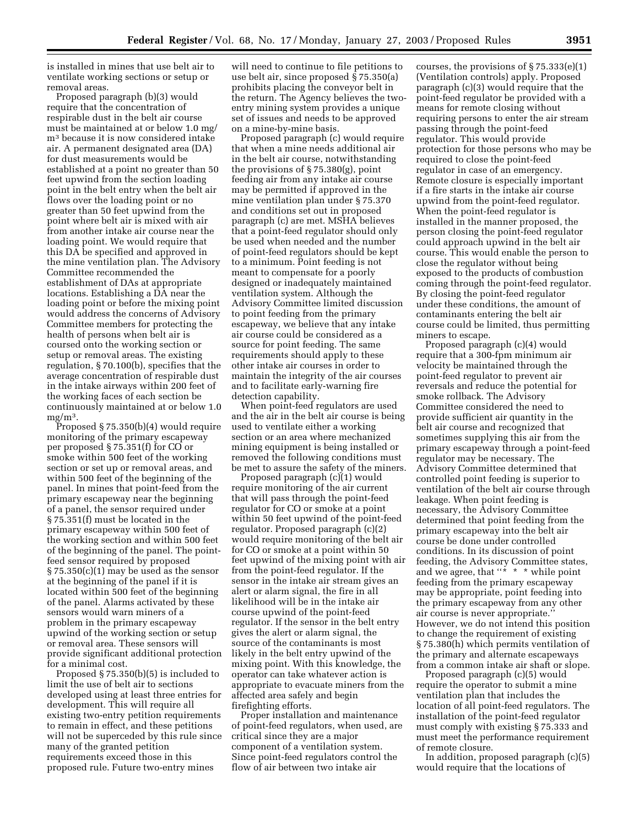is installed in mines that use belt air to ventilate working sections or setup or removal areas.

Proposed paragraph (b)(3) would require that the concentration of respirable dust in the belt air course must be maintained at or below 1.0 mg/ m3 because it is now considered intake air. A permanent designated area (DA) for dust measurements would be established at a point no greater than 50 feet upwind from the section loading point in the belt entry when the belt air flows over the loading point or no greater than 50 feet upwind from the point where belt air is mixed with air from another intake air course near the loading point. We would require that this DA be specified and approved in the mine ventilation plan. The Advisory Committee recommended the establishment of DAs at appropriate locations. Establishing a DA near the loading point or before the mixing point would address the concerns of Advisory Committee members for protecting the health of persons when belt air is coursed onto the working section or setup or removal areas. The existing regulation, § 70.100(b), specifies that the average concentration of respirable dust in the intake airways within 200 feet of the working faces of each section be continuously maintained at or below 1.0 mg/m3.

Proposed § 75.350(b)(4) would require monitoring of the primary escapeway per proposed § 75.351(f) for CO or smoke within 500 feet of the working section or set up or removal areas, and within 500 feet of the beginning of the panel. In mines that point-feed from the primary escapeway near the beginning of a panel, the sensor required under § 75.351(f) must be located in the primary escapeway within 500 feet of the working section and within 500 feet of the beginning of the panel. The pointfeed sensor required by proposed § 75.350(c)(1) may be used as the sensor at the beginning of the panel if it is located within 500 feet of the beginning of the panel. Alarms activated by these sensors would warn miners of a problem in the primary escapeway upwind of the working section or setup or removal area. These sensors will provide significant additional protection for a minimal cost.

Proposed § 75.350(b)(5) is included to limit the use of belt air to sections developed using at least three entries for development. This will require all existing two-entry petition requirements to remain in effect, and these petitions will not be superceded by this rule since many of the granted petition requirements exceed those in this proposed rule. Future two-entry mines

will need to continue to file petitions to use belt air, since proposed § 75.350(a) prohibits placing the conveyor belt in the return. The Agency believes the twoentry mining system provides a unique set of issues and needs to be approved on a mine-by-mine basis.

Proposed paragraph (c) would require that when a mine needs additional air in the belt air course, notwithstanding the provisions of § 75.380(g), point feeding air from any intake air course may be permitted if approved in the mine ventilation plan under § 75.370 and conditions set out in proposed paragraph (c) are met. MSHA believes that a point-feed regulator should only be used when needed and the number of point-feed regulators should be kept to a minimum. Point feeding is not meant to compensate for a poorly designed or inadequately maintained ventilation system. Although the Advisory Committee limited discussion to point feeding from the primary escapeway, we believe that any intake air course could be considered as a source for point feeding. The same requirements should apply to these other intake air courses in order to maintain the integrity of the air courses and to facilitate early-warning fire detection capability.

When point-feed regulators are used and the air in the belt air course is being used to ventilate either a working section or an area where mechanized mining equipment is being installed or removed the following conditions must be met to assure the safety of the miners.

Proposed paragraph (c)(1) would require monitoring of the air current that will pass through the point-feed regulator for CO or smoke at a point within 50 feet upwind of the point-feed regulator. Proposed paragraph (c)(2) would require monitoring of the belt air for CO or smoke at a point within 50 feet upwind of the mixing point with air from the point-feed regulator. If the sensor in the intake air stream gives an alert or alarm signal, the fire in all likelihood will be in the intake air course upwind of the point-feed regulator. If the sensor in the belt entry gives the alert or alarm signal, the source of the contaminants is most likely in the belt entry upwind of the mixing point. With this knowledge, the operator can take whatever action is appropriate to evacuate miners from the affected area safely and begin firefighting efforts.

Proper installation and maintenance of point-feed regulators, when used, are critical since they are a major component of a ventilation system. Since point-feed regulators control the flow of air between two intake air

courses, the provisions of § 75.333(e)(1) (Ventilation controls) apply. Proposed paragraph (c)(3) would require that the point-feed regulator be provided with a means for remote closing without requiring persons to enter the air stream passing through the point-feed regulator. This would provide protection for those persons who may be required to close the point-feed regulator in case of an emergency. Remote closure is especially important if a fire starts in the intake air course upwind from the point-feed regulator. When the point-feed regulator is installed in the manner proposed, the person closing the point-feed regulator could approach upwind in the belt air course. This would enable the person to close the regulator without being exposed to the products of combustion coming through the point-feed regulator. By closing the point-feed regulator under these conditions, the amount of contaminants entering the belt air course could be limited, thus permitting miners to escape.

Proposed paragraph (c)(4) would require that a 300-fpm minimum air velocity be maintained through the point-feed regulator to prevent air reversals and reduce the potential for smoke rollback. The Advisory Committee considered the need to provide sufficient air quantity in the belt air course and recognized that sometimes supplying this air from the primary escapeway through a point-feed regulator may be necessary. The Advisory Committee determined that controlled point feeding is superior to ventilation of the belt air course through leakage. When point feeding is necessary, the Advisory Committee determined that point feeding from the primary escapeway into the belt air course be done under controlled conditions. In its discussion of point feeding, the Advisory Committee states, and we agree, that "\* \* \* while point feeding from the primary escapeway may be appropriate, point feeding into the primary escapeway from any other air course is never appropriate.'' However, we do not intend this position to change the requirement of existing § 75.380(h) which permits ventilation of the primary and alternate escapeways from a common intake air shaft or slope.

Proposed paragraph (c)(5) would require the operator to submit a mine ventilation plan that includes the location of all point-feed regulators. The installation of the point-feed regulator must comply with existing § 75.333 and must meet the performance requirement of remote closure.

In addition, proposed paragraph (c)(5) would require that the locations of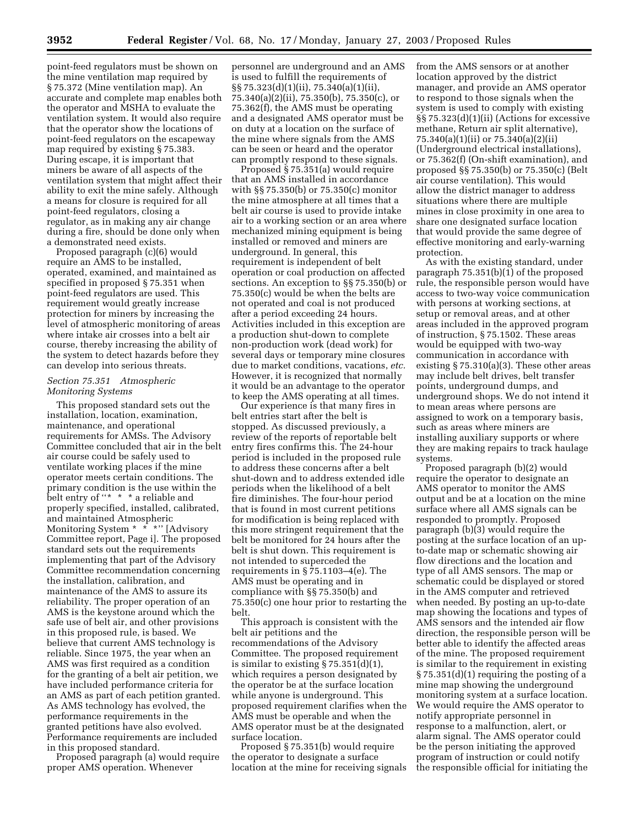point-feed regulators must be shown on the mine ventilation map required by § 75.372 (Mine ventilation map). An accurate and complete map enables both the operator and MSHA to evaluate the ventilation system. It would also require that the operator show the locations of point-feed regulators on the escapeway map required by existing § 75.383. During escape, it is important that miners be aware of all aspects of the ventilation system that might affect their ability to exit the mine safely. Although a means for closure is required for all point-feed regulators, closing a regulator, as in making any air change during a fire, should be done only when a demonstrated need exists.

Proposed paragraph (c)(6) would require an AMS to be installed, operated, examined, and maintained as specified in proposed § 75.351 when point-feed regulators are used. This requirement would greatly increase protection for miners by increasing the level of atmospheric monitoring of areas where intake air crosses into a belt air course, thereby increasing the ability of the system to detect hazards before they can develop into serious threats.

#### *Section 75.351 Atmospheric Monitoring Systems*

This proposed standard sets out the installation, location, examination, maintenance, and operational requirements for AMSs. The Advisory Committee concluded that air in the belt air course could be safely used to ventilate working places if the mine operator meets certain conditions. The primary condition is the use within the belt entry of "\* \* \* a reliable and properly specified, installed, calibrated, and maintained Atmospheric Monitoring System \* \* \*" [Advisory Committee report, Page i]. The proposed standard sets out the requirements implementing that part of the Advisory Committee recommendation concerning the installation, calibration, and maintenance of the AMS to assure its reliability. The proper operation of an AMS is the keystone around which the safe use of belt air, and other provisions in this proposed rule, is based. We believe that current AMS technology is reliable. Since 1975, the year when an AMS was first required as a condition for the granting of a belt air petition, we have included performance criteria for an AMS as part of each petition granted. As AMS technology has evolved, the performance requirements in the granted petitions have also evolved. Performance requirements are included in this proposed standard.

Proposed paragraph (a) would require proper AMS operation. Whenever

personnel are underground and an AMS is used to fulfill the requirements of §§ 75.323(d)(1)(ii), 75.340(a)(1)(ii), 75.340(a)(2)(ii), 75.350(b), 75.350(c), or 75.362(f), the AMS must be operating and a designated AMS operator must be on duty at a location on the surface of the mine where signals from the AMS can be seen or heard and the operator can promptly respond to these signals.

Proposed § 75.351(a) would require that an AMS installed in accordance with §§ 75.350(b) or 75.350(c) monitor the mine atmosphere at all times that a belt air course is used to provide intake air to a working section or an area where mechanized mining equipment is being installed or removed and miners are underground. In general, this requirement is independent of belt operation or coal production on affected sections. An exception to §§ 75.350(b) or 75.350(c) would be when the belts are not operated and coal is not produced after a period exceeding 24 hours. Activities included in this exception are a production shut-down to complete non-production work (dead work) for several days or temporary mine closures due to market conditions, vacations, *etc.* However, it is recognized that normally it would be an advantage to the operator to keep the AMS operating at all times.

Our experience is that many fires in belt entries start after the belt is stopped. As discussed previously, a review of the reports of reportable belt entry fires confirms this. The 24-hour period is included in the proposed rule to address these concerns after a belt shut-down and to address extended idle periods when the likelihood of a belt fire diminishes. The four-hour period that is found in most current petitions for modification is being replaced with this more stringent requirement that the belt be monitored for 24 hours after the belt is shut down. This requirement is not intended to superceded the requirements in § 75.1103–4(e). The AMS must be operating and in compliance with §§ 75.350(b) and 75.350(c) one hour prior to restarting the belt.

This approach is consistent with the belt air petitions and the recommendations of the Advisory Committee. The proposed requirement is similar to existing  $\S 75.351(d)(1)$ , which requires a person designated by the operator be at the surface location while anyone is underground. This proposed requirement clarifies when the AMS must be operable and when the AMS operator must be at the designated surface location.

Proposed § 75.351(b) would require the operator to designate a surface location at the mine for receiving signals from the AMS sensors or at another location approved by the district manager, and provide an AMS operator to respond to those signals when the system is used to comply with existing §§ 75.323(d)(1)(ii) (Actions for excessive methane, Return air split alternative), 75.340(a)(1)(ii) or 75.340(a)(2)(ii) (Underground electrical installations), or 75.362(f) (On-shift examination), and proposed §§ 75.350(b) or 75.350(c) (Belt air course ventilation). This would allow the district manager to address situations where there are multiple mines in close proximity in one area to share one designated surface location that would provide the same degree of effective monitoring and early-warning protection.

As with the existing standard, under paragraph 75.351(b)(1) of the proposed rule, the responsible person would have access to two-way voice communication with persons at working sections, at setup or removal areas, and at other areas included in the approved program of instruction, § 75.1502. These areas would be equipped with two-way communication in accordance with existing § 75.310(a)(3). These other areas may include belt drives, belt transfer points, underground dumps, and underground shops. We do not intend it to mean areas where persons are assigned to work on a temporary basis, such as areas where miners are installing auxiliary supports or where they are making repairs to track haulage systems.

Proposed paragraph (b)(2) would require the operator to designate an AMS operator to monitor the AMS output and be at a location on the mine surface where all AMS signals can be responded to promptly. Proposed paragraph (b)(3) would require the posting at the surface location of an upto-date map or schematic showing air flow directions and the location and type of all AMS sensors. The map or schematic could be displayed or stored in the AMS computer and retrieved when needed. By posting an up-to-date map showing the locations and types of AMS sensors and the intended air flow direction, the responsible person will be better able to identify the affected areas of the mine. The proposed requirement is similar to the requirement in existing § 75.351(d)(1) requiring the posting of a mine map showing the underground monitoring system at a surface location. We would require the AMS operator to notify appropriate personnel in response to a malfunction, alert, or alarm signal. The AMS operator could be the person initiating the approved program of instruction or could notify the responsible official for initiating the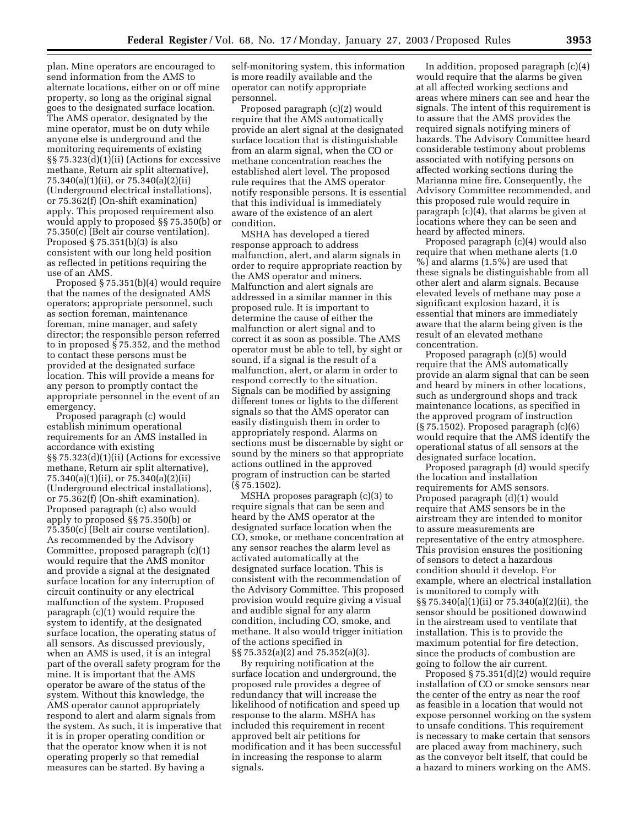plan. Mine operators are encouraged to send information from the AMS to alternate locations, either on or off mine property, so long as the original signal goes to the designated surface location. The AMS operator, designated by the mine operator, must be on duty while anyone else is underground and the monitoring requirements of existing §§ 75.323(d)(1)(ii) (Actions for excessive methane, Return air split alternative), 75.340(a)(1)(ii), or 75.340(a)(2)(ii) (Underground electrical installations), or 75.362(f) (On-shift examination) apply. This proposed requirement also would apply to proposed §§ 75.350(b) or 75.350(c) (Belt air course ventilation). Proposed § 75.351(b)(3) is also consistent with our long held position as reflected in petitions requiring the use of an AMS.

Proposed § 75.351(b)(4) would require that the names of the designated AMS operators; appropriate personnel, such as section foreman, maintenance foreman, mine manager, and safety director; the responsible person referred to in proposed § 75.352, and the method to contact these persons must be provided at the designated surface location. This will provide a means for any person to promptly contact the appropriate personnel in the event of an emergency.

Proposed paragraph (c) would establish minimum operational requirements for an AMS installed in accordance with existing §§ 75.323(d)(1)(ii) (Actions for excessive methane, Return air split alternative), 75.340(a)(1)(ii), or 75.340(a)(2)(ii) (Underground electrical installations), or 75.362(f) (On-shift examination). Proposed paragraph (c) also would apply to proposed §§ 75.350(b) or 75.350(c) (Belt air course ventilation). As recommended by the Advisory Committee, proposed paragraph (c)(1) would require that the AMS monitor and provide a signal at the designated surface location for any interruption of circuit continuity or any electrical malfunction of the system. Proposed paragraph (c)(1) would require the system to identify, at the designated surface location, the operating status of all sensors. As discussed previously, when an AMS is used, it is an integral part of the overall safety program for the mine. It is important that the AMS operator be aware of the status of the system. Without this knowledge, the AMS operator cannot appropriately respond to alert and alarm signals from the system. As such, it is imperative that it is in proper operating condition or that the operator know when it is not operating properly so that remedial measures can be started. By having a

self-monitoring system, this information is more readily available and the operator can notify appropriate personnel.

Proposed paragraph (c)(2) would require that the AMS automatically provide an alert signal at the designated surface location that is distinguishable from an alarm signal, when the CO or methane concentration reaches the established alert level. The proposed rule requires that the AMS operator notify responsible persons. It is essential that this individual is immediately aware of the existence of an alert condition.

MSHA has developed a tiered response approach to address malfunction, alert, and alarm signals in order to require appropriate reaction by the AMS operator and miners. Malfunction and alert signals are addressed in a similar manner in this proposed rule. It is important to determine the cause of either the malfunction or alert signal and to correct it as soon as possible. The AMS operator must be able to tell, by sight or sound, if a signal is the result of a malfunction, alert, or alarm in order to respond correctly to the situation. Signals can be modified by assigning different tones or lights to the different signals so that the AMS operator can easily distinguish them in order to appropriately respond. Alarms on sections must be discernable by sight or sound by the miners so that appropriate actions outlined in the approved program of instruction can be started (§ 75.1502).

MSHA proposes paragraph (c)(3) to require signals that can be seen and heard by the AMS operator at the designated surface location when the CO, smoke, or methane concentration at any sensor reaches the alarm level as activated automatically at the designated surface location. This is consistent with the recommendation of the Advisory Committee. This proposed provision would require giving a visual and audible signal for any alarm condition, including CO, smoke, and methane. It also would trigger initiation of the actions specified in §§ 75.352(a)(2) and 75.352(a)(3).

By requiring notification at the surface location and underground, the proposed rule provides a degree of redundancy that will increase the likelihood of notification and speed up response to the alarm. MSHA has included this requirement in recent approved belt air petitions for modification and it has been successful in increasing the response to alarm signals.

In addition, proposed paragraph (c)(4) would require that the alarms be given at all affected working sections and areas where miners can see and hear the signals. The intent of this requirement is to assure that the AMS provides the required signals notifying miners of hazards. The Advisory Committee heard considerable testimony about problems associated with notifying persons on affected working sections during the Marianna mine fire. Consequently, the Advisory Committee recommended, and this proposed rule would require in paragraph (c)(4), that alarms be given at locations where they can be seen and heard by affected miners.

Proposed paragraph (c)(4) would also require that when methane alerts (1.0 %) and alarms (1.5%) are used that these signals be distinguishable from all other alert and alarm signals. Because elevated levels of methane may pose a significant explosion hazard, it is essential that miners are immediately aware that the alarm being given is the result of an elevated methane concentration.

Proposed paragraph (c)(5) would require that the AMS automatically provide an alarm signal that can be seen and heard by miners in other locations, such as underground shops and track maintenance locations, as specified in the approved program of instruction (§ 75.1502). Proposed paragraph (c)(6) would require that the AMS identify the operational status of all sensors at the designated surface location.

Proposed paragraph (d) would specify the location and installation requirements for AMS sensors. Proposed paragraph (d)(1) would require that AMS sensors be in the airstream they are intended to monitor to assure measurements are representative of the entry atmosphere. This provision ensures the positioning of sensors to detect a hazardous condition should it develop. For example, where an electrical installation is monitored to comply with §§ 75.340(a)(1)(ii) or 75.340(a)(2)(ii), the sensor should be positioned downwind in the airstream used to ventilate that installation. This is to provide the maximum potential for fire detection, since the products of combustion are going to follow the air current.

Proposed § 75.351(d)(2) would require installation of CO or smoke sensors near the center of the entry as near the roof as feasible in a location that would not expose personnel working on the system to unsafe conditions. This requirement is necessary to make certain that sensors are placed away from machinery, such as the conveyor belt itself, that could be a hazard to miners working on the AMS.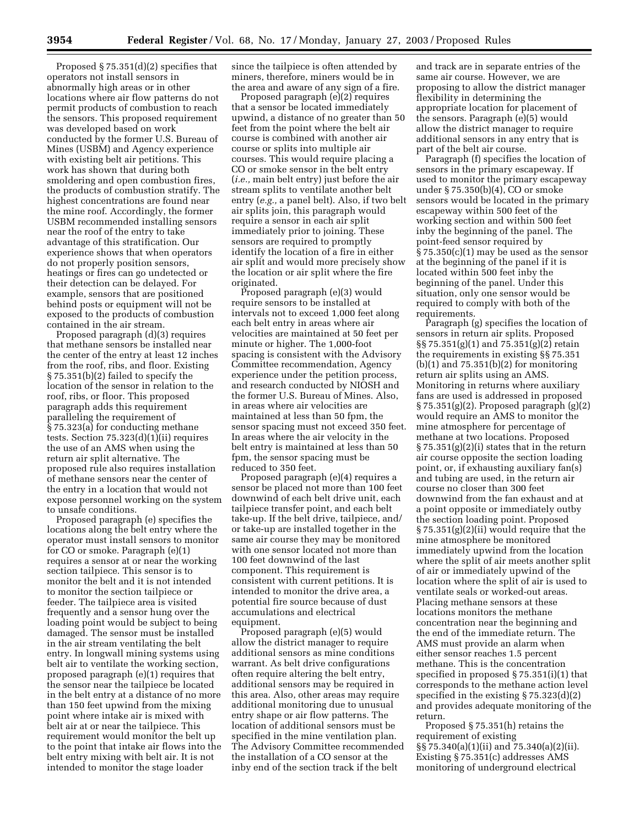Proposed § 75.351(d)(2) specifies that operators not install sensors in abnormally high areas or in other locations where air flow patterns do not permit products of combustion to reach the sensors. This proposed requirement was developed based on work conducted by the former U.S. Bureau of Mines (USBM) and Agency experience with existing belt air petitions. This work has shown that during both smoldering and open combustion fires, the products of combustion stratify. The highest concentrations are found near the mine roof. Accordingly, the former USBM recommended installing sensors near the roof of the entry to take advantage of this stratification. Our experience shows that when operators do not properly position sensors, heatings or fires can go undetected or their detection can be delayed. For example, sensors that are positioned behind posts or equipment will not be exposed to the products of combustion contained in the air stream.

Proposed paragraph (d)(3) requires that methane sensors be installed near the center of the entry at least 12 inches from the roof, ribs, and floor. Existing § 75.351(b)(2) failed to specify the location of the sensor in relation to the roof, ribs, or floor. This proposed paragraph adds this requirement paralleling the requirement of § 75.323(a) for conducting methane tests. Section 75.323(d)(1)(ii) requires the use of an AMS when using the return air split alternative. The proposed rule also requires installation of methane sensors near the center of the entry in a location that would not expose personnel working on the system to unsafe conditions.

Proposed paragraph (e) specifies the locations along the belt entry where the operator must install sensors to monitor for CO or smoke. Paragraph (e)(1) requires a sensor at or near the working section tailpiece. This sensor is to monitor the belt and it is not intended to monitor the section tailpiece or feeder. The tailpiece area is visited frequently and a sensor hung over the loading point would be subject to being damaged. The sensor must be installed in the air stream ventilating the belt entry. In longwall mining systems using belt air to ventilate the working section, proposed paragraph (e)(1) requires that the sensor near the tailpiece be located in the belt entry at a distance of no more than 150 feet upwind from the mixing point where intake air is mixed with belt air at or near the tailpiece. This requirement would monitor the belt up to the point that intake air flows into the belt entry mixing with belt air. It is not intended to monitor the stage loader

since the tailpiece is often attended by miners, therefore, miners would be in the area and aware of any sign of a fire.

Proposed paragraph (e)(2) requires that a sensor be located immediately upwind, a distance of no greater than 50 feet from the point where the belt air course is combined with another air course or splits into multiple air courses. This would require placing a CO or smoke sensor in the belt entry (*i.e.,* main belt entry) just before the air stream splits to ventilate another belt entry (*e.g.,* a panel belt). Also, if two belt air splits join, this paragraph would require a sensor in each air split immediately prior to joining. These sensors are required to promptly identify the location of a fire in either air split and would more precisely show the location or air split where the fire originated.

Proposed paragraph (e)(3) would require sensors to be installed at intervals not to exceed 1,000 feet along each belt entry in areas where air velocities are maintained at 50 feet per minute or higher. The 1,000-foot spacing is consistent with the Advisory Committee recommendation, Agency experience under the petition process, and research conducted by NIOSH and the former U.S. Bureau of Mines. Also, in areas where air velocities are maintained at less than 50 fpm, the sensor spacing must not exceed 350 feet. In areas where the air velocity in the belt entry is maintained at less than 50 fpm, the sensor spacing must be reduced to 350 feet.

Proposed paragraph (e)(4) requires a sensor be placed not more than 100 feet downwind of each belt drive unit, each tailpiece transfer point, and each belt take-up. If the belt drive, tailpiece, and/ or take-up are installed together in the same air course they may be monitored with one sensor located not more than 100 feet downwind of the last component. This requirement is consistent with current petitions. It is intended to monitor the drive area, a potential fire source because of dust accumulations and electrical equipment.

Proposed paragraph (e)(5) would allow the district manager to require additional sensors as mine conditions warrant. As belt drive configurations often require altering the belt entry, additional sensors may be required in this area. Also, other areas may require additional monitoring due to unusual entry shape or air flow patterns. The location of additional sensors must be specified in the mine ventilation plan. The Advisory Committee recommended the installation of a CO sensor at the inby end of the section track if the belt

and track are in separate entries of the same air course. However, we are proposing to allow the district manager flexibility in determining the appropriate location for placement of the sensors. Paragraph (e)(5) would allow the district manager to require additional sensors in any entry that is part of the belt air course.

Paragraph (f) specifies the location of sensors in the primary escapeway. If used to monitor the primary escapeway under § 75.350(b)(4), CO or smoke sensors would be located in the primary escapeway within 500 feet of the working section and within 500 feet inby the beginning of the panel. The point-feed sensor required by  $\S 75.350(c)(1)$  may be used as the sensor at the beginning of the panel if it is located within 500 feet inby the beginning of the panel. Under this situation, only one sensor would be required to comply with both of the requirements.

Paragraph (g) specifies the location of sensors in return air splits. Proposed §§ 75.351(g)(1) and 75.351(g)(2) retain the requirements in existing §§ 75.351  $(b)(1)$  and 75.351 $(b)(2)$  for monitoring return air splits using an AMS. Monitoring in returns where auxiliary fans are used is addressed in proposed § 75.351(g)(2). Proposed paragraph (g)(2) would require an AMS to monitor the mine atmosphere for percentage of methane at two locations. Proposed  $\S 75.351(g)(2)(i)$  states that in the return air course opposite the section loading point, or, if exhausting auxiliary fan(s) and tubing are used, in the return air course no closer than 300 feet downwind from the fan exhaust and at a point opposite or immediately outby the section loading point. Proposed § 75.351(g)(2)(ii) would require that the mine atmosphere be monitored immediately upwind from the location where the split of air meets another split of air or immediately upwind of the location where the split of air is used to ventilate seals or worked-out areas. Placing methane sensors at these locations monitors the methane concentration near the beginning and the end of the immediate return. The AMS must provide an alarm when either sensor reaches 1.5 percent methane. This is the concentration specified in proposed § 75.351(i)(1) that corresponds to the methane action level specified in the existing § 75.323(d)(2) and provides adequate monitoring of the return.

Proposed § 75.351(h) retains the requirement of existing §§ 75.340(a)(1)(ii) and 75.340(a)(2)(ii). Existing § 75.351(c) addresses AMS monitoring of underground electrical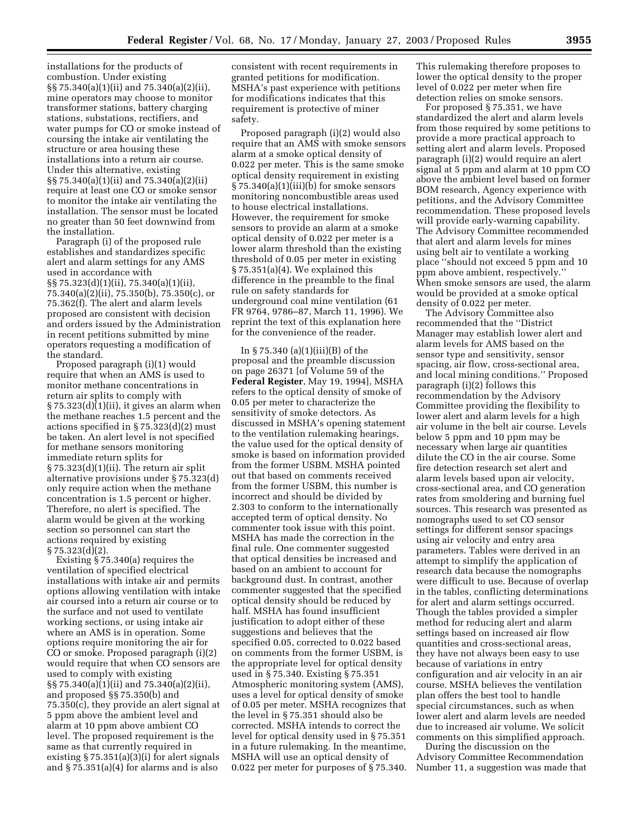installations for the products of combustion. Under existing §§ 75.340(a)(1)(ii) and 75.340(a)(2)(ii), mine operators may choose to monitor transformer stations, battery charging stations, substations, rectifiers, and water pumps for CO or smoke instead of coursing the intake air ventilating the structure or area housing these installations into a return air course. Under this alternative, existing §§ 75.340(a)(1)(ii) and 75.340(a)(2)(ii) require at least one CO or smoke sensor to monitor the intake air ventilating the installation. The sensor must be located no greater than 50 feet downwind from the installation.

Paragraph (i) of the proposed rule establishes and standardizes specific alert and alarm settings for any AMS used in accordance with §§ 75.323(d)(1)(ii), 75.340(a)(1)(ii), 75.340(a)(2)(ii), 75.350(b), 75.350(c), or 75.362(f). The alert and alarm levels proposed are consistent with decision and orders issued by the Administration in recent petitions submitted by mine operators requesting a modification of the standard.

Proposed paragraph (i)(1) would require that when an AMS is used to monitor methane concentrations in return air splits to comply with  $\S 75.323(d)(1)(ii)$ , it gives an alarm when the methane reaches 1.5 percent and the actions specified in § 75.323(d)(2) must be taken. An alert level is not specified for methane sensors monitoring immediate return splits for § 75.323(d)(1)(ii). The return air split alternative provisions under § 75.323(d) only require action when the methane concentration is 1.5 percent or higher. Therefore, no alert is specified. The alarm would be given at the working section so personnel can start the actions required by existing  $§ 75.323(d)(2).$ 

Existing § 75.340(a) requires the ventilation of specified electrical installations with intake air and permits options allowing ventilation with intake air coursed into a return air course or to the surface and not used to ventilate working sections, or using intake air where an AMS is in operation. Some options require monitoring the air for CO or smoke. Proposed paragraph (i)(2) would require that when CO sensors are used to comply with existing §§ 75.340(a)(1)(ii) and 75.340(a)(2)(ii), and proposed §§ 75.350(b) and 75.350(c), they provide an alert signal at 5 ppm above the ambient level and alarm at 10 ppm above ambient CO level. The proposed requirement is the same as that currently required in existing  $\S 75.351(a)(3)(i)$  for alert signals and § 75.351(a)(4) for alarms and is also

consistent with recent requirements in granted petitions for modification. MSHA's past experience with petitions for modifications indicates that this requirement is protective of miner safety.

Proposed paragraph (i)(2) would also require that an AMS with smoke sensors alarm at a smoke optical density of 0.022 per meter. This is the same smoke optical density requirement in existing § 75.340(a)(1)(iii)(b) for smoke sensors monitoring noncombustible areas used to house electrical installations. However, the requirement for smoke sensors to provide an alarm at a smoke optical density of 0.022 per meter is a lower alarm threshold than the existing threshold of 0.05 per meter in existing § 75.351(a)(4). We explained this difference in the preamble to the final rule on safety standards for underground coal mine ventilation (61 FR 9764, 9786–87, March 11, 1996). We reprint the text of this explanation here for the convenience of the reader.

In  $\S 75.340$  (a)(1)(iii)(B) of the proposal and the preamble discussion on page 26371 [of Volume 59 of the **Federal Register**, May 19, 1994], MSHA refers to the optical density of smoke of 0.05 per meter to characterize the sensitivity of smoke detectors. As discussed in MSHA's opening statement to the ventilation rulemaking hearings, the value used for the optical density of smoke is based on information provided from the former USBM. MSHA pointed out that based on comments received from the former USBM, this number is incorrect and should be divided by 2.303 to conform to the internationally accepted term of optical density. No commenter took issue with this point. MSHA has made the correction in the final rule. One commenter suggested that optical densities be increased and based on an ambient to account for background dust. In contrast, another commenter suggested that the specified optical density should be reduced by half. MSHA has found insufficient justification to adopt either of these suggestions and believes that the specified 0.05, corrected to 0.022 based on comments from the former USBM, is the appropriate level for optical density used in § 75.340. Existing § 75.351 Atmospheric monitoring system (AMS), uses a level for optical density of smoke of 0.05 per meter. MSHA recognizes that the level in § 75.351 should also be corrected. MSHA intends to correct the level for optical density used in § 75.351 in a future rulemaking. In the meantime, MSHA will use an optical density of 0.022 per meter for purposes of § 75.340. This rulemaking therefore proposes to lower the optical density to the proper level of 0.022 per meter when fire detection relies on smoke sensors.

For proposed § 75.351, we have standardized the alert and alarm levels from those required by some petitions to provide a more practical approach to setting alert and alarm levels. Proposed paragraph (i)(2) would require an alert signal at 5 ppm and alarm at 10 ppm CO above the ambient level based on former BOM research, Agency experience with petitions, and the Advisory Committee recommendation. These proposed levels will provide early-warning capability. The Advisory Committee recommended that alert and alarm levels for mines using belt air to ventilate a working place ''should not exceed 5 ppm and 10 ppm above ambient, respectively.'' When smoke sensors are used, the alarm would be provided at a smoke optical density of 0.022 per meter.

The Advisory Committee also recommended that the ''District Manager may establish lower alert and alarm levels for AMS based on the sensor type and sensitivity, sensor spacing, air flow, cross-sectional area, and local mining conditions.'' Proposed paragraph (i)(2) follows this recommendation by the Advisory Committee providing the flexibility to lower alert and alarm levels for a high air volume in the belt air course. Levels below 5 ppm and 10 ppm may be necessary when large air quantities dilute the CO in the air course. Some fire detection research set alert and alarm levels based upon air velocity, cross-sectional area, and CO generation rates from smoldering and burning fuel sources. This research was presented as nomographs used to set CO sensor settings for different sensor spacings using air velocity and entry area parameters. Tables were derived in an attempt to simplify the application of research data because the nomographs were difficult to use. Because of overlap in the tables, conflicting determinations for alert and alarm settings occurred. Though the tables provided a simpler method for reducing alert and alarm settings based on increased air flow quantities and cross-sectional areas, they have not always been easy to use because of variations in entry configuration and air velocity in an air course. MSHA believes the ventilation plan offers the best tool to handle special circumstances, such as when lower alert and alarm levels are needed due to increased air volume. We solicit comments on this simplified approach.

During the discussion on the Advisory Committee Recommendation Number 11, a suggestion was made that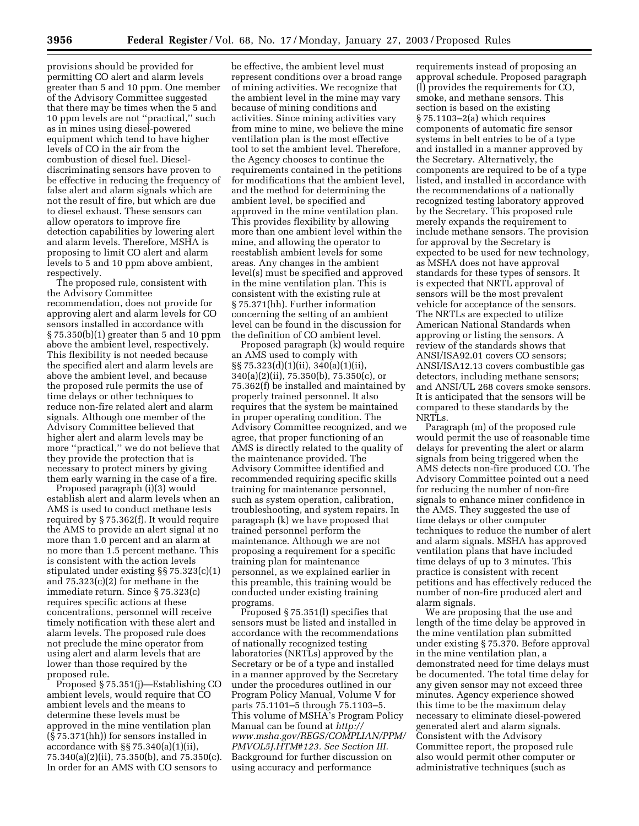provisions should be provided for permitting CO alert and alarm levels greater than 5 and 10 ppm. One member of the Advisory Committee suggested that there may be times when the 5 and 10 ppm levels are not ''practical,'' such as in mines using diesel-powered equipment which tend to have higher levels of CO in the air from the combustion of diesel fuel. Dieseldiscriminating sensors have proven to be effective in reducing the frequency of false alert and alarm signals which are not the result of fire, but which are due to diesel exhaust. These sensors can allow operators to improve fire detection capabilities by lowering alert and alarm levels. Therefore, MSHA is proposing to limit CO alert and alarm levels to 5 and 10 ppm above ambient, respectively.

The proposed rule, consistent with the Advisory Committee recommendation, does not provide for approving alert and alarm levels for CO sensors installed in accordance with § 75.350(b)(1) greater than 5 and 10 ppm above the ambient level, respectively. This flexibility is not needed because the specified alert and alarm levels are above the ambient level, and because the proposed rule permits the use of time delays or other techniques to reduce non-fire related alert and alarm signals. Although one member of the Advisory Committee believed that higher alert and alarm levels may be more ''practical,'' we do not believe that they provide the protection that is necessary to protect miners by giving them early warning in the case of a fire.

Proposed paragraph (i)(3) would establish alert and alarm levels when an AMS is used to conduct methane tests required by § 75.362(f). It would require the AMS to provide an alert signal at no more than 1.0 percent and an alarm at no more than 1.5 percent methane. This is consistent with the action levels stipulated under existing §§ 75.323(c)(1) and 75.323(c)(2) for methane in the immediate return. Since § 75.323(c) requires specific actions at these concentrations, personnel will receive timely notification with these alert and alarm levels. The proposed rule does not preclude the mine operator from using alert and alarm levels that are lower than those required by the proposed rule.

Proposed § 75.351(j)—Establishing CO ambient levels, would require that CO ambient levels and the means to determine these levels must be approved in the mine ventilation plan (§ 75.371(hh)) for sensors installed in accordance with §§ 75.340(a)(1)(ii), 75.340(a)(2)(ii), 75.350(b), and 75.350(c). In order for an AMS with CO sensors to

be effective, the ambient level must represent conditions over a broad range of mining activities. We recognize that the ambient level in the mine may vary because of mining conditions and activities. Since mining activities vary from mine to mine, we believe the mine ventilation plan is the most effective tool to set the ambient level. Therefore, the Agency chooses to continue the requirements contained in the petitions for modifications that the ambient level, and the method for determining the ambient level, be specified and approved in the mine ventilation plan. This provides flexibility by allowing more than one ambient level within the mine, and allowing the operator to reestablish ambient levels for some areas. Any changes in the ambient level(s) must be specified and approved in the mine ventilation plan. This is consistent with the existing rule at § 75.371(hh). Further information concerning the setting of an ambient level can be found in the discussion for the definition of CO ambient level.

Proposed paragraph (k) would require an AMS used to comply with §§ 75.323(d)(1)(ii), 340(a)(1)(ii), 340(a)(2)(ii), 75.350(b), 75.350(c), or 75.362(f) be installed and maintained by properly trained personnel. It also requires that the system be maintained in proper operating condition. The Advisory Committee recognized, and we agree, that proper functioning of an AMS is directly related to the quality of the maintenance provided. The Advisory Committee identified and recommended requiring specific skills training for maintenance personnel, such as system operation, calibration, troubleshooting, and system repairs. In paragraph (k) we have proposed that trained personnel perform the maintenance. Although we are not proposing a requirement for a specific training plan for maintenance personnel, as we explained earlier in this preamble, this training would be conducted under existing training programs.

Proposed § 75.351(l) specifies that sensors must be listed and installed in accordance with the recommendations of nationally recognized testing laboratories (NRTLs) approved by the Secretary or be of a type and installed in a manner approved by the Secretary under the procedures outlined in our Program Policy Manual, Volume V for parts 75.1101–5 through 75.1103–5. This volume of MSHA's Program Policy Manual can be found at *http:// www.msha.gov/REGS/COMPLIAN/PPM/ PMVOL5J.HTM#123. See Section III.* Background for further discussion on using accuracy and performance

requirements instead of proposing an approval schedule. Proposed paragraph (l) provides the requirements for CO, smoke, and methane sensors. This section is based on the existing § 75.1103–2(a) which requires components of automatic fire sensor systems in belt entries to be of a type and installed in a manner approved by the Secretary. Alternatively, the components are required to be of a type listed, and installed in accordance with the recommendations of a nationally recognized testing laboratory approved by the Secretary. This proposed rule merely expands the requirement to include methane sensors. The provision for approval by the Secretary is expected to be used for new technology, as MSHA does not have approval standards for these types of sensors. It is expected that NRTL approval of sensors will be the most prevalent vehicle for acceptance of the sensors. The NRTLs are expected to utilize American National Standards when approving or listing the sensors. A review of the standards shows that ANSI/ISA92.01 covers CO sensors; ANSI/ISA12.13 covers combustible gas detectors, including methane sensors; and ANSI/UL 268 covers smoke sensors. It is anticipated that the sensors will be compared to these standards by the NRTLs.

Paragraph (m) of the proposed rule would permit the use of reasonable time delays for preventing the alert or alarm signals from being triggered when the AMS detects non-fire produced CO. The Advisory Committee pointed out a need for reducing the number of non-fire signals to enhance miner confidence in the AMS. They suggested the use of time delays or other computer techniques to reduce the number of alert and alarm signals. MSHA has approved ventilation plans that have included time delays of up to 3 minutes. This practice is consistent with recent petitions and has effectively reduced the number of non-fire produced alert and alarm signals.

We are proposing that the use and length of the time delay be approved in the mine ventilation plan submitted under existing § 75.370. Before approval in the mine ventilation plan, a demonstrated need for time delays must be documented. The total time delay for any given sensor may not exceed three minutes. Agency experience showed this time to be the maximum delay necessary to eliminate diesel-powered generated alert and alarm signals. Consistent with the Advisory Committee report, the proposed rule also would permit other computer or administrative techniques (such as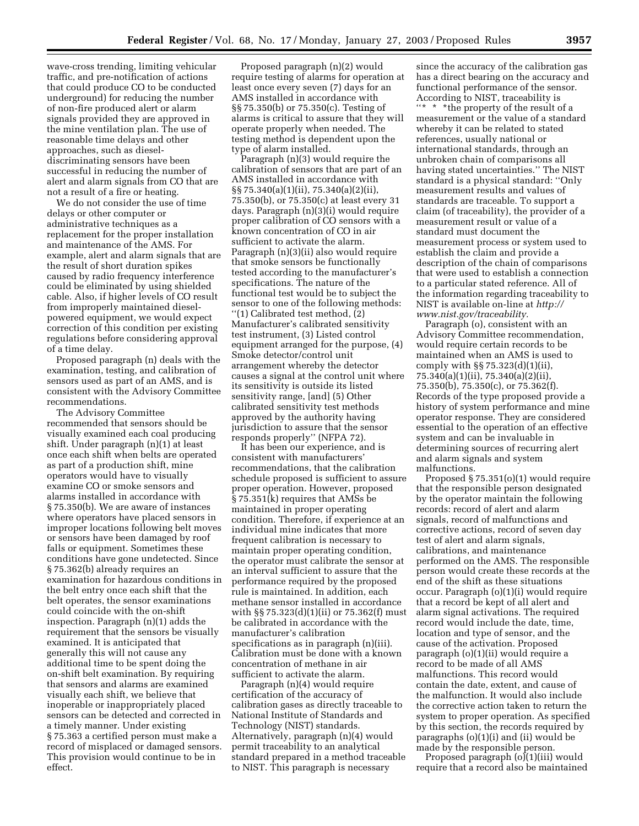wave-cross trending, limiting vehicular traffic, and pre-notification of actions that could produce CO to be conducted underground) for reducing the number of non-fire produced alert or alarm signals provided they are approved in the mine ventilation plan. The use of reasonable time delays and other approaches, such as dieseldiscriminating sensors have been successful in reducing the number of alert and alarm signals from CO that are not a result of a fire or heating.

We do not consider the use of time delays or other computer or administrative techniques as a replacement for the proper installation and maintenance of the AMS. For example, alert and alarm signals that are the result of short duration spikes caused by radio frequency interference could be eliminated by using shielded cable. Also, if higher levels of CO result from improperly maintained dieselpowered equipment, we would expect correction of this condition per existing regulations before considering approval of a time delay.

Proposed paragraph (n) deals with the examination, testing, and calibration of sensors used as part of an AMS, and is consistent with the Advisory Committee recommendations.

The Advisory Committee recommended that sensors should be visually examined each coal producing shift. Under paragraph (n)(1) at least once each shift when belts are operated as part of a production shift, mine operators would have to visually examine CO or smoke sensors and alarms installed in accordance with § 75.350(b). We are aware of instances where operators have placed sensors in improper locations following belt moves or sensors have been damaged by roof falls or equipment. Sometimes these conditions have gone undetected. Since § 75.362(b) already requires an examination for hazardous conditions in the belt entry once each shift that the belt operates, the sensor examinations could coincide with the on-shift inspection. Paragraph (n)(1) adds the requirement that the sensors be visually examined. It is anticipated that generally this will not cause any additional time to be spent doing the on-shift belt examination. By requiring that sensors and alarms are examined visually each shift, we believe that inoperable or inappropriately placed sensors can be detected and corrected in a timely manner. Under existing § 75.363 a certified person must make a record of misplaced or damaged sensors. This provision would continue to be in effect.

Proposed paragraph (n)(2) would require testing of alarms for operation at least once every seven (7) days for an AMS installed in accordance with §§ 75.350(b) or 75.350(c). Testing of alarms is critical to assure that they will operate properly when needed. The testing method is dependent upon the type of alarm installed.

Paragraph (n)(3) would require the calibration of sensors that are part of an AMS installed in accordance with §§ 75.340(a)(1)(ii), 75.340(a)(2)(ii), 75.350(b), or 75.350(c) at least every 31 days. Paragraph (n)(3)(i) would require proper calibration of CO sensors with a known concentration of CO in air sufficient to activate the alarm. Paragraph (n)(3)(ii) also would require that smoke sensors be functionally tested according to the manufacturer's specifications. The nature of the functional test would be to subject the sensor to one of the following methods: ''(1) Calibrated test method, (2) Manufacturer's calibrated sensitivity test instrument, (3) Listed control equipment arranged for the purpose, (4) Smoke detector/control unit arrangement whereby the detector causes a signal at the control unit where its sensitivity is outside its listed sensitivity range, [and] (5) Other calibrated sensitivity test methods approved by the authority having jurisdiction to assure that the sensor responds properly'' (NFPA 72).

It has been our experience, and is consistent with manufacturers' recommendations, that the calibration schedule proposed is sufficient to assure proper operation. However, proposed § 75.351(k) requires that AMSs be maintained in proper operating condition. Therefore, if experience at an individual mine indicates that more frequent calibration is necessary to maintain proper operating condition, the operator must calibrate the sensor at an interval sufficient to assure that the performance required by the proposed rule is maintained. In addition, each methane sensor installed in accordance with §§ 75.323(d)(1)(ii) or 75.362(f) must be calibrated in accordance with the manufacturer's calibration specifications as in paragraph (n)(iii). Calibration must be done with a known concentration of methane in air sufficient to activate the alarm.

Paragraph (n)(4) would require certification of the accuracy of calibration gases as directly traceable to National Institute of Standards and Technology (NIST) standards. Alternatively, paragraph (n)(4) would permit traceability to an analytical standard prepared in a method traceable to NIST. This paragraph is necessary

since the accuracy of the calibration gas has a direct bearing on the accuracy and functional performance of the sensor. According to NIST, traceability is "\* \* \* \* the property of the result of a measurement or the value of a standard whereby it can be related to stated references, usually national or international standards, through an unbroken chain of comparisons all having stated uncertainties.'' The NIST standard is a physical standard: ''Only measurement results and values of standards are traceable. To support a claim (of traceability), the provider of a measurement result or value of a standard must document the measurement process or system used to establish the claim and provide a description of the chain of comparisons that were used to establish a connection to a particular stated reference. All of the information regarding traceability to NIST is available on-line at *http:// www.nist.gov/traceability.*

Paragraph (o), consistent with an Advisory Committee recommendation, would require certain records to be maintained when an AMS is used to comply with §§ 75.323(d)(1)(ii), 75.340(a)(1)(ii), 75.340(a)(2)(ii), 75.350(b), 75.350(c), or 75.362(f). Records of the type proposed provide a history of system performance and mine operator response. They are considered essential to the operation of an effective system and can be invaluable in determining sources of recurring alert and alarm signals and system malfunctions.

Proposed § 75.351(o)(1) would require that the responsible person designated by the operator maintain the following records: record of alert and alarm signals, record of malfunctions and corrective actions, record of seven day test of alert and alarm signals, calibrations, and maintenance performed on the AMS. The responsible person would create these records at the end of the shift as these situations occur. Paragraph (o)(1)(i) would require that a record be kept of all alert and alarm signal activations. The required record would include the date, time, location and type of sensor, and the cause of the activation. Proposed paragraph (o)(1)(ii) would require a record to be made of all AMS malfunctions. This record would contain the date, extent, and cause of the malfunction. It would also include the corrective action taken to return the system to proper operation. As specified by this section, the records required by paragraphs (o)(1)(i) and (ii) would be made by the responsible person.

Proposed paragraph  $(o)(1)(iii)$  would require that a record also be maintained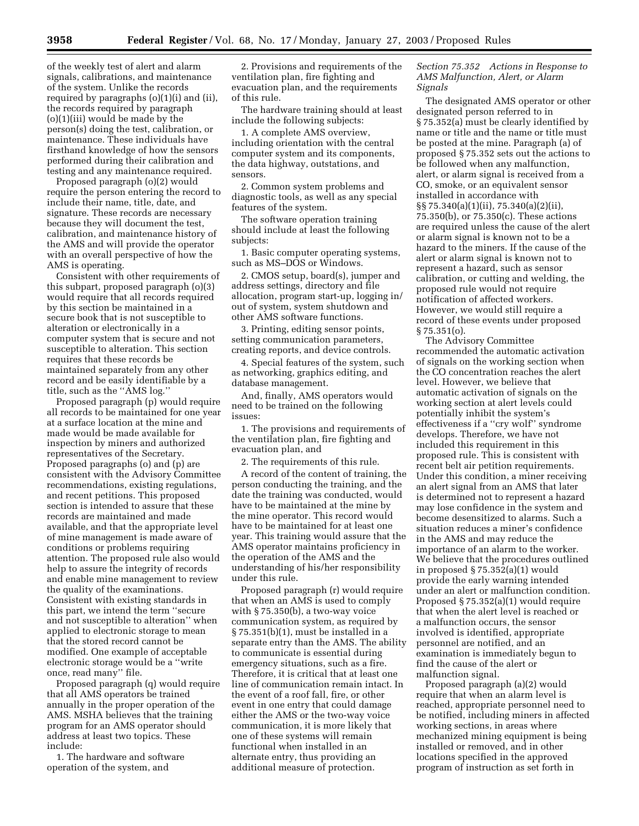of the weekly test of alert and alarm signals, calibrations, and maintenance of the system. Unlike the records required by paragraphs (o)(1)(i) and (ii), the records required by paragraph (o)(1)(iii) would be made by the person(s) doing the test, calibration, or maintenance. These individuals have firsthand knowledge of how the sensors performed during their calibration and testing and any maintenance required.

Proposed paragraph (o)(2) would require the person entering the record to include their name, title, date, and signature. These records are necessary because they will document the test, calibration, and maintenance history of the AMS and will provide the operator with an overall perspective of how the AMS is operating.

Consistent with other requirements of this subpart, proposed paragraph (o)(3) would require that all records required by this section be maintained in a secure book that is not susceptible to alteration or electronically in a computer system that is secure and not susceptible to alteration. This section requires that these records be maintained separately from any other record and be easily identifiable by a title, such as the ''AMS log.''

Proposed paragraph (p) would require all records to be maintained for one year at a surface location at the mine and made would be made available for inspection by miners and authorized representatives of the Secretary. Proposed paragraphs (o) and (p) are consistent with the Advisory Committee recommendations, existing regulations, and recent petitions. This proposed section is intended to assure that these records are maintained and made available, and that the appropriate level of mine management is made aware of conditions or problems requiring attention. The proposed rule also would help to assure the integrity of records and enable mine management to review the quality of the examinations. Consistent with existing standards in this part, we intend the term ''secure and not susceptible to alteration'' when applied to electronic storage to mean that the stored record cannot be modified. One example of acceptable electronic storage would be a ''write once, read many'' file.

Proposed paragraph (q) would require that all AMS operators be trained annually in the proper operation of the AMS. MSHA believes that the training program for an AMS operator should address at least two topics. These include:

1. The hardware and software operation of the system, and

2. Provisions and requirements of the ventilation plan, fire fighting and evacuation plan, and the requirements of this rule.

The hardware training should at least include the following subjects:

1. A complete AMS overview, including orientation with the central computer system and its components, the data highway, outstations, and sensors.

2. Common system problems and diagnostic tools, as well as any special features of the system.

The software operation training should include at least the following subjects:

1. Basic computer operating systems, such as MS–DOS or Windows.

2. CMOS setup, board(s), jumper and address settings, directory and file allocation, program start-up, logging in/ out of system, system shutdown and other AMS software functions.

3. Printing, editing sensor points, setting communication parameters, creating reports, and device controls.

4. Special features of the system, such as networking, graphics editing, and database management.

And, finally, AMS operators would need to be trained on the following issues:

1. The provisions and requirements of the ventilation plan, fire fighting and evacuation plan, and

2. The requirements of this rule.

A record of the content of training, the person conducting the training, and the date the training was conducted, would have to be maintained at the mine by the mine operator. This record would have to be maintained for at least one year. This training would assure that the AMS operator maintains proficiency in the operation of the AMS and the understanding of his/her responsibility under this rule.

Proposed paragraph (r) would require that when an AMS is used to comply with § 75.350(b), a two-way voice communication system, as required by § 75.351(b)(1), must be installed in a separate entry than the AMS. The ability to communicate is essential during emergency situations, such as a fire. Therefore, it is critical that at least one line of communication remain intact. In the event of a roof fall, fire, or other event in one entry that could damage either the AMS or the two-way voice communication, it is more likely that one of these systems will remain functional when installed in an alternate entry, thus providing an additional measure of protection.

#### *Section 75.352 Actions in Response to AMS Malfunction, Alert, or Alarm Signals*

The designated AMS operator or other designated person referred to in § 75.352(a) must be clearly identified by name or title and the name or title must be posted at the mine. Paragraph (a) of proposed § 75.352 sets out the actions to be followed when any malfunction, alert, or alarm signal is received from a CO, smoke, or an equivalent sensor installed in accordance with §§ 75.340(a)(1)(ii), 75.340(a)(2)(ii), 75.350(b), or 75.350(c). These actions are required unless the cause of the alert or alarm signal is known not to be a hazard to the miners. If the cause of the alert or alarm signal is known not to represent a hazard, such as sensor calibration, or cutting and welding, the proposed rule would not require notification of affected workers. However, we would still require a record of these events under proposed § 75.351(o).

The Advisory Committee recommended the automatic activation of signals on the working section when the CO concentration reaches the alert level. However, we believe that automatic activation of signals on the working section at alert levels could potentially inhibit the system's effectiveness if a ''cry wolf'' syndrome develops. Therefore, we have not included this requirement in this proposed rule. This is consistent with recent belt air petition requirements. Under this condition, a miner receiving an alert signal from an AMS that later is determined not to represent a hazard may lose confidence in the system and become desensitized to alarms. Such a situation reduces a miner's confidence in the AMS and may reduce the importance of an alarm to the worker. We believe that the procedures outlined in proposed § 75.352(a)(1) would provide the early warning intended under an alert or malfunction condition. Proposed § 75.352(a)(1) would require that when the alert level is reached or a malfunction occurs, the sensor involved is identified, appropriate personnel are notified, and an examination is immediately begun to find the cause of the alert or malfunction signal.

Proposed paragraph (a)(2) would require that when an alarm level is reached, appropriate personnel need to be notified, including miners in affected working sections, in areas where mechanized mining equipment is being installed or removed, and in other locations specified in the approved program of instruction as set forth in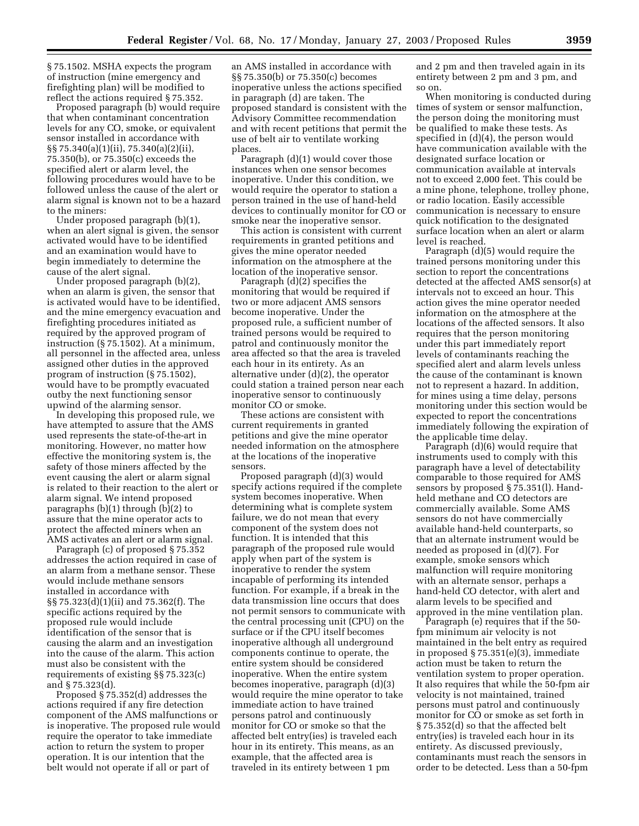§ 75.1502. MSHA expects the program of instruction (mine emergency and firefighting plan) will be modified to reflect the actions required § 75.352.

Proposed paragraph (b) would require that when contaminant concentration levels for any CO, smoke, or equivalent sensor installed in accordance with §§ 75.340(a)(1)(ii), 75.340(a)(2)(ii), 75.350(b), or 75.350(c) exceeds the specified alert or alarm level, the following procedures would have to be followed unless the cause of the alert or alarm signal is known not to be a hazard to the miners:

Under proposed paragraph (b)(1), when an alert signal is given, the sensor activated would have to be identified and an examination would have to begin immediately to determine the cause of the alert signal.

Under proposed paragraph (b)(2), when an alarm is given, the sensor that is activated would have to be identified, and the mine emergency evacuation and firefighting procedures initiated as required by the approved program of instruction (§ 75.1502). At a minimum, all personnel in the affected area, unless assigned other duties in the approved program of instruction (§ 75.1502), would have to be promptly evacuated outby the next functioning sensor upwind of the alarming sensor.

In developing this proposed rule, we have attempted to assure that the AMS used represents the state-of-the-art in monitoring. However, no matter how effective the monitoring system is, the safety of those miners affected by the event causing the alert or alarm signal is related to their reaction to the alert or alarm signal. We intend proposed paragraphs (b)(1) through (b)(2) to assure that the mine operator acts to protect the affected miners when an AMS activates an alert or alarm signal.

Paragraph (c) of proposed § 75.352 addresses the action required in case of an alarm from a methane sensor. These would include methane sensors installed in accordance with §§ 75.323(d)(1)(ii) and 75.362(f). The specific actions required by the proposed rule would include identification of the sensor that is causing the alarm and an investigation into the cause of the alarm. This action must also be consistent with the requirements of existing §§ 75.323(c) and § 75.323(d).

Proposed § 75.352(d) addresses the actions required if any fire detection component of the AMS malfunctions or is inoperative. The proposed rule would require the operator to take immediate action to return the system to proper operation. It is our intention that the belt would not operate if all or part of

an AMS installed in accordance with §§ 75.350(b) or 75.350(c) becomes inoperative unless the actions specified in paragraph (d) are taken. The proposed standard is consistent with the Advisory Committee recommendation and with recent petitions that permit the use of belt air to ventilate working places.

Paragraph (d)(1) would cover those instances when one sensor becomes inoperative. Under this condition, we would require the operator to station a person trained in the use of hand-held devices to continually monitor for CO or smoke near the inoperative sensor.

This action is consistent with current requirements in granted petitions and gives the mine operator needed information on the atmosphere at the location of the inoperative sensor.

Paragraph (d)(2) specifies the monitoring that would be required if two or more adjacent AMS sensors become inoperative. Under the proposed rule, a sufficient number of trained persons would be required to patrol and continuously monitor the area affected so that the area is traveled each hour in its entirety. As an alternative under (d)(2), the operator could station a trained person near each inoperative sensor to continuously monitor CO or smoke.

These actions are consistent with current requirements in granted petitions and give the mine operator needed information on the atmosphere at the locations of the inoperative sensors.

Proposed paragraph (d)(3) would specify actions required if the complete system becomes inoperative. When determining what is complete system failure, we do not mean that every component of the system does not function. It is intended that this paragraph of the proposed rule would apply when part of the system is inoperative to render the system incapable of performing its intended function. For example, if a break in the data transmission line occurs that does not permit sensors to communicate with the central processing unit (CPU) on the surface or if the CPU itself becomes inoperative although all underground components continue to operate, the entire system should be considered inoperative. When the entire system becomes inoperative, paragraph (d)(3) would require the mine operator to take immediate action to have trained persons patrol and continuously monitor for CO or smoke so that the affected belt entry(ies) is traveled each hour in its entirety. This means, as an example, that the affected area is traveled in its entirety between 1 pm

and 2 pm and then traveled again in its entirety between 2 pm and 3 pm, and so on.

When monitoring is conducted during times of system or sensor malfunction, the person doing the monitoring must be qualified to make these tests. As specified in (d)(4), the person would have communication available with the designated surface location or communication available at intervals not to exceed 2,000 feet. This could be a mine phone, telephone, trolley phone, or radio location. Easily accessible communication is necessary to ensure quick notification to the designated surface location when an alert or alarm level is reached.

Paragraph (d)(5) would require the trained persons monitoring under this section to report the concentrations detected at the affected AMS sensor(s) at intervals not to exceed an hour. This action gives the mine operator needed information on the atmosphere at the locations of the affected sensors. It also requires that the person monitoring under this part immediately report levels of contaminants reaching the specified alert and alarm levels unless the cause of the contaminant is known not to represent a hazard. In addition, for mines using a time delay, persons monitoring under this section would be expected to report the concentrations immediately following the expiration of the applicable time delay.

Paragraph (d)(6) would require that instruments used to comply with this paragraph have a level of detectability comparable to those required for AMS sensors by proposed § 75.351(l). Handheld methane and CO detectors are commercially available. Some AMS sensors do not have commercially available hand-held counterparts, so that an alternate instrument would be needed as proposed in (d)(7). For example, smoke sensors which malfunction will require monitoring with an alternate sensor, perhaps a hand-held CO detector, with alert and alarm levels to be specified and approved in the mine ventilation plan.

Paragraph (e) requires that if the 50 fpm minimum air velocity is not maintained in the belt entry as required in proposed § 75.351(e)(3), immediate action must be taken to return the ventilation system to proper operation. It also requires that while the 50-fpm air velocity is not maintained, trained persons must patrol and continuously monitor for CO or smoke as set forth in § 75.352(d) so that the affected belt entry(ies) is traveled each hour in its entirety. As discussed previously, contaminants must reach the sensors in order to be detected. Less than a 50-fpm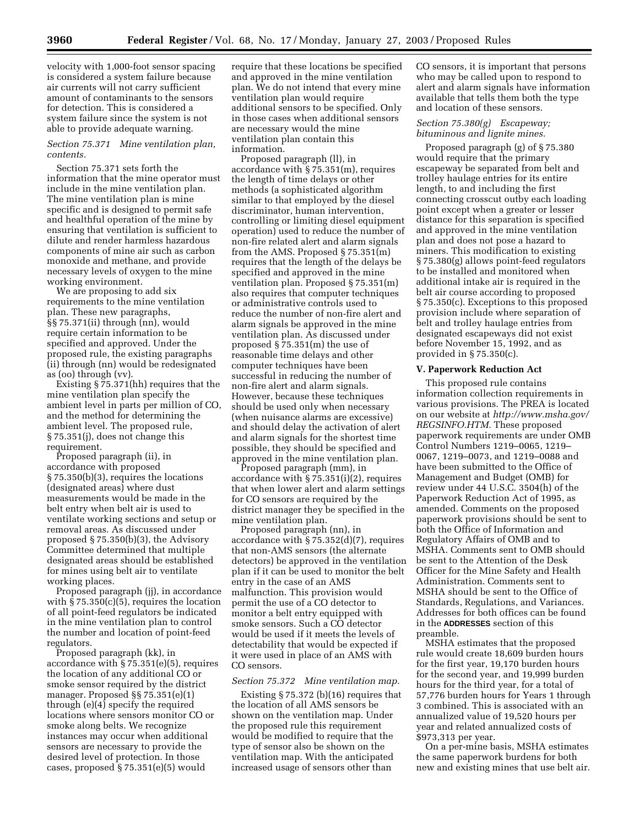velocity with 1,000-foot sensor spacing is considered a system failure because air currents will not carry sufficient amount of contaminants to the sensors for detection. This is considered a system failure since the system is not able to provide adequate warning.

#### *Section 75.371 Mine ventilation plan, contents.*

Section 75.371 sets forth the information that the mine operator must include in the mine ventilation plan. The mine ventilation plan is mine specific and is designed to permit safe and healthful operation of the mine by ensuring that ventilation is sufficient to dilute and render harmless hazardous components of mine air such as carbon monoxide and methane, and provide necessary levels of oxygen to the mine working environment.

We are proposing to add six requirements to the mine ventilation plan. These new paragraphs, §§ 75.371(ii) through (nn), would require certain information to be specified and approved. Under the proposed rule, the existing paragraphs (ii) through (nn) would be redesignated as (oo) through (vv).

Existing § 75.371(hh) requires that the mine ventilation plan specify the ambient level in parts per million of CO, and the method for determining the ambient level. The proposed rule, § 75.351(j), does not change this requirement.

Proposed paragraph (ii), in accordance with proposed § 75.350(b)(3), requires the locations (designated areas) where dust measurements would be made in the belt entry when belt air is used to ventilate working sections and setup or removal areas. As discussed under proposed § 75.350(b)(3), the Advisory Committee determined that multiple designated areas should be established for mines using belt air to ventilate working places.

Proposed paragraph (jj), in accordance with § 75.350(c)(5), requires the location of all point-feed regulators be indicated in the mine ventilation plan to control the number and location of point-feed regulators.

Proposed paragraph (kk), in accordance with § 75.351(e)(5), requires the location of any additional CO or smoke sensor required by the district manager. Proposed §§ 75.351(e)(1) through (e)(4) specify the required locations where sensors monitor CO or smoke along belts. We recognize instances may occur when additional sensors are necessary to provide the desired level of protection. In those cases, proposed § 75.351(e)(5) would

require that these locations be specified and approved in the mine ventilation plan. We do not intend that every mine ventilation plan would require additional sensors to be specified. Only in those cases when additional sensors are necessary would the mine ventilation plan contain this information.

Proposed paragraph (ll), in accordance with § 75.351(m), requires the length of time delays or other methods (a sophisticated algorithm similar to that employed by the diesel discriminator, human intervention, controlling or limiting diesel equipment operation) used to reduce the number of non-fire related alert and alarm signals from the AMS. Proposed § 75.351(m) requires that the length of the delays be specified and approved in the mine ventilation plan. Proposed § 75.351(m) also requires that computer techniques or administrative controls used to reduce the number of non-fire alert and alarm signals be approved in the mine ventilation plan. As discussed under proposed § 75.351(m) the use of reasonable time delays and other computer techniques have been successful in reducing the number of non-fire alert and alarm signals. However, because these techniques should be used only when necessary (when nuisance alarms are excessive) and should delay the activation of alert and alarm signals for the shortest time possible, they should be specified and approved in the mine ventilation plan.

Proposed paragraph (mm), in accordance with § 75.351(i)(2), requires that when lower alert and alarm settings for CO sensors are required by the district manager they be specified in the mine ventilation plan.

Proposed paragraph (nn), in accordance with § 75.352(d)(7), requires that non-AMS sensors (the alternate detectors) be approved in the ventilation plan if it can be used to monitor the belt entry in the case of an AMS malfunction. This provision would permit the use of a CO detector to monitor a belt entry equipped with smoke sensors. Such a CO detector would be used if it meets the levels of detectability that would be expected if it were used in place of an AMS with CO sensors.

#### *Section 75.372 Mine ventilation map.*

Existing  $\S 75.372$  (b)(16) requires that the location of all AMS sensors be shown on the ventilation map. Under the proposed rule this requirement would be modified to require that the type of sensor also be shown on the ventilation map. With the anticipated increased usage of sensors other than

CO sensors, it is important that persons who may be called upon to respond to alert and alarm signals have information available that tells them both the type and location of these sensors.

#### *Section 75.380(g) Escapeway; bituminous and lignite mines.*

Proposed paragraph (g) of § 75.380 would require that the primary escapeway be separated from belt and trolley haulage entries for its entire length, to and including the first connecting crosscut outby each loading point except when a greater or lesser distance for this separation is specified and approved in the mine ventilation plan and does not pose a hazard to miners. This modification to existing § 75.380(g) allows point-feed regulators to be installed and monitored when additional intake air is required in the belt air course according to proposed § 75.350(c). Exceptions to this proposed provision include where separation of belt and trolley haulage entries from designated escapeways did not exist before November 15, 1992, and as provided in § 75.350(c).

#### **V. Paperwork Reduction Act**

This proposed rule contains information collection requirements in various provisions. The PREA is located on our website at *http://www.msha.gov/ REGSINFO.HTM.* These proposed paperwork requirements are under OMB Control Numbers 1219–0065, 1219– 0067, 1219–0073, and 1219–0088 and have been submitted to the Office of Management and Budget (OMB) for review under 44 U.S.C. 3504(h) of the Paperwork Reduction Act of 1995, as amended. Comments on the proposed paperwork provisions should be sent to both the Office of Information and Regulatory Affairs of OMB and to MSHA. Comments sent to OMB should be sent to the Attention of the Desk Officer for the Mine Safety and Health Administration. Comments sent to MSHA should be sent to the Office of Standards, Regulations, and Variances. Addresses for both offices can be found in the **ADDRESSES** section of this preamble.

MSHA estimates that the proposed rule would create 18,609 burden hours for the first year, 19,170 burden hours for the second year, and 19,999 burden hours for the third year, for a total of 57,776 burden hours for Years 1 through 3 combined. This is associated with an annualized value of 19,520 hours per year and related annualized costs of \$973,313 per year.

On a per-mine basis, MSHA estimates the same paperwork burdens for both new and existing mines that use belt air.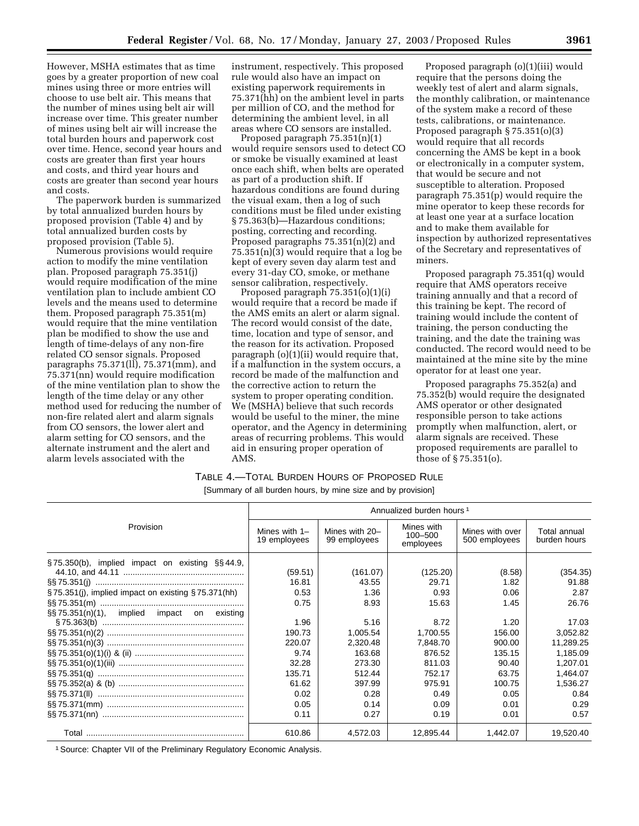However, MSHA estimates that as time goes by a greater proportion of new coal mines using three or more entries will choose to use belt air. This means that the number of mines using belt air will increase over time. This greater number of mines using belt air will increase the total burden hours and paperwork cost over time. Hence, second year hours and costs are greater than first year hours and costs, and third year hours and costs are greater than second year hours and costs.

The paperwork burden is summarized by total annualized burden hours by proposed provision (Table 4) and by total annualized burden costs by proposed provision (Table 5).

Numerous provisions would require action to modify the mine ventilation plan. Proposed paragraph 75.351(j) would require modification of the mine ventilation plan to include ambient CO levels and the means used to determine them. Proposed paragraph 75.351(m) would require that the mine ventilation plan be modified to show the use and length of time-delays of any non-fire related CO sensor signals. Proposed paragraphs 75.371(ll), 75.371(mm), and 75.371(nn) would require modification of the mine ventilation plan to show the length of the time delay or any other method used for reducing the number of non-fire related alert and alarm signals from CO sensors, the lower alert and alarm setting for CO sensors, and the alternate instrument and the alert and alarm levels associated with the

instrument, respectively. This proposed rule would also have an impact on existing paperwork requirements in 75.371(hh) on the ambient level in parts per million of CO, and the method for determining the ambient level, in all areas where CO sensors are installed.

Proposed paragraph 75.351(n)(1) would require sensors used to detect CO or smoke be visually examined at least once each shift, when belts are operated as part of a production shift. If hazardous conditions are found during the visual exam, then a log of such conditions must be filed under existing § 75.363(b)—Hazardous conditions; posting, correcting and recording. Proposed paragraphs 75.351(n)(2) and 75.351(n)(3) would require that a log be kept of every seven day alarm test and every 31-day CO, smoke, or methane sensor calibration, respectively.

Proposed paragraph 75.351(o)(1)(i) would require that a record be made if the AMS emits an alert or alarm signal. The record would consist of the date, time, location and type of sensor, and the reason for its activation. Proposed paragraph (o)(1)(ii) would require that, if a malfunction in the system occurs, a record be made of the malfunction and the corrective action to return the system to proper operating condition. We (MSHA) believe that such records would be useful to the miner, the mine operator, and the Agency in determining areas of recurring problems. This would aid in ensuring proper operation of AMS.

Proposed paragraph (o)(1)(iii) would require that the persons doing the weekly test of alert and alarm signals, the monthly calibration, or maintenance of the system make a record of these tests, calibrations, or maintenance. Proposed paragraph § 75.351(o)(3) would require that all records concerning the AMS be kept in a book or electronically in a computer system, that would be secure and not susceptible to alteration. Proposed paragraph 75.351(p) would require the mine operator to keep these records for at least one year at a surface location and to make them available for inspection by authorized representatives of the Secretary and representatives of miners.

Proposed paragraph 75.351(q) would require that AMS operators receive training annually and that a record of this training be kept. The record of training would include the content of training, the person conducting the training, and the date the training was conducted. The record would need to be maintained at the mine site by the mine operator for at least one year.

Proposed paragraphs 75.352(a) and 75.352(b) would require the designated AMS operator or other designated responsible person to take actions promptly when malfunction, alert, or alarm signals are received. These proposed requirements are parallel to those of § 75.351(o).

### TABLE 4.—TOTAL BURDEN HOURS OF PROPOSED RULE

[Summary of all burden hours, by mine size and by provision]

|                                                    | Annualized burden hours <sup>1</sup> |                                  |                                    |                                  |                              |  |
|----------------------------------------------------|--------------------------------------|----------------------------------|------------------------------------|----------------------------------|------------------------------|--|
| Provision                                          | Mines with $1-$<br>19 employees      | Mines with $20-$<br>99 employees | Mines with<br>100-500<br>employees | Mines with over<br>500 employees | Total annual<br>burden hours |  |
| §75.350(b), implied impact on existing §§44.9,     | (59.51)                              | (161.07)                         | (125.20)                           | (8.58)                           | (354.35)                     |  |
|                                                    | 16.81                                | 43.55                            | 29.71                              | 1.82                             | 91.88                        |  |
| §75.351(i), implied impact on existing §75.371(hh) | 0.53                                 | 1.36                             | 0.93                               | 0.06                             | 2.87                         |  |
|                                                    | 0.75                                 | 8.93                             | 15.63                              | 1.45                             | 26.76                        |  |
| $\S$ s 75.351(n)(1), implied impact on existing    |                                      |                                  |                                    |                                  |                              |  |
|                                                    | 1.96                                 | 5.16                             | 8.72                               | 1.20                             | 17.03                        |  |
|                                                    | 190.73                               | 1,005.54                         | 1,700.55                           | 156.00                           | 3,052.82                     |  |
|                                                    | 220.07                               | 2,320.48                         | 7,848.70                           | 900.00                           | 11,289.25                    |  |
|                                                    | 9.74                                 | 163.68                           | 876.52                             | 135.15                           | 1,185.09                     |  |
|                                                    | 32.28                                | 273.30                           | 811.03                             | 90.40                            | 1,207.01                     |  |
|                                                    | 135.71                               | 512.44                           | 752.17                             | 63.75                            | 1,464.07                     |  |
|                                                    | 61.62                                | 397.99                           | 975.91                             | 100.75                           | 1,536.27                     |  |
|                                                    | 0.02                                 | 0.28                             | 0.49                               | 0.05                             | 0.84                         |  |
|                                                    | 0.05                                 | 0.14                             | 0.09                               | 0.01                             | 0.29                         |  |
|                                                    | 0.11                                 | 0.27                             | 0.19                               | 0.01                             | 0.57                         |  |
|                                                    | 610.86                               | 4,572.03                         | 12,895.44                          | 1,442.07                         | 19,520.40                    |  |

<sup>1</sup> Source: Chapter VII of the Preliminary Regulatory Economic Analysis.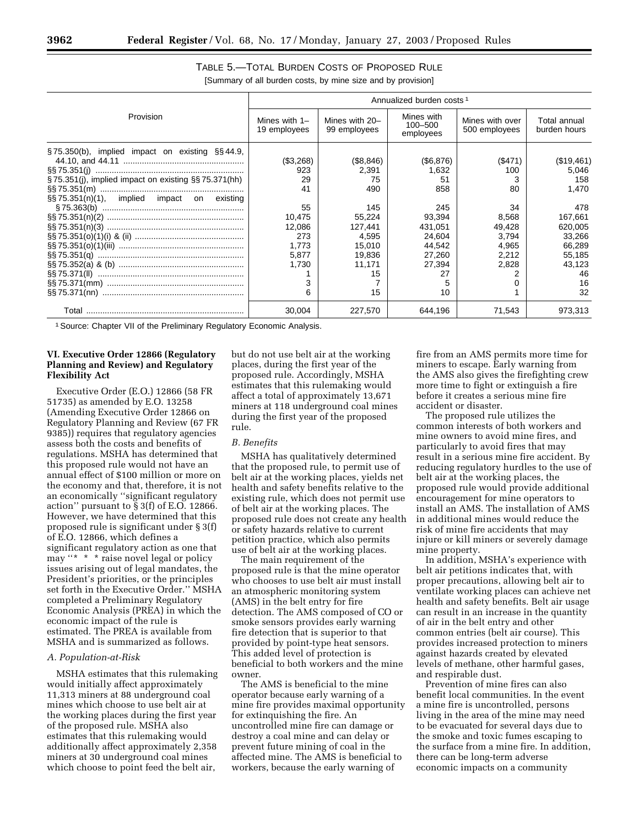|                                                                                                                            | Annualized burden costs <sup>1</sup>                               |                                                                             |                                                                                   |                                                           |                                                                                     |  |
|----------------------------------------------------------------------------------------------------------------------------|--------------------------------------------------------------------|-----------------------------------------------------------------------------|-----------------------------------------------------------------------------------|-----------------------------------------------------------|-------------------------------------------------------------------------------------|--|
| Provision                                                                                                                  | Mines with $1-$<br>19 employees                                    | Mines with 20-<br>99 employees                                              | Mines with<br>$100 - 500$<br>employees                                            | Mines with over<br>500 employees                          | Total annual<br>burden hours                                                        |  |
| $\S$ 75.350(b), implied impact on existing $\S$ \$44.9,<br>$\S$ 75.351(i), implied impact on existing $\S$ $\S$ 75.371(hh) | (\$3,268)<br>923<br>29<br>41                                       | (\$8,846)<br>2.391<br>75<br>490                                             | (S6, 876)<br>1.632<br>51<br>858                                                   | (\$471)<br>100<br>80                                      | (\$19,461)<br>5.046<br>158<br>1.470                                                 |  |
| $\S$ 75.351(n)(1), implied impact on existing                                                                              | 55<br>10,475<br>12.086<br>273<br>1.773<br>5.877<br>1,730<br>3<br>6 | 145<br>55,224<br>127.441<br>4.595<br>15.010<br>19.836<br>11,171<br>15<br>15 | 245<br>93,394<br>431.051<br>24.604<br>44.542<br>27.260<br>27.394<br>27<br>5<br>10 | 34<br>8,568<br>49.428<br>3.794<br>4.965<br>2.212<br>2,828 | 478<br>167,661<br>620.005<br>33,266<br>66.289<br>55.185<br>43.123<br>46<br>16<br>32 |  |
|                                                                                                                            | 30.004                                                             | 227,570                                                                     | 644.196                                                                           | 71.543                                                    | 973.313                                                                             |  |

#### TABLE 5.—TOTAL BURDEN COSTS OF PROPOSED RULE [Summary of all burden costs, by mine size and by provision]

<sup>1</sup> Source: Chapter VII of the Preliminary Regulatory Economic Analysis.

#### **VI. Executive Order 12866 (Regulatory Planning and Review) and Regulatory Flexibility Act**

Executive Order (E.O.) 12866 (58 FR 51735) as amended by E.O. 13258 (Amending Executive Order 12866 on Regulatory Planning and Review (67 FR 9385)) requires that regulatory agencies assess both the costs and benefits of regulations. MSHA has determined that this proposed rule would not have an annual effect of \$100 million or more on the economy and that, therefore, it is not an economically ''significant regulatory action'' pursuant to § 3(f) of E.O. 12866. However, we have determined that this proposed rule is significant under § 3(f) of E.O. 12866, which defines a significant regulatory action as one that may "\* \* \* raise novel legal or policy issues arising out of legal mandates, the President's priorities, or the principles set forth in the Executive Order.'' MSHA completed a Preliminary Regulatory Economic Analysis (PREA) in which the economic impact of the rule is estimated. The PREA is available from MSHA and is summarized as follows.

#### *A. Population-at-Risk*

MSHA estimates that this rulemaking would initially affect approximately 11,313 miners at 88 underground coal mines which choose to use belt air at the working places during the first year of the proposed rule. MSHA also estimates that this rulemaking would additionally affect approximately 2,358 miners at 30 underground coal mines which choose to point feed the belt air,

but do not use belt air at the working places, during the first year of the proposed rule. Accordingly, MSHA estimates that this rulemaking would affect a total of approximately 13,671 miners at 118 underground coal mines during the first year of the proposed rule.

#### *B. Benefits*

MSHA has qualitatively determined that the proposed rule, to permit use of belt air at the working places, yields net health and safety benefits relative to the existing rule, which does not permit use of belt air at the working places. The proposed rule does not create any health or safety hazards relative to current petition practice, which also permits use of belt air at the working places.

The main requirement of the proposed rule is that the mine operator who chooses to use belt air must install an atmospheric monitoring system (AMS) in the belt entry for fire detection. The AMS composed of CO or smoke sensors provides early warning fire detection that is superior to that provided by point-type heat sensors. This added level of protection is beneficial to both workers and the mine owner.

The AMS is beneficial to the mine operator because early warning of a mine fire provides maximal opportunity for extinquishing the fire. An uncontrolled mine fire can damage or destroy a coal mine and can delay or prevent future mining of coal in the affected mine. The AMS is beneficial to workers, because the early warning of

fire from an AMS permits more time for miners to escape. Early warning from the AMS also gives the firefighting crew more time to fight or extinguish a fire before it creates a serious mine fire accident or disaster.

The proposed rule utilizes the common interests of both workers and mine owners to avoid mine fires, and particularly to avoid fires that may result in a serious mine fire accident. By reducing regulatory hurdles to the use of belt air at the working places, the proposed rule would provide additional encouragement for mine operators to install an AMS. The installation of AMS in additional mines would reduce the risk of mine fire accidents that may injure or kill miners or severely damage mine property.

In addition, MSHA's experience with belt air petitions indicates that, with proper precautions, allowing belt air to ventilate working places can achieve net health and safety benefits. Belt air usage can result in an increase in the quantity of air in the belt entry and other common entries (belt air course). This provides increased protection to miners against hazards created by elevated levels of methane, other harmful gases, and respirable dust.

Prevention of mine fires can also benefit local communities. In the event a mine fire is uncontrolled, persons living in the area of the mine may need to be evacuated for several days due to the smoke and toxic fumes escaping to the surface from a mine fire. In addition, there can be long-term adverse economic impacts on a community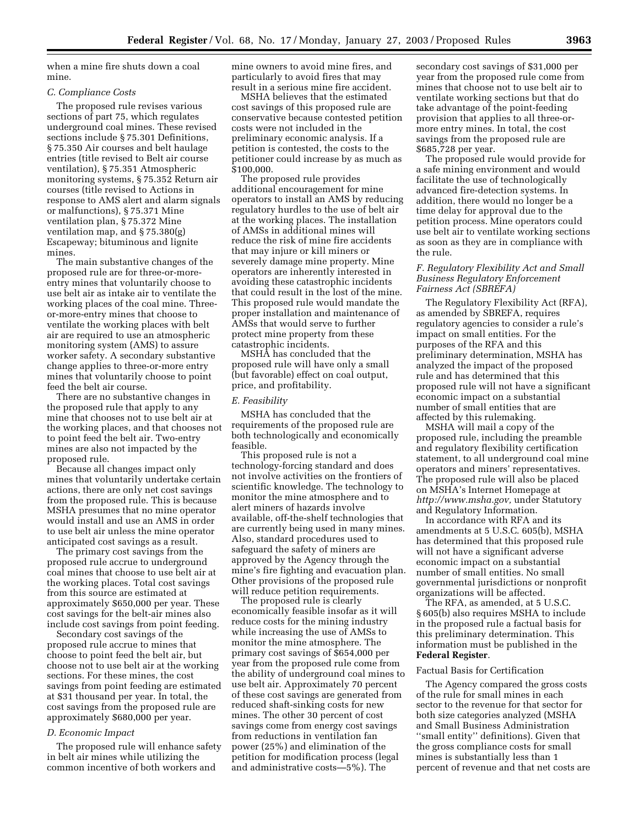when a mine fire shuts down a coal mine.

#### *C. Compliance Costs*

The proposed rule revises various sections of part 75, which regulates underground coal mines. These revised sections include § 75.301 Definitions, § 75.350 Air courses and belt haulage entries (title revised to Belt air course ventilation), § 75.351 Atmospheric monitoring systems, § 75.352 Return air courses (title revised to Actions in response to AMS alert and alarm signals or malfunctions), § 75.371 Mine ventilation plan, § 75.372 Mine ventilation map, and § 75.380(g) Escapeway; bituminous and lignite mines.

The main substantive changes of the proposed rule are for three-or-moreentry mines that voluntarily choose to use belt air as intake air to ventilate the working places of the coal mine. Threeor-more-entry mines that choose to ventilate the working places with belt air are required to use an atmospheric monitoring system (AMS) to assure worker safety. A secondary substantive change applies to three-or-more entry mines that voluntarily choose to point feed the belt air course.

There are no substantive changes in the proposed rule that apply to any mine that chooses not to use belt air at the working places, and that chooses not to point feed the belt air. Two-entry mines are also not impacted by the proposed rule.

Because all changes impact only mines that voluntarily undertake certain actions, there are only net cost savings from the proposed rule. This is because MSHA presumes that no mine operator would install and use an AMS in order to use belt air unless the mine operator anticipated cost savings as a result.

The primary cost savings from the proposed rule accrue to underground coal mines that choose to use belt air at the working places. Total cost savings from this source are estimated at approximately \$650,000 per year. These cost savings for the belt-air mines also include cost savings from point feeding.

Secondary cost savings of the proposed rule accrue to mines that choose to point feed the belt air, but choose not to use belt air at the working sections. For these mines, the cost savings from point feeding are estimated at \$31 thousand per year. In total, the cost savings from the proposed rule are approximately \$680,000 per year.

#### *D. Economic Impact*

The proposed rule will enhance safety in belt air mines while utilizing the common incentive of both workers and

mine owners to avoid mine fires, and particularly to avoid fires that may result in a serious mine fire accident.

MSHA believes that the estimated cost savings of this proposed rule are conservative because contested petition costs were not included in the preliminary economic analysis. If a petition is contested, the costs to the petitioner could increase by as much as \$100,000.

The proposed rule provides additional encouragement for mine operators to install an AMS by reducing regulatory hurdles to the use of belt air at the working places. The installation of AMSs in additional mines will reduce the risk of mine fire accidents that may injure or kill miners or severely damage mine property. Mine operators are inherently interested in avoiding these catastrophic incidents that could result in the lost of the mine. This proposed rule would mandate the proper installation and maintenance of AMSs that would serve to further protect mine property from these catastrophic incidents.

MSHA has concluded that the proposed rule will have only a small (but favorable) effect on coal output, price, and profitability.

#### *E. Feasibility*

MSHA has concluded that the requirements of the proposed rule are both technologically and economically feasible.

This proposed rule is not a technology-forcing standard and does not involve activities on the frontiers of scientific knowledge. The technology to monitor the mine atmosphere and to alert miners of hazards involve available, off-the-shelf technologies that are currently being used in many mines. Also, standard procedures used to safeguard the safety of miners are approved by the Agency through the mine's fire fighting and evacuation plan. Other provisions of the proposed rule will reduce petition requirements.

The proposed rule is clearly economically feasible insofar as it will reduce costs for the mining industry while increasing the use of AMSs to monitor the mine atmosphere. The primary cost savings of \$654,000 per year from the proposed rule come from the ability of underground coal mines to use belt air. Approximately 70 percent of these cost savings are generated from reduced shaft-sinking costs for new mines. The other 30 percent of cost savings come from energy cost savings from reductions in ventilation fan power (25%) and elimination of the petition for modification process (legal and administrative costs—5%). The

secondary cost savings of \$31,000 per year from the proposed rule come from mines that choose not to use belt air to ventilate working sections but that do take advantage of the point-feeding provision that applies to all three-ormore entry mines. In total, the cost savings from the proposed rule are \$685,728 per year.

The proposed rule would provide for a safe mining environment and would facilitate the use of technologically advanced fire-detection systems. In addition, there would no longer be a time delay for approval due to the petition process. Mine operators could use belt air to ventilate working sections as soon as they are in compliance with the rule.

#### *F. Regulatory Flexibility Act and Small Business Regulatory Enforcement Fairness Act (SBREFA)*

The Regulatory Flexibility Act (RFA), as amended by SBREFA, requires regulatory agencies to consider a rule's impact on small entities. For the purposes of the RFA and this preliminary determination, MSHA has analyzed the impact of the proposed rule and has determined that this proposed rule will not have a significant economic impact on a substantial number of small entities that are affected by this rulemaking.

MSHA will mail a copy of the proposed rule, including the preamble and regulatory flexibility certification statement, to all underground coal mine operators and miners' representatives. The proposed rule will also be placed on MSHA's Internet Homepage at *http://www.msha.gov,* under Statutory and Regulatory Information.

In accordance with RFA and its amendments at 5 U.S.C. 605(b), MSHA has determined that this proposed rule will not have a significant adverse economic impact on a substantial number of small entities. No small governmental jurisdictions or nonprofit organizations will be affected.

The RFA, as amended, at 5 U.S.C. § 605(b) also requires MSHA to include in the proposed rule a factual basis for this preliminary determination. This information must be published in the **Federal Register**.

#### Factual Basis for Certification

The Agency compared the gross costs of the rule for small mines in each sector to the revenue for that sector for both size categories analyzed (MSHA and Small Business Administration ''small entity'' definitions). Given that the gross compliance costs for small mines is substantially less than 1 percent of revenue and that net costs are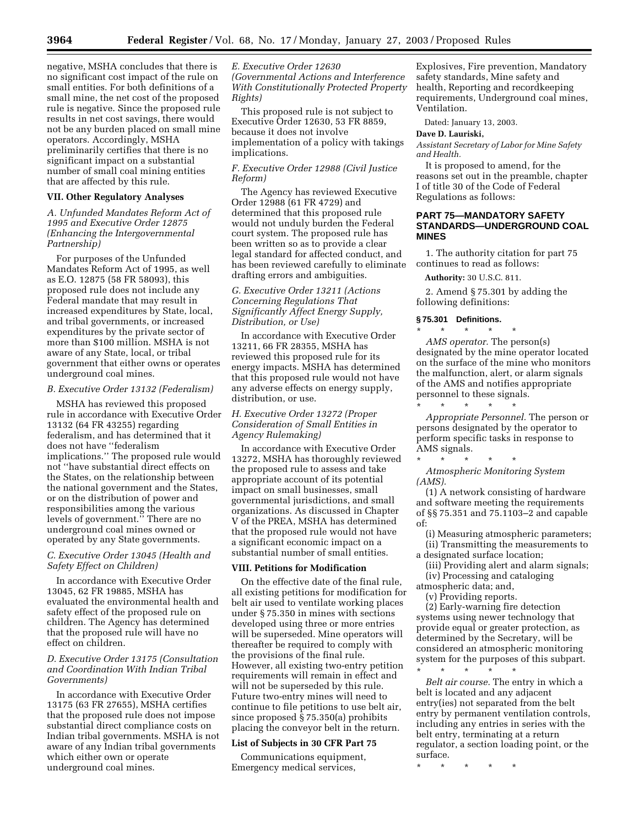negative, MSHA concludes that there is no significant cost impact of the rule on small entities. For both definitions of a small mine, the net cost of the proposed rule is negative. Since the proposed rule results in net cost savings, there would not be any burden placed on small mine operators. Accordingly, MSHA preliminarily certifies that there is no significant impact on a substantial number of small coal mining entities that are affected by this rule.

#### **VII. Other Regulatory Analyses**

*A. Unfunded Mandates Reform Act of 1995 and Executive Order 12875 (Enhancing the Intergovernmental Partnership)* 

For purposes of the Unfunded Mandates Reform Act of 1995, as well as E.O. 12875 (58 FR 58093), this proposed rule does not include any Federal mandate that may result in increased expenditures by State, local, and tribal governments, or increased expenditures by the private sector of more than \$100 million. MSHA is not aware of any State, local, or tribal government that either owns or operates underground coal mines.

#### *B. Executive Order 13132 (Federalism)*

MSHA has reviewed this proposed rule in accordance with Executive Order 13132 (64 FR 43255) regarding federalism, and has determined that it does not have ''federalism implications.'' The proposed rule would not ''have substantial direct effects on the States, on the relationship between the national government and the States, or on the distribution of power and responsibilities among the various levels of government.'' There are no underground coal mines owned or operated by any State governments.

#### *C. Executive Order 13045 (Health and Safety Effect on Children)*

In accordance with Executive Order 13045, 62 FR 19885, MSHA has evaluated the environmental health and safety effect of the proposed rule on children. The Agency has determined that the proposed rule will have no effect on children.

#### *D. Executive Order 13175 (Consultation and Coordination With Indian Tribal Governments)*

In accordance with Executive Order 13175 (63 FR 27655), MSHA certifies that the proposed rule does not impose substantial direct compliance costs on Indian tribal governments. MSHA is not aware of any Indian tribal governments which either own or operate underground coal mines.

#### *E. Executive Order 12630 (Governmental Actions and Interference With Constitutionally Protected Property Rights)*

This proposed rule is not subject to Executive Order 12630, 53 FR 8859, because it does not involve implementation of a policy with takings implications.

#### *F. Executive Order 12988 (Civil Justice Reform)*

The Agency has reviewed Executive Order 12988 (61 FR 4729) and determined that this proposed rule would not unduly burden the Federal court system. The proposed rule has been written so as to provide a clear legal standard for affected conduct, and has been reviewed carefully to eliminate drafting errors and ambiguities.

#### *G. Executive Order 13211 (Actions Concerning Regulations That Significantly Affect Energy Supply, Distribution, or Use)*

In accordance with Executive Order 13211, 66 FR 28355, MSHA has reviewed this proposed rule for its energy impacts. MSHA has determined that this proposed rule would not have any adverse effects on energy supply, distribution, or use.

#### *H. Executive Order 13272 (Proper Consideration of Small Entities in Agency Rulemaking)*

In accordance with Executive Order 13272, MSHA has thoroughly reviewed the proposed rule to assess and take appropriate account of its potential impact on small businesses, small governmental jurisdictions, and small organizations. As discussed in Chapter V of the PREA, MSHA has determined that the proposed rule would not have a significant economic impact on a substantial number of small entities.

#### **VIII. Petitions for Modification**

On the effective date of the final rule, all existing petitions for modification for belt air used to ventilate working places under § 75.350 in mines with sections developed using three or more entries will be superseded. Mine operators will thereafter be required to comply with the provisions of the final rule. However, all existing two-entry petition requirements will remain in effect and will not be superseded by this rule. Future two-entry mines will need to continue to file petitions to use belt air, since proposed § 75.350(a) prohibits placing the conveyor belt in the return.

#### **List of Subjects in 30 CFR Part 75**

Communications equipment, Emergency medical services,

Explosives, Fire prevention, Mandatory safety standards, Mine safety and health, Reporting and recordkeeping requirements, Underground coal mines, Ventilation.

Dated: January 13, 2003.

#### **Dave D. Lauriski,**

*Assistant Secretary of Labor for Mine Safety and Health.*

It is proposed to amend, for the reasons set out in the preamble, chapter I of title 30 of the Code of Federal Regulations as follows:

#### **PART 75—MANDATORY SAFETY STANDARDS—UNDERGROUND COAL MINES**

1. The authority citation for part 75 continues to read as follows:

**Authority:** 30 U.S.C. 811.

2. Amend § 75.301 by adding the following definitions:

#### **§ 75.301 Definitions.**

\* \* \* \* \* *AMS operator.* The person(s) designated by the mine operator located on the surface of the mine who monitors the malfunction, alert, or alarm signals of the AMS and notifies appropriate personnel to these signals. \* \* \* \* \*

*Appropriate Personnel.* The person or persons designated by the operator to perform specific tasks in response to AMS signals.

\* \* \* \* \* *Atmospheric Monitoring System (AMS).*

(1) A network consisting of hardware and software meeting the requirements of §§ 75.351 and 75.1103–2 and capable of:

- (i) Measuring atmospheric parameters; (ii) Transmitting the measurements to a designated surface location;
- (iii) Providing alert and alarm signals; (iv) Processing and cataloging
- atmospheric data; and,

(v) Providing reports.

(2) Early-warning fire detection systems using newer technology that provide equal or greater protection, as determined by the Secretary, will be considered an atmospheric monitoring system for the purposes of this subpart.

\* \* \* \* \* *Belt air course.* The entry in which a belt is located and any adjacent entry(ies) not separated from the belt entry by permanent ventilation controls, including any entries in series with the belt entry, terminating at a return regulator, a section loading point, or the surface.

\* \* \* \* \*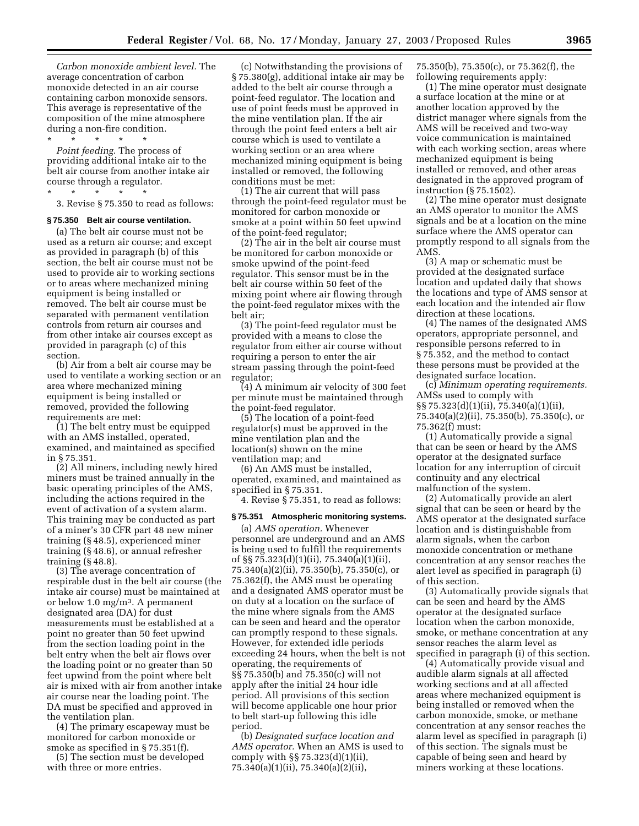*Carbon monoxide ambient level.* The average concentration of carbon monoxide detected in an air course containing carbon monoxide sensors. This average is representative of the composition of the mine atmosphere during a non-fire condition. \* \* \* \* \*

*Point feeding.* The process of providing additional intake air to the belt air course from another intake air course through a regulator.

 $\star$   $\star$   $\star$ 3. Revise § 75.350 to read as follows:

#### **§ 75.350 Belt air course ventilation.**

(a) The belt air course must not be used as a return air course; and except as provided in paragraph (b) of this section, the belt air course must not be used to provide air to working sections or to areas where mechanized mining equipment is being installed or removed. The belt air course must be separated with permanent ventilation controls from return air courses and from other intake air courses except as provided in paragraph (c) of this section.

(b) Air from a belt air course may be used to ventilate a working section or an area where mechanized mining equipment is being installed or removed, provided the following requirements are met:

(1) The belt entry must be equipped with an AMS installed, operated, examined, and maintained as specified in § 75.351.

(2) All miners, including newly hired miners must be trained annually in the basic operating principles of the AMS, including the actions required in the event of activation of a system alarm. This training may be conducted as part of a miner's 30 CFR part 48 new miner training (§ 48.5), experienced miner training (§ 48.6), or annual refresher training (§ 48.8).

(3) The average concentration of respirable dust in the belt air course (the intake air course) must be maintained at or below 1.0 mg/m3. A permanent designated area (DA) for dust measurements must be established at a point no greater than 50 feet upwind from the section loading point in the belt entry when the belt air flows over the loading point or no greater than 50 feet upwind from the point where belt air is mixed with air from another intake air course near the loading point. The DA must be specified and approved in the ventilation plan.

(4) The primary escapeway must be monitored for carbon monoxide or smoke as specified in § 75.351(f).

(5) The section must be developed with three or more entries.

(c) Notwithstanding the provisions of § 75.380(g), additional intake air may be added to the belt air course through a point-feed regulator. The location and use of point feeds must be approved in the mine ventilation plan. If the air through the point feed enters a belt air course which is used to ventilate a working section or an area where mechanized mining equipment is being installed or removed, the following conditions must be met:

(1) The air current that will pass through the point-feed regulator must be monitored for carbon monoxide or smoke at a point within 50 feet upwind of the point-feed regulator;

(2) The air in the belt air course must be monitored for carbon monoxide or smoke upwind of the point-feed regulator. This sensor must be in the belt air course within 50 feet of the mixing point where air flowing through the point-feed regulator mixes with the belt air;

(3) The point-feed regulator must be provided with a means to close the regulator from either air course without requiring a person to enter the air stream passing through the point-feed regulator;

(4) A minimum air velocity of 300 feet per minute must be maintained through the point-feed regulator.

(5) The location of a point-feed regulator(s) must be approved in the mine ventilation plan and the location(s) shown on the mine ventilation map; and

(6) An AMS must be installed, operated, examined, and maintained as specified in § 75.351.

4. Revise § 75.351, to read as follows:

#### **§ 75.351 Atmospheric monitoring systems.**

(a) *AMS operation.* Whenever personnel are underground and an AMS is being used to fulfill the requirements of §§ 75.323(d)(1)(ii), 75.340(a)(1)(ii), 75.340(a)(2)(ii), 75.350(b), 75.350(c), or 75.362(f), the AMS must be operating and a designated AMS operator must be on duty at a location on the surface of the mine where signals from the AMS can be seen and heard and the operator can promptly respond to these signals. However, for extended idle periods exceeding 24 hours, when the belt is not operating, the requirements of §§ 75.350(b) and 75.350(c) will not apply after the initial 24 hour idle period. All provisions of this section will become applicable one hour prior to belt start-up following this idle period.

(b) *Designated surface location and AMS operator.* When an AMS is used to comply with §§ 75.323(d)(1)(ii), 75.340(a)(1)(ii), 75.340(a)(2)(ii),

75.350(b), 75.350(c), or 75.362(f), the following requirements apply:

(1) The mine operator must designate a surface location at the mine or at another location approved by the district manager where signals from the AMS will be received and two-way voice communication is maintained with each working section, areas where mechanized equipment is being installed or removed, and other areas designated in the approved program of instruction (§ 75.1502).

(2) The mine operator must designate an AMS operator to monitor the AMS signals and be at a location on the mine surface where the AMS operator can promptly respond to all signals from the AMS.

(3) A map or schematic must be provided at the designated surface location and updated daily that shows the locations and type of AMS sensor at each location and the intended air flow direction at these locations.

(4) The names of the designated AMS operators, appropriate personnel, and responsible persons referred to in § 75.352, and the method to contact these persons must be provided at the designated surface location.

(c) *Minimum operating requirements.* AMSs used to comply with §§ 75.323(d)(1)(ii), 75.340(a)(1)(ii), 75.340(a)(2)(ii), 75.350(b), 75.350(c), or 75.362(f) must:

(1) Automatically provide a signal that can be seen or heard by the AMS operator at the designated surface location for any interruption of circuit continuity and any electrical malfunction of the system.

(2) Automatically provide an alert signal that can be seen or heard by the AMS operator at the designated surface location and is distinguishable from alarm signals, when the carbon monoxide concentration or methane concentration at any sensor reaches the alert level as specified in paragraph (i) of this section.

(3) Automatically provide signals that can be seen and heard by the AMS operator at the designated surface location when the carbon monoxide, smoke, or methane concentration at any sensor reaches the alarm level as specified in paragraph (i) of this section.

(4) Automatically provide visual and audible alarm signals at all affected working sections and at all affected areas where mechanized equipment is being installed or removed when the carbon monoxide, smoke, or methane concentration at any sensor reaches the alarm level as specified in paragraph (i) of this section. The signals must be capable of being seen and heard by miners working at these locations.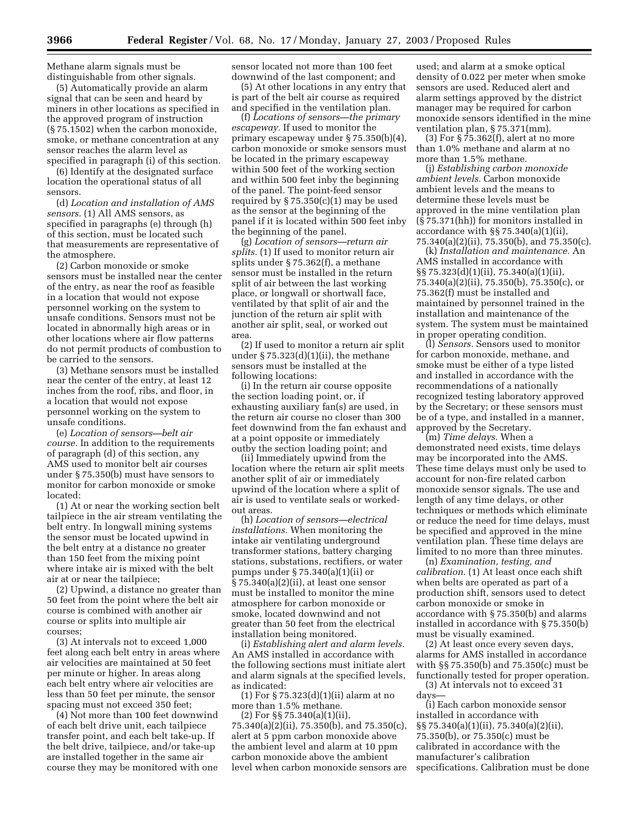Methane alarm signals must be distinguishable from other signals.

(5) Automatically provide an alarm signal that can be seen and heard by miners in other locations as specified in the approved program of instruction (§ 75.1502) when the carbon monoxide, smoke, or methane concentration at any sensor reaches the alarm level as specified in paragraph (i) of this section.

(6) Identify at the designated surface location the operational status of all sensors.

(d) *Location and installation of AMS sensors.* (1) All AMS sensors, as specified in paragraphs (e) through (h) of this section, must be located such that measurements are representative of the atmosphere.

(2) Carbon monoxide or smoke sensors must be installed near the center of the entry, as near the roof as feasible in a location that would not expose personnel working on the system to unsafe conditions. Sensors must not be located in abnormally high areas or in other locations where air flow patterns do not permit products of combustion to be carried to the sensors.

(3) Methane sensors must be installed near the center of the entry, at least 12 inches from the roof, ribs, and floor, in a location that would not expose personnel working on the system to unsafe conditions.

(e) *Location of sensors—belt air course.* In addition to the requirements of paragraph (d) of this section, any AMS used to monitor belt air courses under § 75.350(b) must have sensors to monitor for carbon monoxide or smoke located:

(1) At or near the working section belt tailpiece in the air stream ventilating the belt entry. In longwall mining systems the sensor must be located upwind in the belt entry at a distance no greater than 150 feet from the mixing point where intake air is mixed with the belt air at or near the tailpiece;

(2) Upwind, a distance no greater than 50 feet from the point where the belt air course is combined with another air course or splits into multiple air courses;

(3) At intervals not to exceed 1,000 feet along each belt entry in areas where air velocities are maintained at 50 feet per minute or higher. In areas along each belt entry where air velocities are less than 50 feet per minute, the sensor spacing must not exceed 350 feet;

(4) Not more than 100 feet downwind of each belt drive unit, each tailpiece transfer point, and each belt take-up. If the belt drive, tailpiece, and/or take-up are installed together in the same air course they may be monitored with one sensor located not more than 100 feet downwind of the last component; and

(5) At other locations in any entry that is part of the belt air course as required and specified in the ventilation plan.

(f) *Locations of sensors—the primary escapeway.* If used to monitor the primary escapeway under § 75.350(b)(4), carbon monoxide or smoke sensors must be located in the primary escapeway within 500 feet of the working section and within 500 feet inby the beginning of the panel. The point-feed sensor required by  $\S 75.350(c)(1)$  may be used as the sensor at the beginning of the panel if it is located within 500 feet inby the beginning of the panel.

(g) *Location of sensors—return air splits.* (1) If used to monitor return air splits under § 75.362(f), a methane sensor must be installed in the return split of air between the last working place, or longwall or shortwall face, ventilated by that split of air and the junction of the return air split with another air split, seal, or worked out area.

(2) If used to monitor a return air split under  $\S 75.323(d)(1)(ii)$ , the methane sensors must be installed at the following locations:

(i) In the return air course opposite the section loading point, or, if exhausting auxiliary fan(s) are used, in the return air course no closer than 300 feet downwind from the fan exhaust and at a point opposite or immediately outby the section loading point; and

(ii) Immediately upwind from the location where the return air split meets another split of air or immediately upwind of the location where a split of air is used to ventilate seals or workedout areas.

(h) *Location of sensors—electrical installations.* When monitoring the intake air ventilating underground transformer stations, battery charging stations, substations, rectifiers, or water pumps under § 75.340(a)(1)(ii) or § 75.340(a)(2)(ii), at least one sensor must be installed to monitor the mine atmosphere for carbon monoxide or smoke, located downwind and not greater than 50 feet from the electrical installation being monitored.

(i) *Establishing alert and alarm levels.* An AMS installed in accordance with the following sections must initiate alert and alarm signals at the specified levels, as indicated:

(1) For § 75.323(d)(1)(ii) alarm at no more than 1.5% methane.

(2) For §§ 75.340(a)(1)(ii), 75.340(a)(2)(ii), 75.350(b), and 75.350(c), alert at 5 ppm carbon monoxide above

the ambient level and alarm at 10 ppm carbon monoxide above the ambient level when carbon monoxide sensors are

used; and alarm at a smoke optical density of 0.022 per meter when smoke sensors are used. Reduced alert and alarm settings approved by the district manager may be required for carbon monoxide sensors identified in the mine ventilation plan, § 75.371(mm).

(3) For § 75.362(f), alert at no more than 1.0% methane and alarm at no more than 1.5% methane.

(j) *Establishing carbon monoxide ambient levels.* Carbon monoxide ambient levels and the means to determine these levels must be approved in the mine ventilation plan (§ 75.371(hh)) for monitors installed in accordance with §§ 75.340(a)(1)(ii), 75.340(a)(2)(ii), 75.350(b), and 75.350(c).

(k) *Installation and maintenance.* An AMS installed in accordance with §§ 75.323(d)(1)(ii), 75.340(a)(1)(ii), 75.340(a)(2)(ii), 75.350(b), 75.350(c), or 75.362(f) must be installed and maintained by personnel trained in the installation and maintenance of the system. The system must be maintained in proper operating condition.

(l) *Sensors.* Sensors used to monitor for carbon monoxide, methane, and smoke must be either of a type listed and installed in accordance with the recommendations of a nationally recognized testing laboratory approved by the Secretary; or these sensors must be of a type, and installed in a manner, approved by the Secretary.

(m) *Time delays.* When a demonstrated need exists, time delays may be incorporated into the AMS. These time delays must only be used to account for non-fire related carbon monoxide sensor signals. The use and length of any time delays, or other techniques or methods which eliminate or reduce the need for time delays, must be specified and approved in the mine ventilation plan. These time delays are limited to no more than three minutes.

(n) *Examination, testing, and calibration.* (1) At least once each shift when belts are operated as part of a production shift, sensors used to detect carbon monoxide or smoke in accordance with § 75.350(b) and alarms installed in accordance with § 75.350(b) must be visually examined.

(2) At least once every seven days, alarms for AMS installed in accordance with §§ 75.350(b) and 75.350(c) must be functionally tested for proper operation.

(3) At intervals not to exceed 31 days—

(i) Each carbon monoxide sensor installed in accordance with §§ 75.340(a)(1)(ii), 75.340(a)(2)(ii), 75.350(b), or 75.350(c) must be calibrated in accordance with the manufacturer's calibration specifications. Calibration must be done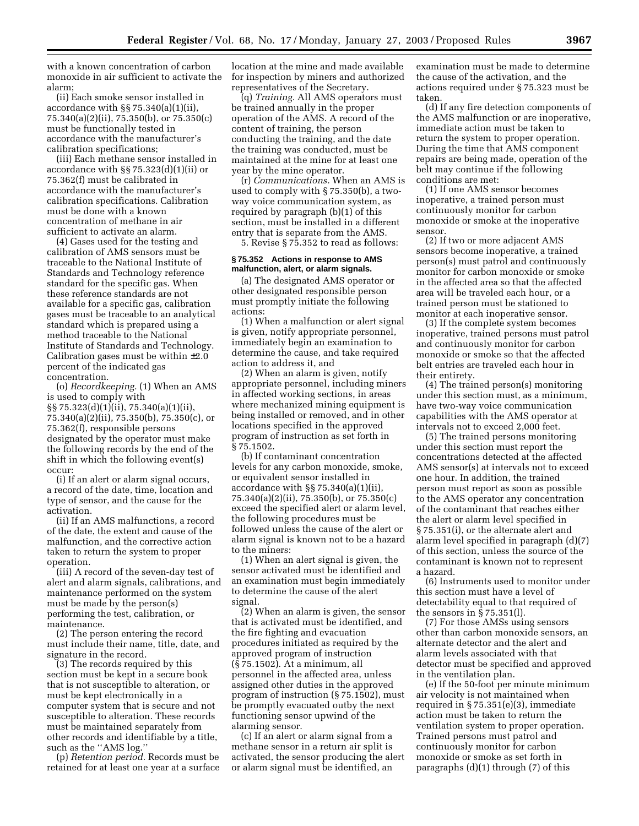with a known concentration of carbon monoxide in air sufficient to activate the alarm;

(ii) Each smoke sensor installed in accordance with §§ 75.340(a)(1)(ii), 75.340(a)(2)(ii), 75.350(b), or 75.350(c) must be functionally tested in accordance with the manufacturer's calibration specifications;

(iii) Each methane sensor installed in accordance with §§ 75.323(d)(1)(ii) or 75.362(f) must be calibrated in accordance with the manufacturer's calibration specifications. Calibration must be done with a known concentration of methane in air sufficient to activate an alarm.

(4) Gases used for the testing and calibration of AMS sensors must be traceable to the National Institute of Standards and Technology reference standard for the specific gas. When these reference standards are not available for a specific gas, calibration gases must be traceable to an analytical standard which is prepared using a method traceable to the National Institute of Standards and Technology. Calibration gases must be within  $\pm 2.0$ percent of the indicated gas concentration.

(o) *Recordkeeping.* (1) When an AMS is used to comply with §§ 75.323(d)(1)(ii), 75.340(a)(1)(ii), 75.340(a)(2)(ii), 75.350(b), 75.350(c), or 75.362(f), responsible persons designated by the operator must make the following records by the end of the shift in which the following event(s) occur:

(i) If an alert or alarm signal occurs, a record of the date, time, location and type of sensor, and the cause for the activation.

(ii) If an AMS malfunctions, a record of the date, the extent and cause of the malfunction, and the corrective action taken to return the system to proper operation.

(iii) A record of the seven-day test of alert and alarm signals, calibrations, and maintenance performed on the system must be made by the person(s) performing the test, calibration, or maintenance.

(2) The person entering the record must include their name, title, date, and signature in the record.

(3) The records required by this section must be kept in a secure book that is not susceptible to alteration, or must be kept electronically in a computer system that is secure and not susceptible to alteration. These records must be maintained separately from other records and identifiable by a title, such as the ''AMS log.''

(p) *Retention period.* Records must be retained for at least one year at a surface location at the mine and made available for inspection by miners and authorized representatives of the Secretary.

(q) *Training.* All AMS operators must be trained annually in the proper operation of the AMS. A record of the content of training, the person conducting the training, and the date the training was conducted, must be maintained at the mine for at least one year by the mine operator.

(r) *Communications.* When an AMS is used to comply with § 75.350(b), a twoway voice communication system, as required by paragraph (b)(1) of this section, must be installed in a different entry that is separate from the AMS. 5. Revise § 75.352 to read as follows:

#### **§ 75.352 Actions in response to AMS malfunction, alert, or alarm signals.**

(a) The designated AMS operator or other designated responsible person must promptly initiate the following actions:

(1) When a malfunction or alert signal is given, notify appropriate personnel, immediately begin an examination to determine the cause, and take required action to address it, and

(2) When an alarm is given, notify appropriate personnel, including miners in affected working sections, in areas where mechanized mining equipment is being installed or removed, and in other locations specified in the approved program of instruction as set forth in § 75.1502.

(b) If contaminant concentration levels for any carbon monoxide, smoke, or equivalent sensor installed in accordance with §§ 75.340(a)(1)(ii), 75.340(a)(2)(ii), 75.350(b), or 75.350(c) exceed the specified alert or alarm level, the following procedures must be followed unless the cause of the alert or alarm signal is known not to be a hazard to the miners:

(1) When an alert signal is given, the sensor activated must be identified and an examination must begin immediately to determine the cause of the alert signal.

(2) When an alarm is given, the sensor that is activated must be identified, and the fire fighting and evacuation procedures initiated as required by the approved program of instruction (§ 75.1502). At a minimum, all personnel in the affected area, unless assigned other duties in the approved program of instruction (§ 75.1502), must be promptly evacuated outby the next functioning sensor upwind of the alarming sensor.

(c) If an alert or alarm signal from a methane sensor in a return air split is activated, the sensor producing the alert or alarm signal must be identified, an

examination must be made to determine the cause of the activation, and the actions required under § 75.323 must be taken.

(d) If any fire detection components of the AMS malfunction or are inoperative, immediate action must be taken to return the system to proper operation. During the time that AMS component repairs are being made, operation of the belt may continue if the following conditions are met:

(1) If one AMS sensor becomes inoperative, a trained person must continuously monitor for carbon monoxide or smoke at the inoperative sensor.

(2) If two or more adjacent AMS sensors become inoperative, a trained person(s) must patrol and continuously monitor for carbon monoxide or smoke in the affected area so that the affected area will be traveled each hour, or a trained person must be stationed to monitor at each inoperative sensor.

(3) If the complete system becomes inoperative, trained persons must patrol and continuously monitor for carbon monoxide or smoke so that the affected belt entries are traveled each hour in their entirety.

(4) The trained person(s) monitoring under this section must, as a minimum, have two-way voice communication capabilities with the AMS operator at intervals not to exceed 2,000 feet.

(5) The trained persons monitoring under this section must report the concentrations detected at the affected AMS sensor(s) at intervals not to exceed one hour. In addition, the trained person must report as soon as possible to the AMS operator any concentration of the contaminant that reaches either the alert or alarm level specified in § 75.351(i), or the alternate alert and alarm level specified in paragraph (d)(7) of this section, unless the source of the contaminant is known not to represent a hazard.

(6) Instruments used to monitor under this section must have a level of detectability equal to that required of the sensors in § 75.351(l).

(7) For those AMSs using sensors other than carbon monoxide sensors, an alternate detector and the alert and alarm levels associated with that detector must be specified and approved in the ventilation plan.

(e) If the 50-foot per minute minimum air velocity is not maintained when required in § 75.351(e)(3), immediate action must be taken to return the ventilation system to proper operation. Trained persons must patrol and continuously monitor for carbon monoxide or smoke as set forth in paragraphs (d)(1) through (7) of this